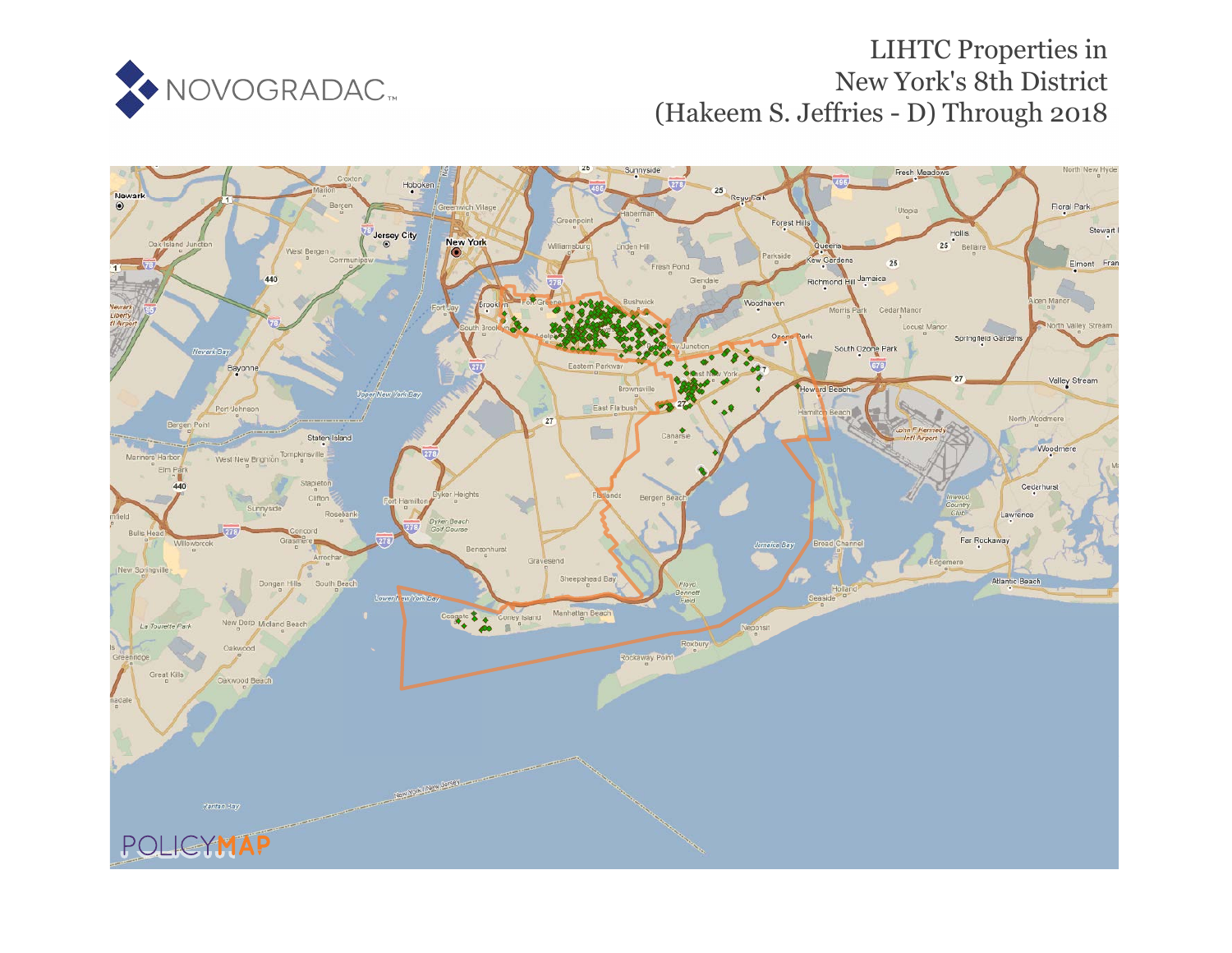

# LIHTC Properties in New York's 8th District (Hakeem S. Jeffries - D) Through 2018

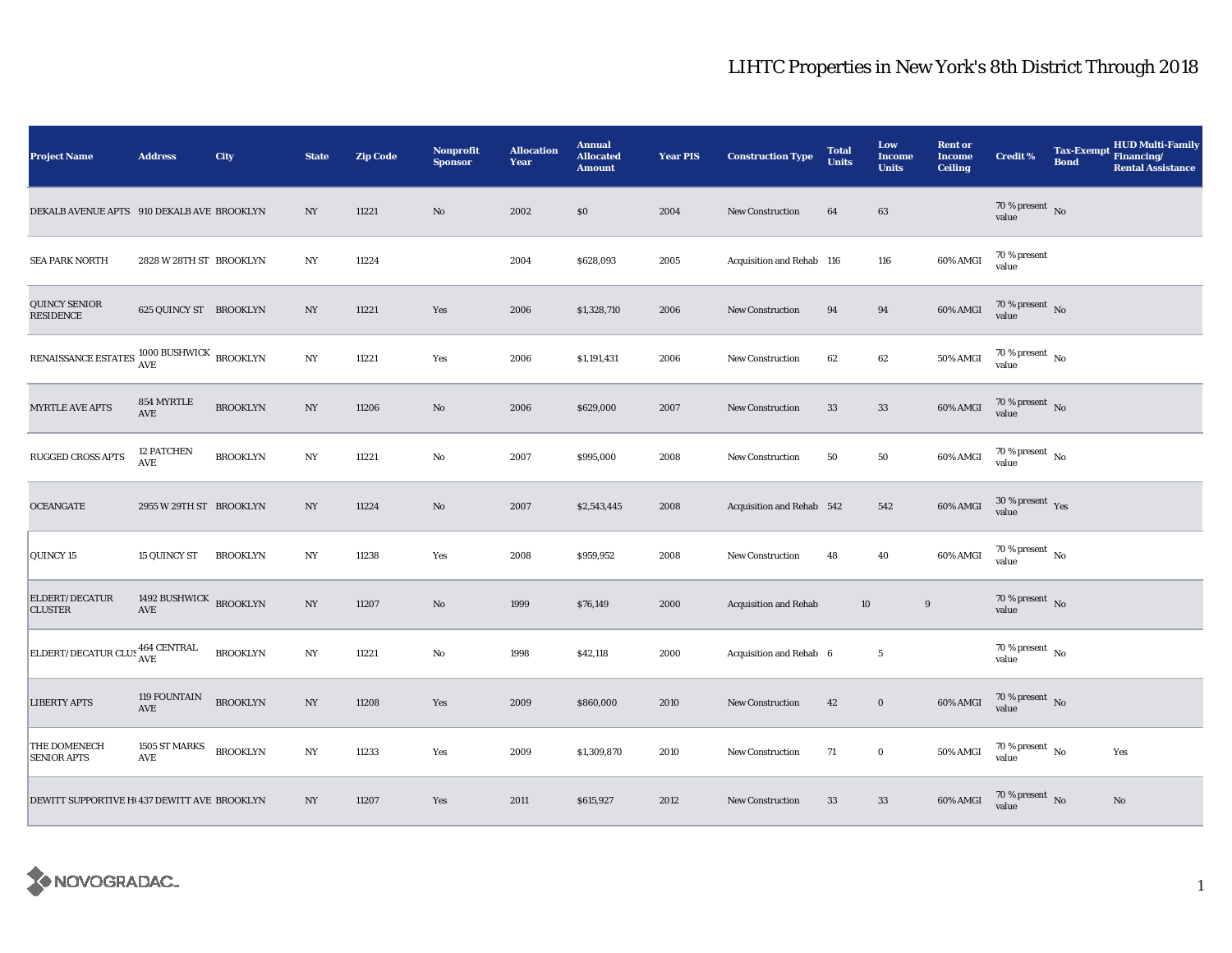| <b>Project Name</b>                                                                                                                                 | <b>Address</b>                | City            | <b>State</b>     | <b>Zip Code</b> | <b>Nonprofit</b><br><b>Sponsor</b> | <b>Allocation</b><br>Year | <b>Annual</b><br><b>Allocated</b><br><b>Amount</b> | <b>Year PIS</b> | <b>Construction Type</b>     | <b>Total</b><br><b>Units</b> | Low<br><b>Income</b><br><b>Units</b> | <b>Rent or</b><br><b>Income</b><br><b>Ceiling</b> | <b>Credit %</b>                            | <b>Tax-Exempt</b><br><b>Bond</b> | <b>HUD Multi-Family</b><br>Financing/<br><b>Rental Assistance</b> |
|-----------------------------------------------------------------------------------------------------------------------------------------------------|-------------------------------|-----------------|------------------|-----------------|------------------------------------|---------------------------|----------------------------------------------------|-----------------|------------------------------|------------------------------|--------------------------------------|---------------------------------------------------|--------------------------------------------|----------------------------------|-------------------------------------------------------------------|
| DEKALB AVENUE APTS 910 DEKALB AVE BROOKLYN                                                                                                          |                               |                 | $_{\mathrm{NY}}$ | 11221           | No                                 | 2002                      | \$0                                                | 2004            | <b>New Construction</b>      | 64                           | 63                                   |                                                   | $70$ % present $$\rm{No}$$ value           |                                  |                                                                   |
| <b>SEA PARK NORTH</b>                                                                                                                               | 2828 W 28TH ST BROOKLYN       |                 | NY               | 11224           |                                    | 2004                      | \$628,093                                          | 2005            | Acquisition and Rehab 116    |                              | 116                                  | 60% AMGI                                          | 70 % present<br>value                      |                                  |                                                                   |
| QUINCY SENIOR<br>RESIDENCE                                                                                                                          | 625 QUINCY ST BROOKLYN        |                 | NY               | 11221           | Yes                                | 2006                      | \$1,328,710                                        | 2006            | New Construction             | 94                           | 94                                   | 60% AMGI                                          | 70 % present $\,$ No $\,$<br>value         |                                  |                                                                   |
| ${\tt RENAISSANCE\ ESTATES} \begin{array}{l} 1000 \text{ BUSHWICK} \\ \text{AVE} \end{array} {\small \begin{array}{l} \text{BROOKLYN} \end{array}}$ |                               |                 | NY               | 11221           | Yes                                | 2006                      | \$1,191,431                                        | 2006            | <b>New Construction</b>      | 62                           | $62\,$                               | 50% AMGI                                          | 70 % present $\hbox{~No}$<br>value         |                                  |                                                                   |
| MYRTLE AVE APTS                                                                                                                                     | 854 MYRTLE<br>AVE             | <b>BROOKLYN</b> | NY               | 11206           | No                                 | 2006                      | \$629,000                                          | 2007            | <b>New Construction</b>      | 33                           | $33\,$                               | 60% AMGI                                          | $70$ % present $\,$ No $\,$<br>value       |                                  |                                                                   |
| RUGGED CROSS APTS                                                                                                                                   | <b>12 PATCHEN</b><br>AVE      | <b>BROOKLYN</b> | NY               | 11221           | $\mathbf{No}$                      | 2007                      | \$995,000                                          | 2008            | <b>New Construction</b>      | 50                           | $50\,$                               | 60% AMGI                                          | $70\,\%$ present $\,$ No value             |                                  |                                                                   |
| <b>OCEANGATE</b>                                                                                                                                    | 2955 W 29TH ST BROOKLYN       |                 | $_{\mathrm{NY}}$ | 11224           | No                                 | 2007                      | \$2,543,445                                        | 2008            | Acquisition and Rehab 542    |                              | 542                                  | 60% AMGI                                          | $30\ \%$ present $\rm\thinspace Yes$ value |                                  |                                                                   |
| QUINCY 15                                                                                                                                           | <b>15 QUINCY ST</b>           | <b>BROOKLYN</b> | $_{\mathrm{NY}}$ | 11238           | Yes                                | 2008                      | \$959,952                                          | 2008            | <b>New Construction</b>      | 48                           | 40                                   | 60% AMGI                                          | $70\,\%$ present $\,$ No value             |                                  |                                                                   |
| ELDERT/DECATUR<br><b>CLUSTER</b>                                                                                                                    | 1492 BUSHWICK BROOKLYN<br>AVE |                 | NY               | 11207           | No                                 | 1999                      | \$76,149                                           | 2000            | <b>Acquisition and Rehab</b> | 10                           | 9                                    |                                                   | 70 % present $\hbox{~No}$<br>value         |                                  |                                                                   |
| ELDERT/DECATUR CLUS 464 CENTRAL                                                                                                                     |                               | <b>BROOKLYN</b> | $_{\mathrm{NY}}$ | 11221           | No                                 | 1998                      | \$42,118                                           | 2000            | Acquisition and Rehab 6      |                              | $\sqrt{5}$                           |                                                   | 70 % present $\hbox{~No}$<br>value         |                                  |                                                                   |
| <b>LIBERTY APTS</b>                                                                                                                                 | 119 FOUNTAIN<br><b>AVE</b>    | <b>BROOKLYN</b> | NY               | 11208           | Yes                                | 2009                      | \$860,000                                          | 2010            | New Construction             | 42                           | $\mathbf 0$                          | 60% AMGI                                          | $70\,\%$ present $\,$ No value             |                                  |                                                                   |
| THE DOMENECH<br>SENIOR APTS                                                                                                                         | 1505 ST MARKS<br>AVE          | <b>BROOKLYN</b> | $_{\mathrm{NY}}$ | 11233           | Yes                                | 2009                      | \$1,309,870                                        | 2010            | New Construction             | 71                           | $\mathbf 0$                          | 50% AMGI                                          | 70 % present $\hbox{~No}$<br>value         |                                  | Yes                                                               |
| DEWITT SUPPORTIVE H(437 DEWITT AVE BROOKLYN                                                                                                         |                               |                 | $_{\mathrm{NY}}$ | 11207           | Yes                                | 2011                      | \$615,927                                          | 2012            | <b>New Construction</b>      | 33                           | $33\,$                               | 60% AMGI                                          | $70\,\%$ present $\,$ No value             |                                  | No                                                                |

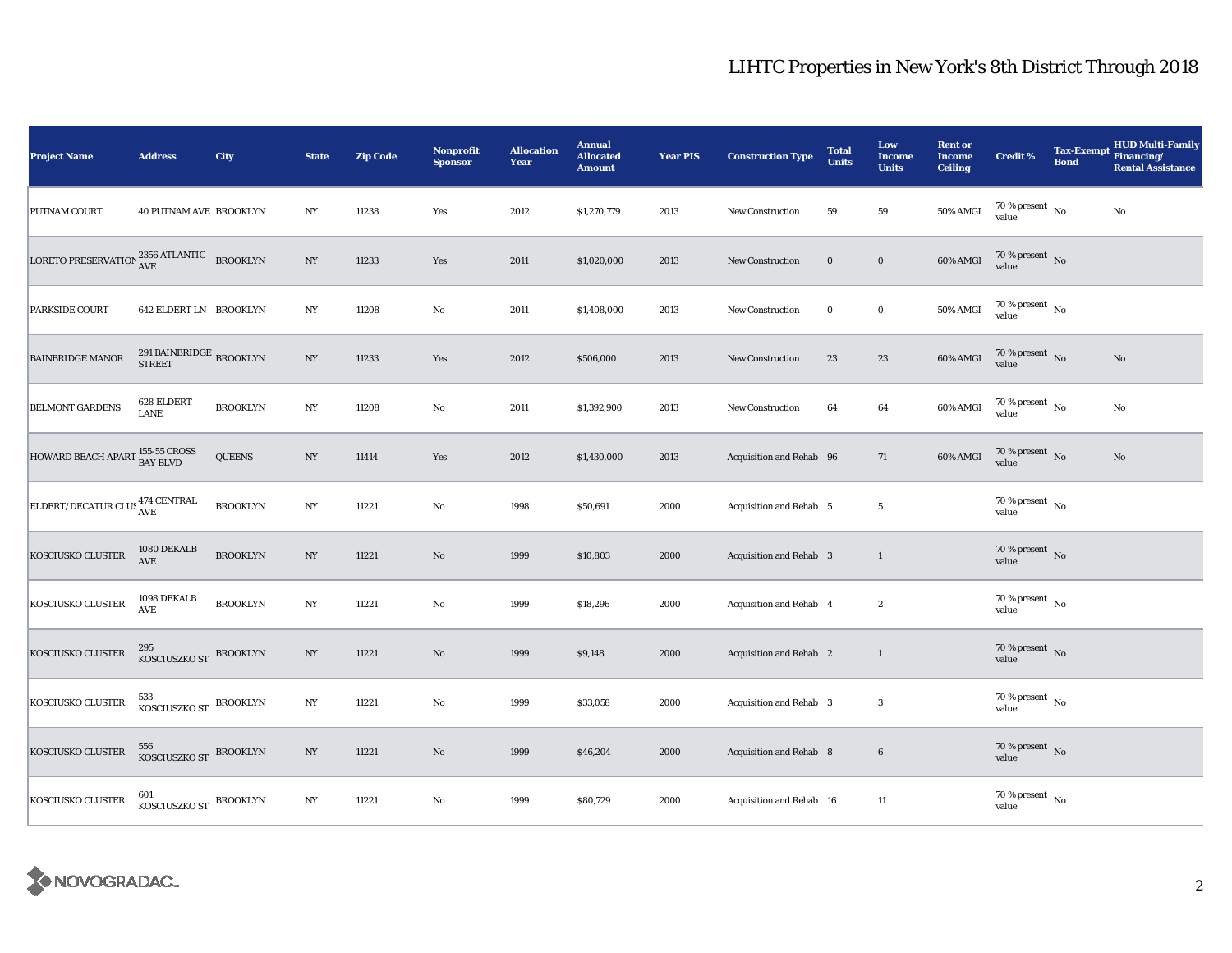| <b>Project Name</b>                                                 | <b>Address</b>                               | City            | <b>State</b>     | <b>Zip Code</b> | Nonprofit<br><b>Sponsor</b> | <b>Allocation</b><br>Year | <b>Annual</b><br><b>Allocated</b><br><b>Amount</b> | <b>Year PIS</b> | <b>Construction Type</b> | <b>Total</b><br><b>Units</b> | Low<br><b>Income</b><br><b>Units</b> | <b>Rent or</b><br><b>Income</b><br><b>Ceiling</b> | <b>Credit %</b>                                       | <b>Bond</b> | Tax-Exempt HUD Multi-Family<br><b>Rental Assistance</b> |
|---------------------------------------------------------------------|----------------------------------------------|-----------------|------------------|-----------------|-----------------------------|---------------------------|----------------------------------------------------|-----------------|--------------------------|------------------------------|--------------------------------------|---------------------------------------------------|-------------------------------------------------------|-------------|---------------------------------------------------------|
| PUTNAM COURT                                                        | 40 PUTNAM AVE BROOKLYN                       |                 | $_{\mathrm{NY}}$ | 11238           | Yes                         | 2012                      | \$1,270,779                                        | 2013            | <b>New Construction</b>  | 59                           | 59                                   | 50% AMGI                                          | $70\,\%$ present $\,$ No value                        |             | $\rm No$                                                |
| LORETO PRESERVATION $_{\mbox{AVE}}^{2356\mbox{ ATLANTIC}}$ BROOKLYN |                                              |                 | NY               | 11233           | Yes                         | 2011                      | \$1,020,000                                        | 2013            | New Construction         | $\bf{0}$                     | $\bf{0}$                             | 60% AMGI                                          | $70\,\%$ present $\,$ No value                        |             |                                                         |
| PARKSIDE COURT                                                      | <b>642 ELDERT LN BROOKLYN</b>                |                 | $_{\mathrm{NY}}$ | 11208           | No                          | 2011                      | \$1,408,000                                        | 2013            | New Construction         | $\bf{0}$                     | $\mathbf 0$                          | 50% AMGI                                          | 70 % present $\hbox{~No}$<br>value                    |             |                                                         |
| <b>BAINBRIDGE MANOR</b>                                             | 291 BAINBRIDGE $_{\rm BROOKLYN}$             |                 | $_{\mathrm{NY}}$ | 11233           | Yes                         | 2012                      | \$506,000                                          | 2013            | New Construction         | 23                           | 23                                   | 60% AMGI                                          | $70\,\%$ present $\,$ No value                        |             | $\mathbf{N}\mathbf{o}$                                  |
| <b>BELMONT GARDENS</b>                                              | 628 ELDERT<br><b>LANE</b>                    | <b>BROOKLYN</b> | N <sub>Y</sub>   | 11208           | $\mathbf{No}$               | 2011                      | \$1,392,900                                        | 2013            | <b>New Construction</b>  | 64                           | 64                                   | 60% AMGI                                          | $70\,\%$ present $$$ No value                         |             | No                                                      |
| HOWARD BEACH APART 155-55 CROSS                                     |                                              | <b>QUEENS</b>   | $_{\mathrm{NY}}$ | 11414           | Yes                         | 2012                      | \$1,430,000                                        | 2013            | Acquisition and Rehab 96 |                              | 71                                   | 60% AMGI                                          | $70\,\%$ present $\,$ No value                        |             | $\rm No$                                                |
| ELDERT/DECATUR CLUS <sup>474</sup> CENTRAL                          |                                              | <b>BROOKLYN</b> | $_{\mathrm{NY}}$ | 11221           | $\mathbf {No}$              | 1998                      | \$50,691                                           | 2000            | Acquisition and Rehab 5  |                              | $\overline{5}$                       |                                                   | 70 % present $\hbox{~No}$<br>value                    |             |                                                         |
| KOSCIUSKO CLUSTER                                                   | 1080 DEKALB<br>AVE                           | <b>BROOKLYN</b> | $_{\mathrm{NY}}$ | 11221           | $\rm No$                    | 1999                      | \$10,803                                           | 2000            | Acquisition and Rehab 3  |                              | $\mathbf{1}$                         |                                                   | $70\,\%$ present $\,$ No value                        |             |                                                         |
| KOSCIUSKO CLUSTER                                                   | 1098 DEKALB<br>$\operatorname{\mathbf{AVE}}$ | <b>BROOKLYN</b> | NY               | 11221           | $\mathbf{No}$               | 1999                      | \$18,296                                           | 2000            | Acquisition and Rehab 4  |                              | $\boldsymbol{2}$                     |                                                   | 70 % present $\hbox{~No}$<br>value                    |             |                                                         |
| KOSCIUSKO CLUSTER                                                   | 295<br>KOSCIUSZKO ST BROOKLYN                |                 | $_{\mathrm{NY}}$ | 11221           | $\rm No$                    | 1999                      | \$9,148                                            | 2000            | Acquisition and Rehab 2  |                              | $\mathbf{1}$                         |                                                   | 70 % present $\,$ No $\,$<br>value                    |             |                                                         |
| KOSCIUSKO CLUSTER                                                   | 533<br>KOSCIUSZKO ST BROOKLYN                |                 | $_{\mathrm{NY}}$ | 11221           | $\rm No$                    | 1999                      | \$33,058                                           | 2000            | Acquisition and Rehab 3  |                              | $\bf{3}$                             |                                                   | 70 % present $\hbox{~No}$<br>value                    |             |                                                         |
| KOSCIUSKO CLUSTER                                                   | 556<br>KOSCIUSZKO ST BROOKLYN                |                 | $_{\mathrm{NY}}$ | 11221           | $\mathbf{N}\mathbf{o}$      | 1999                      | \$46,204                                           | 2000            | Acquisition and Rehab 8  |                              | $6\phantom{.0}$                      |                                                   | $70\,\%$ present $\,$ No value                        |             |                                                         |
| KOSCIUSKO CLUSTER                                                   | KOSCIUSZKO ST BROOKLYN                       |                 | $_{\mathrm{NY}}$ | 11221           | No                          | 1999                      | \$80,729                                           | 2000            | Acquisition and Rehab 16 |                              | 11                                   |                                                   | $70\,\%$ present $\overline{\phantom{1}}$ No<br>value |             |                                                         |

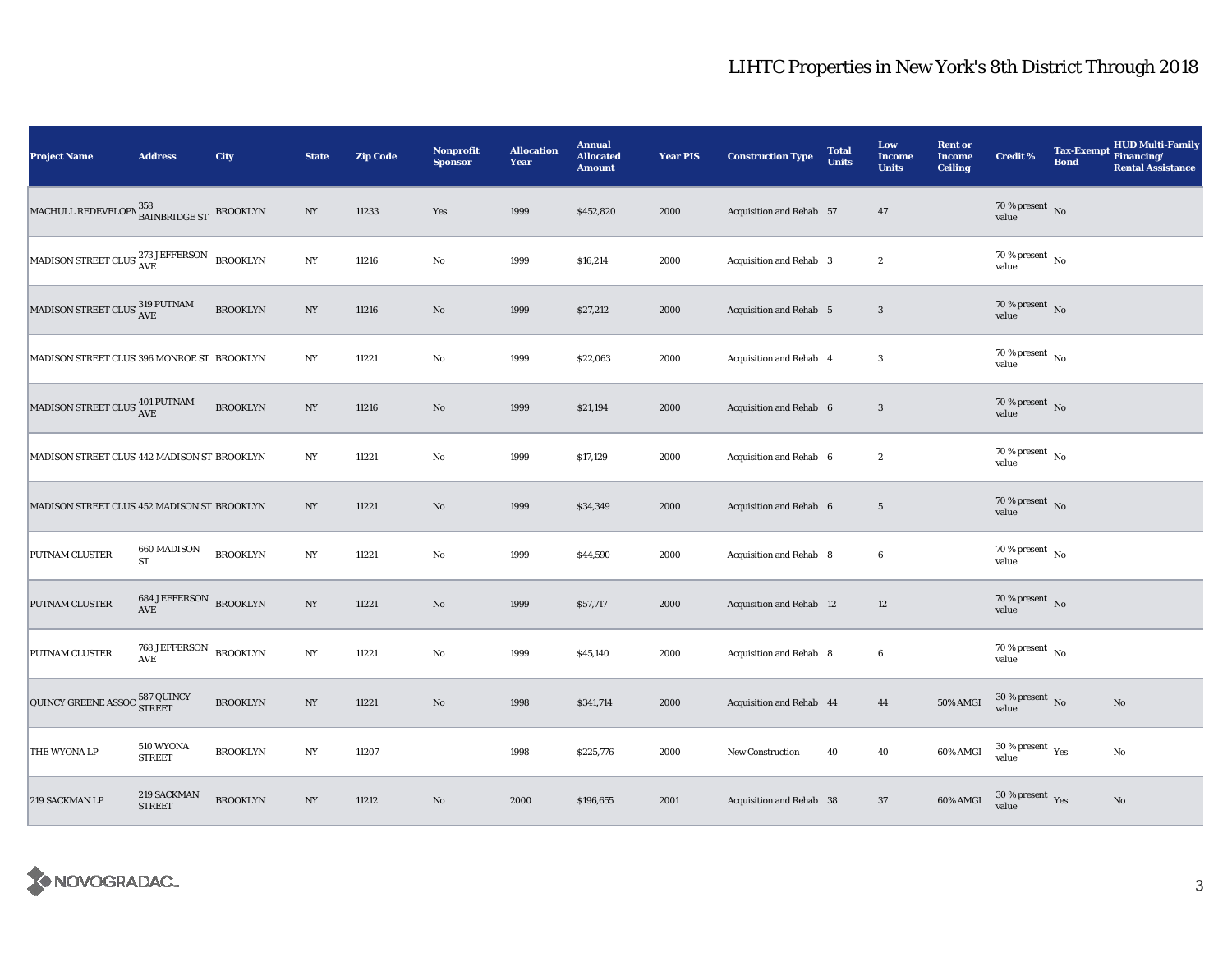| <b>Project Name</b>                                                                                                                                                               | <b>Address</b>                                        | City            | <b>State</b>     | <b>Zip Code</b> | Nonprofit<br><b>Sponsor</b> | <b>Allocation</b><br>Year | <b>Annual</b><br><b>Allocated</b><br><b>Amount</b> | <b>Year PIS</b> | <b>Construction Type</b>        | <b>Total</b><br><b>Units</b> | Low<br>Income<br><b>Units</b> | <b>Rent or</b><br><b>Income</b><br><b>Ceiling</b> | <b>Credit %</b>                          | <b>Bond</b> | <b>HUD Multi-Family</b><br>Tax-Exempt Financing/<br><b>Rental Assistance</b> |
|-----------------------------------------------------------------------------------------------------------------------------------------------------------------------------------|-------------------------------------------------------|-----------------|------------------|-----------------|-----------------------------|---------------------------|----------------------------------------------------|-----------------|---------------------------------|------------------------------|-------------------------------|---------------------------------------------------|------------------------------------------|-------------|------------------------------------------------------------------------------|
| MACHULL REDEVELOPN 358<br>BAINBRIDGE ST                                                                                                                                           |                                                       | <b>BROOKLYN</b> | $_{\mathrm{NY}}$ | 11233           | Yes                         | 1999                      | \$452,820                                          | 2000            | Acquisition and Rehab 57        |                              | 47                            |                                                   | 70 % present $\hbox{~No}$<br>value       |             |                                                                              |
| $\begin{array}{ l } \hbox{MADISON STREET CLUS}\xspace\begin{array}{l} \hbox{273 JEFFERSON}\\\hbox{AVE} \end{array}\end{array}\xspace\begin{array}{l} \hbox{BROOKLYN} \end{array}$ |                                                       |                 | $_{\mathrm{NY}}$ | 11216           | $\rm No$                    | 1999                      | \$16,214                                           | 2000            | Acquisition and Rehab 3         |                              | $\boldsymbol{2}$              |                                                   | $70$ % present $\,$ No $\,$<br>value     |             |                                                                              |
| MADISON STREET CLUS $^{319}_{\rm{AVE}}$                                                                                                                                           |                                                       | <b>BROOKLYN</b> | $_{\mathrm{NY}}$ | 11216           | No                          | 1999                      | \$27,212                                           | 2000            | <b>Acquisition and Rehab</b> 5  |                              | $\boldsymbol{3}$              |                                                   | 70 % present $\overline{N}$<br>value     |             |                                                                              |
| MADISON STREET CLUS' 396 MONROE ST BROOKLYN                                                                                                                                       |                                                       |                 | NY               | 11221           | $\rm No$                    | 1999                      | \$22,063                                           | 2000            | Acquisition and Rehab 4         |                              | $\boldsymbol{3}$              |                                                   | 70 % present $\hbox{~No}$<br>value       |             |                                                                              |
| MADISON STREET CLUS' $^{401\, \rm{PUTNAM}}_{\rm{AVE}}$                                                                                                                            |                                                       | <b>BROOKLYN</b> | $_{\mathrm{NY}}$ | 11216           | $\rm No$                    | 1999                      | \$21,194                                           | 2000            | Acquisition and Rehab 6         |                              | $\sqrt{3}$                    |                                                   | 70 % present $\hbox{~No}$<br>value       |             |                                                                              |
| MADISON STREET CLUS' 442 MADISON ST BROOKLYN                                                                                                                                      |                                                       |                 | $_{\mathrm{NY}}$ | 11221           | $\mathbf{No}$               | 1999                      | \$17,129                                           | 2000            | Acquisition and Rehab 6         |                              | $\boldsymbol{2}$              |                                                   | 70 % present $\hbox{~No}$<br>value       |             |                                                                              |
| MADISON STREET CLUS' 452 MADISON ST BROOKLYN                                                                                                                                      |                                                       |                 | $_{\mathrm{NY}}$ | 11221           | $\rm\thinspace No$          | 1999                      | \$34,349                                           | 2000            | Acquisition and Rehab 6         |                              | $5\phantom{.0}$               |                                                   | 70 % present $\hbox{~No}$<br>value       |             |                                                                              |
| PUTNAM CLUSTER                                                                                                                                                                    | 660 MADISON<br><b>ST</b>                              | <b>BROOKLYN</b> | $_{\mathrm{NY}}$ | 11221           | $\rm No$                    | 1999                      | \$44,590                                           | 2000            | Acquisition and Rehab 8         |                              | $\boldsymbol{6}$              |                                                   | $70\,\%$ present $\,$ No value           |             |                                                                              |
| PUTNAM CLUSTER                                                                                                                                                                    | <b>684 JEFFERSON BROOKLYN</b><br>$\operatorname{AVE}$ |                 | $_{\mathrm{NY}}$ | 11221           | No                          | 1999                      | \$57,717                                           | 2000            | <b>Acquisition and Rehab 12</b> |                              | 12                            |                                                   | 70 % present $\bar{N}$<br>value          |             |                                                                              |
| PUTNAM CLUSTER                                                                                                                                                                    | 768 JEFFERSON<br>$\operatorname{AVE}$                 | <b>BROOKLYN</b> | $_{\mathrm{NY}}$ | 11221           | $\rm No$                    | 1999                      | \$45,140                                           | 2000            | Acquisition and Rehab 8         |                              | $\boldsymbol{6}$              |                                                   | $70$ % present $\,$ No $\,$<br>value     |             |                                                                              |
| QUINCY GREENE ASSOC 587 QUINCY                                                                                                                                                    |                                                       | <b>BROOKLYN</b> | NY               | 11221           | $\rm No$                    | 1998                      | \$341,714                                          | 2000            | Acquisition and Rehab 44        |                              | 44                            | 50% AMGI                                          | $30$ % present $\,$ No $\,$<br>value     |             | $\rm No$                                                                     |
| THE WYONA LP                                                                                                                                                                      | 510 WYONA<br><b>STREET</b>                            | <b>BROOKLYN</b> | $_{\mathrm{NY}}$ | 11207           |                             | 1998                      | \$225,776                                          | 2000            | <b>New Construction</b>         | 40                           | 40                            | 60% AMGI                                          | $30\,\%$ present $\,$ $\rm Yes$<br>value |             | No                                                                           |
| 219 SACKMAN LP                                                                                                                                                                    | 219 SACKMAN<br><b>STREET</b>                          | <b>BROOKLYN</b> | $_{\mathrm{NY}}$ | 11212           | $\rm No$                    | 2000                      | \$196,655                                          | 2001            | Acquisition and Rehab 38        |                              | 37                            | 60% AMGI                                          | $30\,\%$ present $\,$ Yes value          |             | $\mathbf{No}$                                                                |

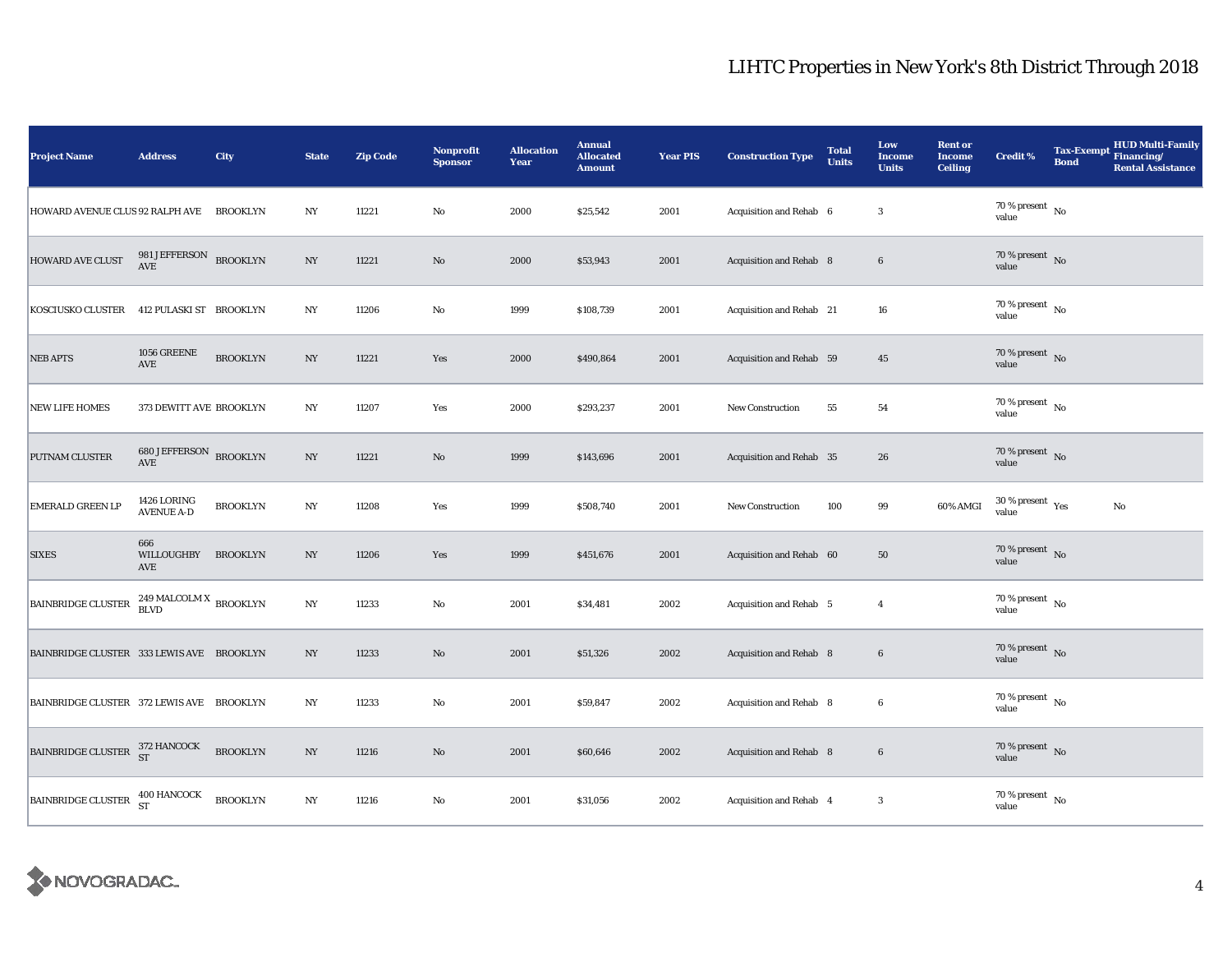| <b>Project Name</b>                                                                                                                          | <b>Address</b>                                 | City            | <b>State</b>     | <b>Zip Code</b> | <b>Nonprofit</b><br><b>Sponsor</b> | <b>Allocation</b><br>Year | <b>Annual</b><br><b>Allocated</b><br><b>Amount</b> | <b>Year PIS</b> | <b>Construction Type</b> | <b>Total</b><br><b>Units</b> | Low<br><b>Income</b><br><b>Units</b> | <b>Rent or</b><br><b>Income</b><br><b>Ceiling</b> | <b>Credit %</b>                      | <b>Bond</b> | <b>HUD Multi-Family</b><br>Tax-Exempt Financing/<br><b>Rental Assistance</b> |
|----------------------------------------------------------------------------------------------------------------------------------------------|------------------------------------------------|-----------------|------------------|-----------------|------------------------------------|---------------------------|----------------------------------------------------|-----------------|--------------------------|------------------------------|--------------------------------------|---------------------------------------------------|--------------------------------------|-------------|------------------------------------------------------------------------------|
| HOWARD AVENUE CLUS 92 RALPH AVE BROOKLYN                                                                                                     |                                                |                 | $_{\mathrm{NY}}$ | 11221           | $\rm No$                           | 2000                      | \$25,542                                           | 2001            | Acquisition and Rehab 6  |                              | $\overline{\mathbf{3}}$              |                                                   | 70 % present $\hbox{~No}$<br>value   |             |                                                                              |
| HOWARD AVE CLUST                                                                                                                             | $981\,\mathrm{JEFFERSON}$ BROOKLYN AVE         |                 | $_{\mathrm{NY}}$ | 11221           | $\rm No$                           | 2000                      | \$53,943                                           | 2001            | Acquisition and Rehab 8  |                              | $6\phantom{.}6$                      |                                                   | $70\%$ present No<br>value           |             |                                                                              |
| <b>KOSCIUSKO CLUSTER</b>                                                                                                                     | 412 PULASKI ST BROOKLYN                        |                 | $_{\mathrm{NY}}$ | 11206           | No                                 | 1999                      | \$108,739                                          | 2001            | Acquisition and Rehab 21 |                              | ${\bf 16}$                           |                                                   | $70$ % present $\,$ No $\,$<br>value |             |                                                                              |
| <b>NEB APTS</b>                                                                                                                              | 1056 GREENE<br>AVE                             | <b>BROOKLYN</b> | NY               | 11221           | Yes                                | 2000                      | \$490,864                                          | 2001            | Acquisition and Rehab 59 |                              | $45\,$                               |                                                   | 70 % present $\,$ No $\,$<br>value   |             |                                                                              |
| <b>NEW LIFE HOMES</b>                                                                                                                        | 373 DEWITT AVE BROOKLYN                        |                 | NY               | 11207           | Yes                                | 2000                      | \$293,237                                          | 2001            | <b>New Construction</b>  | 55                           | 54                                   |                                                   | $70$ % present $\,$ No $\,$<br>value |             |                                                                              |
| PUTNAM CLUSTER                                                                                                                               | 680 JEFFERSON BROOKLYN<br>$\operatorname{AVE}$ |                 | $_{\mathrm{NY}}$ | 11221           | $\mathbf{N}\mathbf{o}$             | 1999                      | \$143,696                                          | 2001            | Acquisition and Rehab 35 |                              | 26                                   |                                                   | 70 % present $\hbox{~No}$<br>value   |             |                                                                              |
| <b>EMERALD GREEN LP</b>                                                                                                                      | 1426 LORING<br><b>AVENUE A-D</b>               | <b>BROOKLYN</b> | NY               | 11208           | Yes                                | 1999                      | \$508,740                                          | 2001            | New Construction         | 100                          | 99                                   | 60% AMGI                                          | $30\,\%$ present $\,$ Yes value      |             | No                                                                           |
| <b>SIXES</b>                                                                                                                                 | 666<br><b>WILLOUGHBY</b><br>AVE                | <b>BROOKLYN</b> | $_{\mathrm{NY}}$ | 11206           | Yes                                | 1999                      | \$451,676                                          | 2001            | Acquisition and Rehab 60 |                              | ${\bf 50}$                           |                                                   | 70 % present $\sqrt{\ }$ No<br>value |             |                                                                              |
| <b>BAINBRIDGE CLUSTER</b>                                                                                                                    | $249\,\mbox{MALCOLM X}$ BROOKLYN BLVD          |                 | $_{\mathrm{NY}}$ | 11233           | $\mathbf{No}$                      | 2001                      | \$34,481                                           | 2002            | Acquisition and Rehab 5  |                              | $\overline{4}$                       |                                                   | $70$ % present $\,$ No $\,$<br>value |             |                                                                              |
| BAINBRIDGE CLUSTER 333 LEWIS AVE BROOKLYN                                                                                                    |                                                |                 | NY               | 11233           | $\rm No$                           | 2001                      | \$51,326                                           | 2002            | Acquisition and Rehab 8  |                              | $6\phantom{.0}$                      |                                                   | $70\,\%$ present $${\rm No}$$ value  |             |                                                                              |
| BAINBRIDGE CLUSTER 372 LEWIS AVE BROOKLYN                                                                                                    |                                                |                 | $_{\mathrm{NY}}$ | 11233           | $\rm No$                           | 2001                      | \$59,847                                           | 2002            | Acquisition and Rehab 8  |                              | $\boldsymbol{6}$                     |                                                   | $70$ % present $\,$ No $\,$<br>value |             |                                                                              |
| $\begin{tabular}{ c c c c } \hline \texttt{BAINBRIDGE CLUSTER} & \begin{tabular}{c} 372 HANCOCK \\ \hline ST \\ \end{tabular} \end{tabular}$ |                                                | <b>BROOKLYN</b> | $_{\mathrm{NY}}$ | 11216           | $\mathbf{N}\mathbf{o}$             | 2001                      | \$60,646                                           | 2002            | Acquisition and Rehab 8  |                              | 6                                    |                                                   | $70\,\%$ present $\,$ No value       |             |                                                                              |
| <b>BAINBRIDGE CLUSTER</b>                                                                                                                    | $400$ HANCOCK ${\rm ST}$                       | <b>BROOKLYN</b> | $_{\mathrm{NY}}$ | 11216           | No                                 | 2001                      | \$31,056                                           | 2002            | Acquisition and Rehab 4  |                              | 3                                    |                                                   | $70$ % present $\,$ No $\,$<br>value |             |                                                                              |

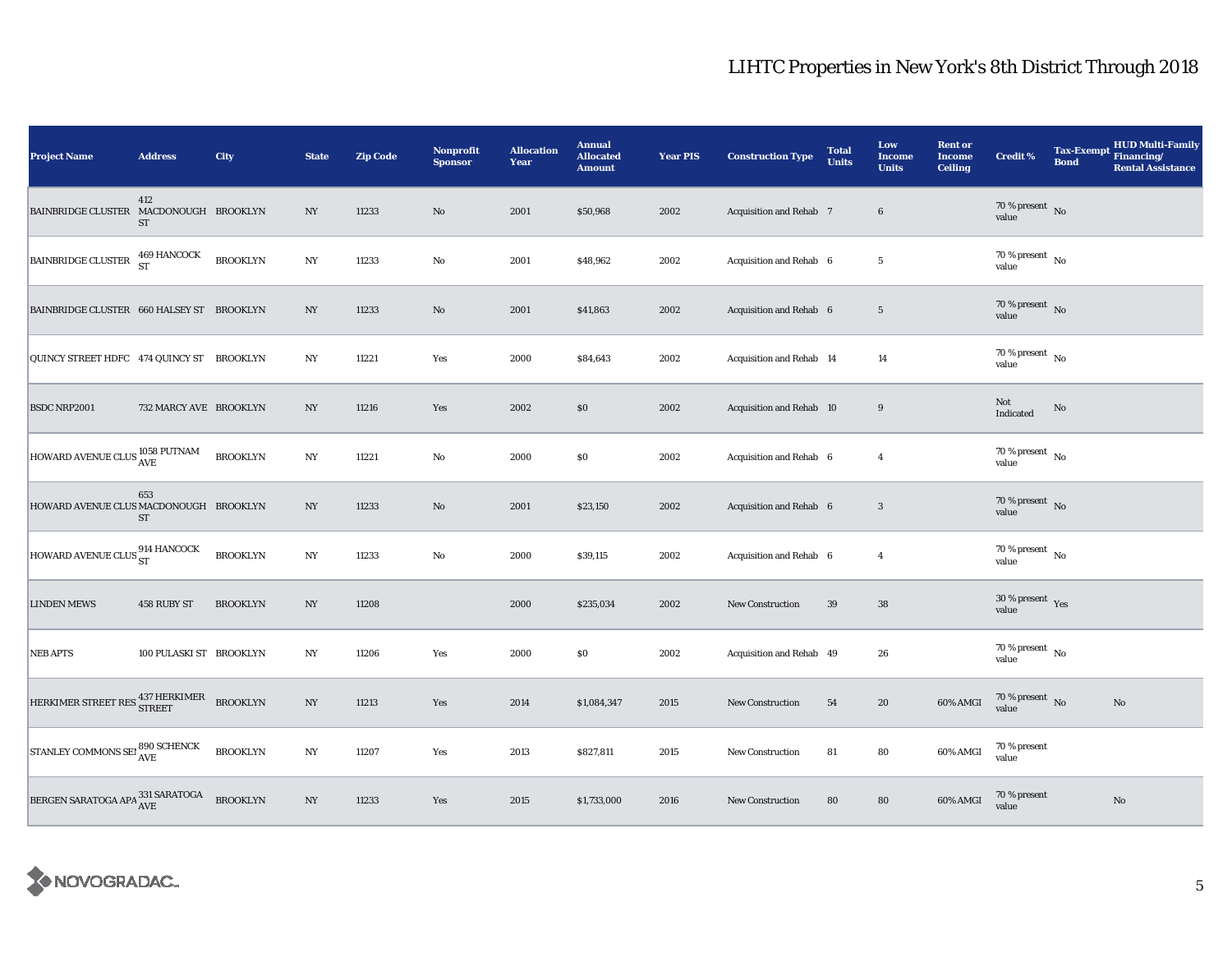| <b>Project Name</b>                                                                                | <b>Address</b>             | City            | <b>State</b>     | <b>Zip Code</b> | Nonprofit<br><b>Sponsor</b> | <b>Allocation</b><br>Year | <b>Annual</b><br><b>Allocated</b><br><b>Amount</b> | <b>Year PIS</b> | <b>Construction Type</b> | <b>Total</b><br><b>Units</b> | Low<br>Income<br><b>Units</b> | <b>Rent or</b><br><b>Income</b><br><b>Ceiling</b> | <b>Credit %</b>                        | <b>Tax-Exempt</b><br><b>Bond</b> | HUD Multi-Family<br>Financing/<br><b>Rental Assistance</b> |
|----------------------------------------------------------------------------------------------------|----------------------------|-----------------|------------------|-----------------|-----------------------------|---------------------------|----------------------------------------------------|-----------------|--------------------------|------------------------------|-------------------------------|---------------------------------------------------|----------------------------------------|----------------------------------|------------------------------------------------------------|
| BAINBRIDGE CLUSTER MACDONOUGH BROOKLYN                                                             | 412<br>ST                  |                 | $_{\mathrm{NY}}$ | 11233           | $\rm No$                    | 2001                      | \$50,968                                           | 2002            | Acquisition and Rehab 7  |                              | $\bf 6$                       |                                                   | 70 % present $\hbox{~No}$<br>value     |                                  |                                                            |
| <b>BAINBRIDGE CLUSTER</b>                                                                          | $469\,$ HANCOCK ${\rm ST}$ | <b>BROOKLYN</b> | NY               | 11233           | No                          | 2001                      | \$48,962                                           | 2002            | Acquisition and Rehab 6  |                              | $5\phantom{.0}$               |                                                   | $70$ % present $\,$ No $\,$<br>value   |                                  |                                                            |
| BAINBRIDGE CLUSTER 660 HALSEY ST BROOKLYN                                                          |                            |                 | NY               | 11233           | $\rm No$                    | 2001                      | \$41,863                                           | 2002            | Acquisition and Rehab 6  |                              | $5\phantom{.0}$               |                                                   | $70\,\%$ present $\,$ No value         |                                  |                                                            |
| QUINCY STREET HDFC 474 QUINCY ST BROOKLYN                                                          |                            |                 | NY               | 11221           | Yes                         | 2000                      | \$84,643                                           | 2002            | Acquisition and Rehab 14 |                              | 14                            |                                                   | 70 % present $\hbox{~No}$<br>value     |                                  |                                                            |
| <b>BSDC NRP2001</b>                                                                                | 732 MARCY AVE BROOKLYN     |                 | NY               | 11216           | Yes                         | 2002                      | \$0\$                                              | 2002            | Acquisition and Rehab 10 |                              | 9                             |                                                   | Not<br>Indicated                       | No                               |                                                            |
| HOWARD AVENUE CLUS 1058 PUTNAM                                                                     |                            | <b>BROOKLYN</b> | NY               | 11221           | $\rm No$                    | 2000                      | $\$0$                                              | 2002            | Acquisition and Rehab 6  |                              | $\overline{4}$                |                                                   | $70$ % present $\,$ No $\,$<br>value   |                                  |                                                            |
| HOWARD AVENUE CLUS MACDONOUGH BROOKLYN                                                             | 653<br>${\rm ST}$          |                 | NY               | 11233           | No                          | 2001                      | \$23,150                                           | 2002            | Acquisition and Rehab 6  |                              | $\overline{\mathbf{3}}$       |                                                   | 70 % present $\,$ No $\,$<br>value     |                                  |                                                            |
| HOWARD AVENUE CLUS 914 HANCOCK                                                                     |                            | <b>BROOKLYN</b> | $_{\mathrm{NY}}$ | 11233           | $\rm\thinspace No$          | 2000                      | \$39,115                                           | 2002            | Acquisition and Rehab 6  |                              | $\overline{4}$                |                                                   | 70 % present $\,$ No $\,$<br>value     |                                  |                                                            |
| <b>LINDEN MEWS</b>                                                                                 | 458 RUBY ST                | <b>BROOKLYN</b> | NY               | 11208           |                             | 2000                      | \$235,034                                          | 2002            | New Construction         | 39                           | 38                            |                                                   | $30\,\%$ present $\,$ Yes value        |                                  |                                                            |
| <b>NEB APTS</b>                                                                                    | 100 PULASKI ST BROOKLYN    |                 | NY               | 11206           | Yes                         | 2000                      | \$0                                                | 2002            | Acquisition and Rehab 49 |                              | 26                            |                                                   | $70\,\%$ present $\,$ No $\,$<br>value |                                  |                                                            |
| HERKIMER STREET RES STREET BROOKLYN                                                                |                            |                 | $_{\mathrm{NY}}$ | 11213           | Yes                         | 2014                      | \$1,084,347                                        | 2015            | <b>New Construction</b>  | 54                           | 20                            | 60% AMGI                                          | $70\,\%$ present $\,$ No value         |                                  | No                                                         |
| $\boxed{\text{STANLEY COMMONS SEI}} \begin{matrix} \textbf{890 SCHENCK} \textbf{AVE} \end{matrix}$ |                            | <b>BROOKLYN</b> | $_{\mathrm{NY}}$ | 11207           | Yes                         | 2013                      | \$827,811                                          | 2015            | <b>New Construction</b>  | 81                           | 80                            | 60% AMGI                                          | $70\,\%$ present<br>value              |                                  |                                                            |
| BERGEN SARATOGA APA $^{331}_{\mbox{AVE}}$                                                          |                            | <b>BROOKLYN</b> | NY               | 11233           | Yes                         | 2015                      | \$1,733,000                                        | 2016            | New Construction         | 80                           | 80                            | 60% AMGI                                          | 70 % present<br>value                  |                                  | $\mathbf{No}$                                              |

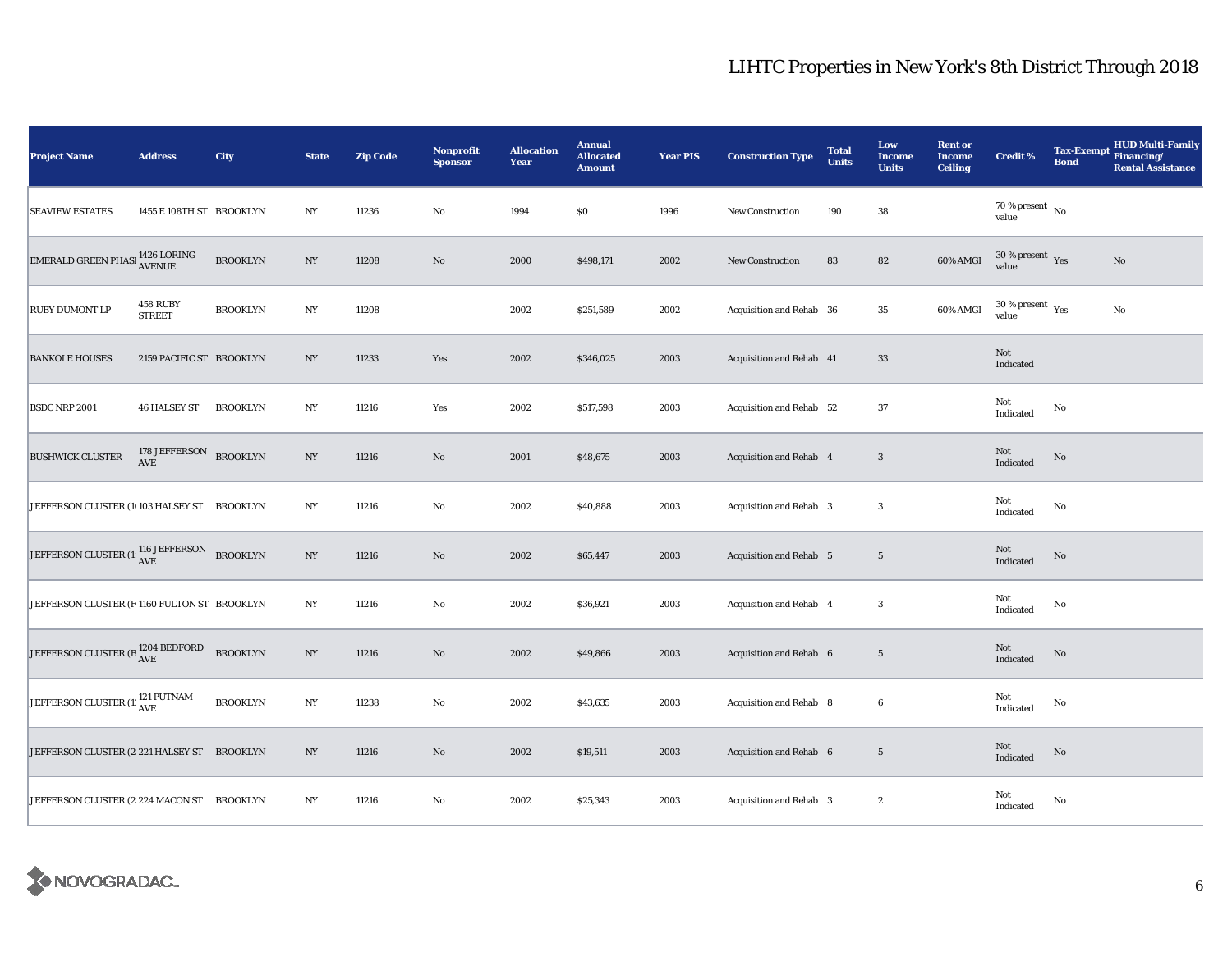| <b>Project Name</b>                                | <b>Address</b>                   | City            | <b>State</b>     | <b>Zip Code</b> | Nonprofit<br><b>Sponsor</b> | <b>Allocation</b><br>Year | <b>Annual</b><br><b>Allocated</b><br><b>Amount</b> | <b>Year PIS</b> | <b>Construction Type</b>       | <b>Total</b><br><b>Units</b> | Low<br><b>Income</b><br><b>Units</b> | <b>Rent or</b><br><b>Income</b><br><b>Ceiling</b> | <b>Credit %</b>                             | <b>Tax-Exempt</b><br><b>Bond</b> | <b>HUD Multi-Family</b><br>Financing/<br><b>Rental Assistance</b> |
|----------------------------------------------------|----------------------------------|-----------------|------------------|-----------------|-----------------------------|---------------------------|----------------------------------------------------|-----------------|--------------------------------|------------------------------|--------------------------------------|---------------------------------------------------|---------------------------------------------|----------------------------------|-------------------------------------------------------------------|
| <b>SEAVIEW ESTATES</b>                             | 1455 E 108TH ST BROOKLYN         |                 | NY               | 11236           | $\rm No$                    | 1994                      | $\$0$                                              | 1996            | <b>New Construction</b>        | 190                          | ${\bf 38}$                           |                                                   | $70\,\%$ present $\,$ No value              |                                  |                                                                   |
| EMERALD GREEN PHASI 1426 LORING                    |                                  | <b>BROOKLYN</b> | $_{\mathrm{NY}}$ | 11208           | $\rm No$                    | 2000                      | \$498,171                                          | 2002            | <b>New Construction</b>        | 83                           | 82                                   | 60% AMGI                                          | $30$ % present $\,$ $\rm Yes$<br>value      |                                  | No                                                                |
| RUBY DUMONT LP                                     | <b>458 RUBY</b><br><b>STREET</b> | <b>BROOKLYN</b> | NY               | 11208           |                             | 2002                      | \$251,589                                          | 2002            | Acquisition and Rehab 36       |                              | 35                                   | 60% AMGI                                          | 30 % present $\rm \gamma_{\rm es}$<br>value |                                  | No                                                                |
| <b>BANKOLE HOUSES</b>                              | 2159 PACIFIC ST BROOKLYN         |                 | NY               | 11233           | Yes                         | 2002                      | \$346,025                                          | 2003            | Acquisition and Rehab 41       |                              | 33                                   |                                                   | Not<br>Indicated                            |                                  |                                                                   |
| <b>BSDC NRP 2001</b>                               | <b>46 HALSEY ST</b>              | <b>BROOKLYN</b> | $_{\mathrm{NY}}$ | 11216           | Yes                         | 2002                      | \$517,598                                          | 2003            | Acquisition and Rehab 52       |                              | 37                                   |                                                   | Not<br>Indicated                            | No                               |                                                                   |
| <b>BUSHWICK CLUSTER</b>                            | 178 JEFFERSON<br>AVE             | <b>BROOKLYN</b> | $_{\mathrm{NY}}$ | 11216           | $\rm No$                    | 2001                      | \$48,675                                           | 2003            | Acquisition and Rehab 4        |                              | $\overline{\mathbf{3}}$              |                                                   | Not<br>Indicated                            | $\rm No$                         |                                                                   |
| JEFFERSON CLUSTER (10103 HALSEY ST                 |                                  | <b>BROOKLYN</b> | $_{\mathrm{NY}}$ | 11216           | $\rm No$                    | 2002                      | \$40,888                                           | 2003            | Acquisition and Rehab 3        |                              | $\boldsymbol{3}$                     |                                                   | Not<br>Indicated                            | No                               |                                                                   |
| JEFFERSON CLUSTER (1) $_{\rm AVE}^{116}$ JEFFERSON |                                  | <b>BROOKLYN</b> | $_{\mathrm{NY}}$ | 11216           | $\rm No$                    | 2002                      | \$65,447                                           | 2003            | <b>Acquisition and Rehab 5</b> |                              | $5\phantom{.0}$                      |                                                   | Not<br>Indicated                            | No                               |                                                                   |
| JEFFERSON CLUSTER (F 1160 FULTON ST BROOKLYN       |                                  |                 | $_{\mathrm{NY}}$ | 11216           | $\rm No$                    | 2002                      | \$36,921                                           | 2003            | Acquisition and Rehab 4        |                              | $\boldsymbol{3}$                     |                                                   | Not<br>Indicated                            | No                               |                                                                   |
| JEFFERSON CLUSTER (B $^{1204}_{\rm{AVE}}$ BEDFORD  |                                  | <b>BROOKLYN</b> | NY               | 11216           | $\rm No$                    | 2002                      | \$49,866                                           | 2003            | Acquisition and Rehab 6        |                              | $5\phantom{.0}$                      |                                                   | Not<br>Indicated                            | $\rm No$                         |                                                                   |
| JEFFERSON CLUSTER (1: <sup>121</sup> PUTNAM        |                                  | <b>BROOKLYN</b> | NY               | 11238           | $\rm No$                    | 2002                      | \$43,635                                           | 2003            | Acquisition and Rehab 8        |                              | 6                                    |                                                   | Not<br>Indicated                            | No                               |                                                                   |
| JEFFERSON CLUSTER (2 221 HALSEY ST BROOKLYN        |                                  |                 | $_{\mathrm{NY}}$ | 11216           | $\rm\thinspace No$          | 2002                      | \$19,511                                           | 2003            | Acquisition and Rehab 6        |                              | $5\phantom{.0}$                      |                                                   | Not<br>Indicated                            | $\mathbf{No}$                    |                                                                   |
| JEFFERSON CLUSTER (2 224 MACON ST BROOKLYN         |                                  |                 | $_{\mathrm{NY}}$ | 11216           | $\rm No$                    | 2002                      | \$25,343                                           | 2003            | Acquisition and Rehab 3        |                              | $\boldsymbol{2}$                     |                                                   | Not<br>Indicated                            | No                               |                                                                   |

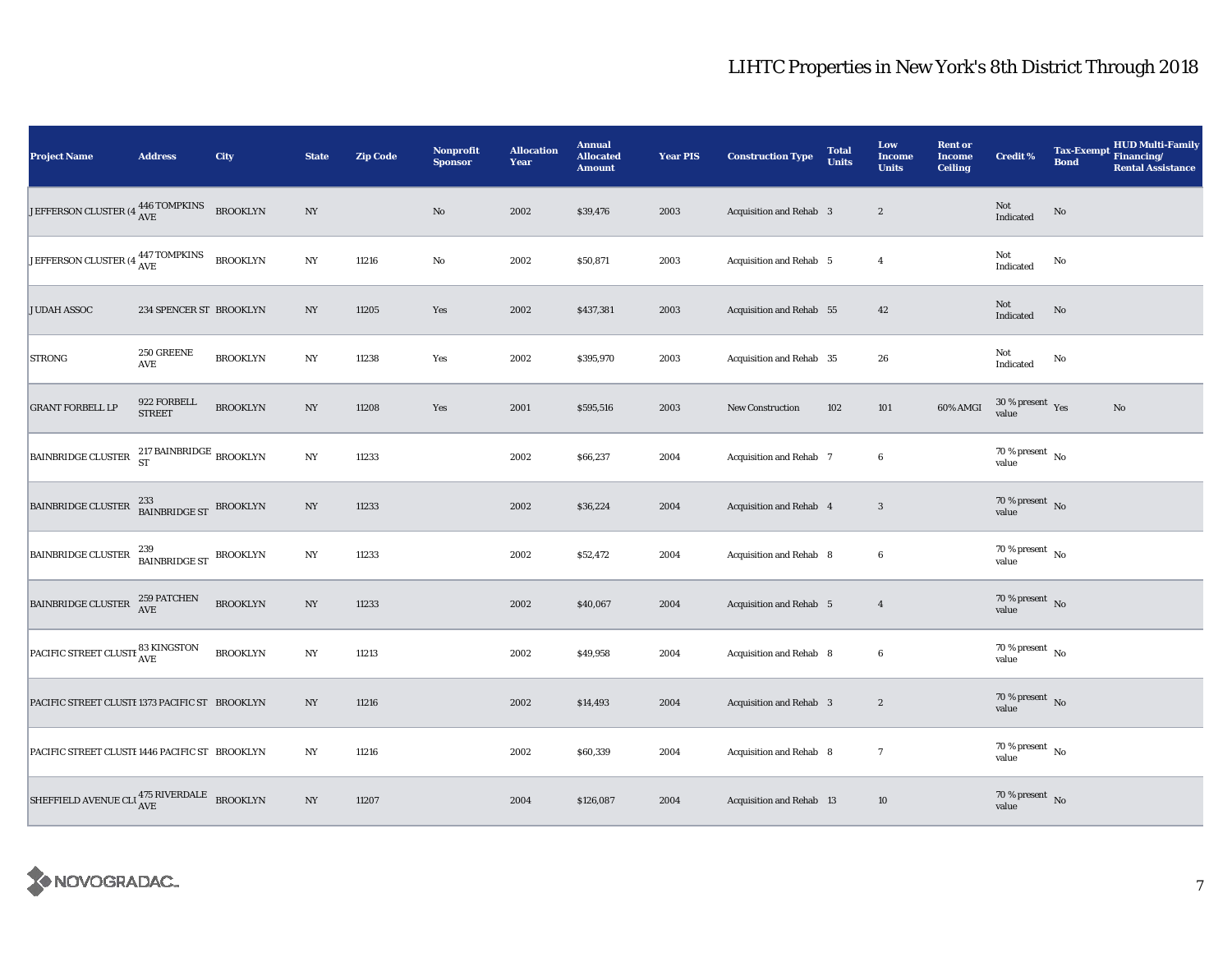| <b>Project Name</b>                                    | <b>Address</b>                     | City            | <b>State</b>     | <b>Zip Code</b> | <b>Nonprofit</b><br><b>Sponsor</b> | <b>Allocation</b><br>Year | <b>Annual</b><br><b>Allocated</b><br><b>Amount</b> | <b>Year PIS</b> | <b>Construction Type</b>       | <b>Total</b><br><b>Units</b> | Low<br><b>Income</b><br><b>Units</b> | <b>Rent or</b><br><b>Income</b><br><b>Ceiling</b> | <b>Credit %</b>                      | <b>Bond</b>   | HUD Multi-Family<br>Tax-Exempt Financing/<br><b>Rental Assistance</b> |
|--------------------------------------------------------|------------------------------------|-----------------|------------------|-----------------|------------------------------------|---------------------------|----------------------------------------------------|-----------------|--------------------------------|------------------------------|--------------------------------------|---------------------------------------------------|--------------------------------------|---------------|-----------------------------------------------------------------------|
| JEFFERSON CLUSTER (4 446 TOMPKINS                      |                                    | <b>BROOKLYN</b> | $_{\mathrm{NY}}$ |                 | $\rm No$                           | 2002                      | \$39,476                                           | 2003            | Acquisition and Rehab 3        |                              | $\sqrt{2}$                           |                                                   | Not<br>Indicated                     | $\rm No$      |                                                                       |
| JEFFERSON CLUSTER (4 447 TOMPKINS                      |                                    | <b>BROOKLYN</b> | NY               | 11216           | $\rm No$                           | 2002                      | \$50,871                                           | 2003            | Acquisition and Rehab 5        |                              | $\overline{4}$                       |                                                   | Not<br>Indicated                     | $\mathbf{No}$ |                                                                       |
| <b>JUDAH ASSOC</b>                                     | 234 SPENCER ST BROOKLYN            |                 | NY               | 11205           | Yes                                | 2002                      | \$437,381                                          | 2003            | Acquisition and Rehab 55       |                              | 42                                   |                                                   | Not<br>Indicated                     | $\mathbf{No}$ |                                                                       |
| <b>STRONG</b>                                          | 250 GREENE<br>AVE                  | <b>BROOKLYN</b> | $_{\mathrm{NY}}$ | 11238           | Yes                                | 2002                      | \$395,970                                          | 2003            | Acquisition and Rehab 35       |                              | 26                                   |                                                   | Not<br>Indicated                     | $\mathbf{No}$ |                                                                       |
| <b>GRANT FORBELL LP</b>                                | 922 FORBELL<br><b>STREET</b>       | <b>BROOKLYN</b> | $_{\mathrm{NY}}$ | 11208           | Yes                                | 2001                      | \$595,516                                          | 2003            | New Construction               | 102                          | 101                                  | 60% AMGI                                          | $30\,\%$ present $\,$ Yes value      |               | $\rm No$                                                              |
| <b>BAINBRIDGE CLUSTER</b>                              | $217$ BAINBRIDGE $_{\rm BROOKLYN}$ |                 | $_{\mathrm{NY}}$ | 11233           |                                    | 2002                      | \$66,237                                           | 2004            | Acquisition and Rehab 7        |                              | 6                                    |                                                   | 70 % present $\hbox{~No}$<br>value   |               |                                                                       |
| BAINBRIDGE CLUSTER                                     | 233<br>BAINBRIDGE ST BROOKLYN      |                 | $_{\mathrm{NY}}$ | 11233           |                                    | 2002                      | \$36,224                                           | 2004            | Acquisition and Rehab 4        |                              | 3                                    |                                                   | 70 % present $\hbox{~No}$<br>value   |               |                                                                       |
| <b>BAINBRIDGE CLUSTER</b>                              | 239<br>BAINBRIDGE ST BROOKLYN      |                 | $_{\mathrm{NY}}$ | 11233           |                                    | 2002                      | \$52,472                                           | 2004            | Acquisition and Rehab 8        |                              | $\boldsymbol{6}$                     |                                                   | 70 % present $\hbox{~No}$<br>value   |               |                                                                       |
| BAINBRIDGE CLUSTER                                     | 259 PATCHEN<br>AVE                 | <b>BROOKLYN</b> | NY               | 11233           |                                    | 2002                      | \$40,067                                           | 2004            | <b>Acquisition and Rehab</b> 5 |                              | $\overline{4}$                       |                                                   | $70\,\%$ present $\,$ No value       |               |                                                                       |
| PACIFIC STREET CLUSTE 83 KINGSTON                      |                                    | <b>BROOKLYN</b> | NY               | 11213           |                                    | 2002                      | \$49,958                                           | 2004            | Acquisition and Rehab 8        |                              | $\boldsymbol{6}$                     |                                                   | $70$ % present $\,$ No $\,$<br>value |               |                                                                       |
| PACIFIC STREET CLUSTI 1373 PACIFIC ST BROOKLYN         |                                    |                 | NY               | 11216           |                                    | 2002                      | \$14,493                                           | 2004            | Acquisition and Rehab 3        |                              | $\boldsymbol{2}$                     |                                                   | $70\,\%$ present $\;$ No value       |               |                                                                       |
| PACIFIC STREET CLUSTI 1446 PACIFIC ST BROOKLYN         |                                    |                 | $_{\mathrm{NY}}$ | 11216           |                                    | 2002                      | \$60,339                                           | 2004            | Acquisition and Rehab 8        |                              | $\boldsymbol{\tau}$                  |                                                   | $70\,\%$ present $\,$ No value       |               |                                                                       |
| SHEFFIELD AVENUE CLU $\frac{475}{\text{AVE}}$ BROOKLYN |                                    |                 | NY               | 11207           |                                    | 2004                      | \$126,087                                          | 2004            | Acquisition and Rehab 13       |                              | 10                                   |                                                   | $70\,\%$ present $\,$ No value       |               |                                                                       |

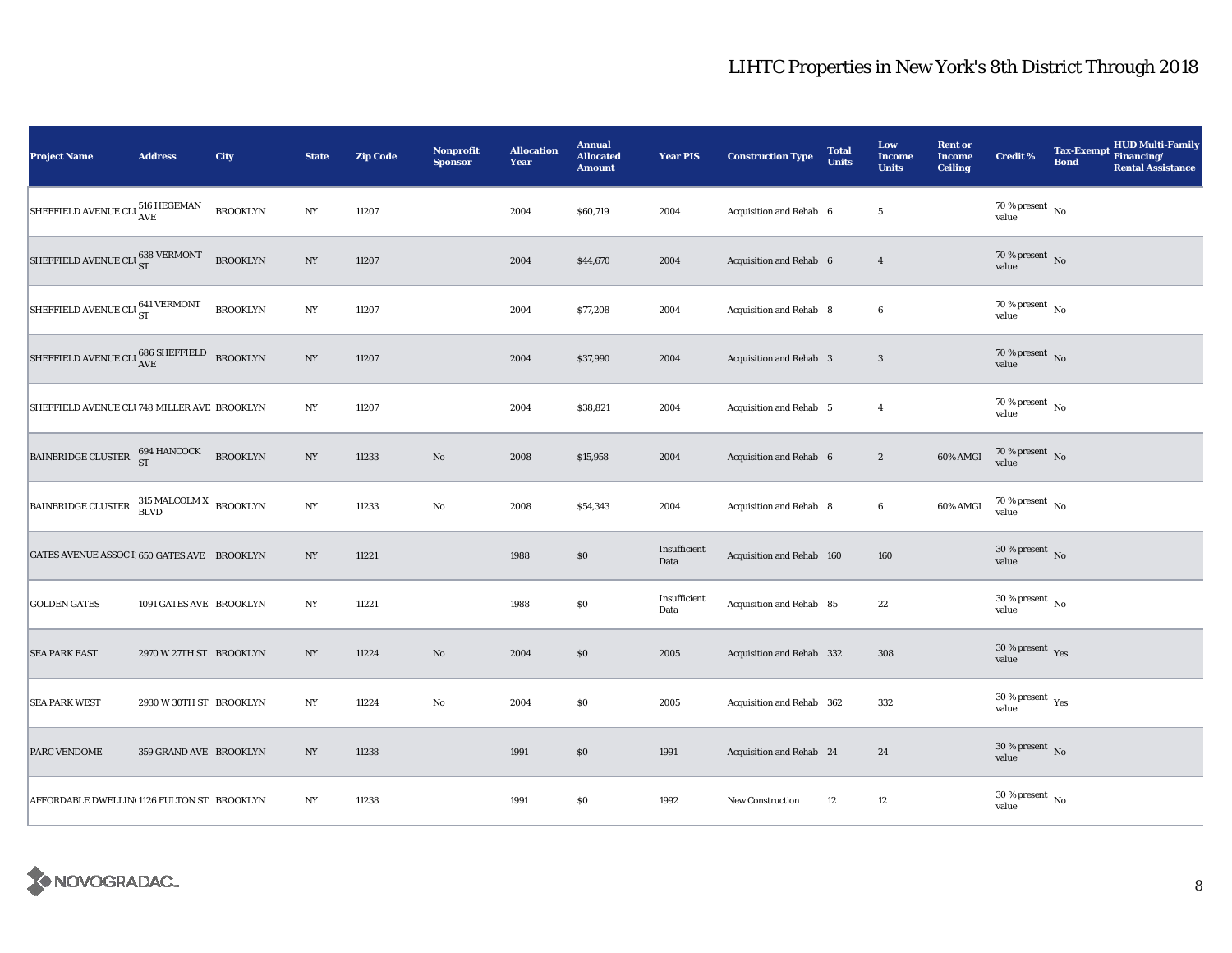| <b>Project Name</b>                                        | <b>Address</b>          | City            | <b>State</b>     | <b>Zip Code</b> | <b>Nonprofit</b><br><b>Sponsor</b> | <b>Allocation</b><br>Year | <b>Annual</b><br><b>Allocated</b><br><b>Amount</b> | <b>Year PIS</b>      | <b>Construction Type</b>  | <b>Total</b><br><b>Units</b> | Low<br><b>Income</b><br><b>Units</b> | <b>Rent or</b><br><b>Income</b><br><b>Ceiling</b> | <b>Credit %</b>                                       | <b>Bond</b> | <b>HUD Multi-Family</b><br>Tax-Exempt Financing/<br><b>Rental Assistance</b> |
|------------------------------------------------------------|-------------------------|-----------------|------------------|-----------------|------------------------------------|---------------------------|----------------------------------------------------|----------------------|---------------------------|------------------------------|--------------------------------------|---------------------------------------------------|-------------------------------------------------------|-------------|------------------------------------------------------------------------------|
| SHEFFIELD AVENUE CLI 516 HEGEMAN                           |                         | <b>BROOKLYN</b> | $_{\mathrm{NY}}$ | 11207           |                                    | 2004                      | \$60,719                                           | 2004                 | Acquisition and Rehab 6   |                              | $5\phantom{.0}$                      |                                                   | $70\,\%$ present $\,$ No value                        |             |                                                                              |
| SHEFFIELD AVENUE CLI $_{\rm ST}^{638}$ VERMONT             |                         | <b>BROOKLYN</b> | NY               | 11207           |                                    | 2004                      | \$44,670                                           | 2004                 | Acquisition and Rehab 6   |                              | $\overline{4}$                       |                                                   | 70 % present $\,$ No $\,$<br>value                    |             |                                                                              |
| SHEFFIELD AVENUE CLI <sub>ST</sub>                         |                         | <b>BROOKLYN</b> | NY               | 11207           |                                    | 2004                      | \$77,208                                           | 2004                 | Acquisition and Rehab 8   |                              | $\boldsymbol{6}$                     |                                                   | $70\,\%$ present $\overline{\phantom{1}}$ No<br>value |             |                                                                              |
| SHEFFIELD AVENUE CLU $\rm ^{686}_{AVE}$ SHEFFIELD BROOKLYN |                         |                 | NY               | 11207           |                                    | 2004                      | \$37,990                                           | 2004                 | Acquisition and Rehab 3   |                              | $\overline{\mathbf{3}}$              |                                                   | 70 % present $\hbox{~No}$<br>value                    |             |                                                                              |
| SHEFFIELD AVENUE CLI 748 MILLER AVE BROOKLYN               |                         |                 | $_{\mathrm{NY}}$ | 11207           |                                    | 2004                      | \$38,821                                           | 2004                 | Acquisition and Rehab 5   |                              | $\overline{4}$                       |                                                   | $70$ % present $\,$ No $\,$<br>value                  |             |                                                                              |
| BAINBRIDGE CLUSTER $^{694}_{\rm ST}$ HANCOCK               |                         | <b>BROOKLYN</b> | $_{\mathrm{NY}}$ | 11233           | $\rm No$                           | 2008                      | \$15,958                                           | 2004                 | Acquisition and Rehab 6   |                              | $\boldsymbol{2}$                     | 60% AMGI                                          | $70\,\%$ present $\,$ No value                        |             |                                                                              |
| BAINBRIDGE CLUSTER BLVD BROOKLYN                           |                         |                 | $_{\mathrm{NY}}$ | 11233           | $\rm No$                           | 2008                      | \$54,343                                           | 2004                 | Acquisition and Rehab 8   |                              | $\bf 6$                              | 60% AMGI                                          | $70\,\%$ present $\,$ No value                        |             |                                                                              |
| GATES AVENUE ASSOC I 650 GATES AVE BROOKLYN                |                         |                 | NY               | 11221           |                                    | 1988                      | $\$0$                                              | Insufficient<br>Data | Acquisition and Rehab 160 |                              | 160                                  |                                                   | $30\%$ present No<br>value                            |             |                                                                              |
| <b>GOLDEN GATES</b>                                        | 1091 GATES AVE BROOKLYN |                 | $_{\mathrm{NY}}$ | 11221           |                                    | 1988                      | $\$0$                                              | Insufficient<br>Data | Acquisition and Rehab 85  |                              | 22                                   |                                                   | $30$ % present $\,$ No $\,$<br>value                  |             |                                                                              |
| <b>SEA PARK EAST</b>                                       | 2970 W 27TH ST BROOKLYN |                 | NY               | 11224           | $\rm No$                           | 2004                      | \$0                                                | 2005                 | Acquisition and Rehab 332 |                              | 308                                  |                                                   | $30\,\%$ present $\,$ Yes value                       |             |                                                                              |
| <b>SEA PARK WEST</b>                                       | 2930 W 30TH ST BROOKLYN |                 | NY               | 11224           | No                                 | 2004                      | \$0                                                | 2005                 | Acquisition and Rehab 362 |                              | 332                                  |                                                   | $30\,\%$ present $\,$ Yes value                       |             |                                                                              |
| PARC VENDOME                                               | 359 GRAND AVE BROOKLYN  |                 | NY               | 11238           |                                    | 1991                      | \$0                                                | 1991                 | Acquisition and Rehab 24  |                              | 24                                   |                                                   | $30\,\%$ present $\,$ No value                        |             |                                                                              |
| AFFORDABLE DWELLIN(1126 FULTON ST BROOKLYN                 |                         |                 | NY               | 11238           |                                    | 1991                      | $\$0$                                              | 1992                 | New Construction          | 12                           | 12                                   |                                                   | $30\,\%$ present $\,$ No $\,$<br>value                |             |                                                                              |

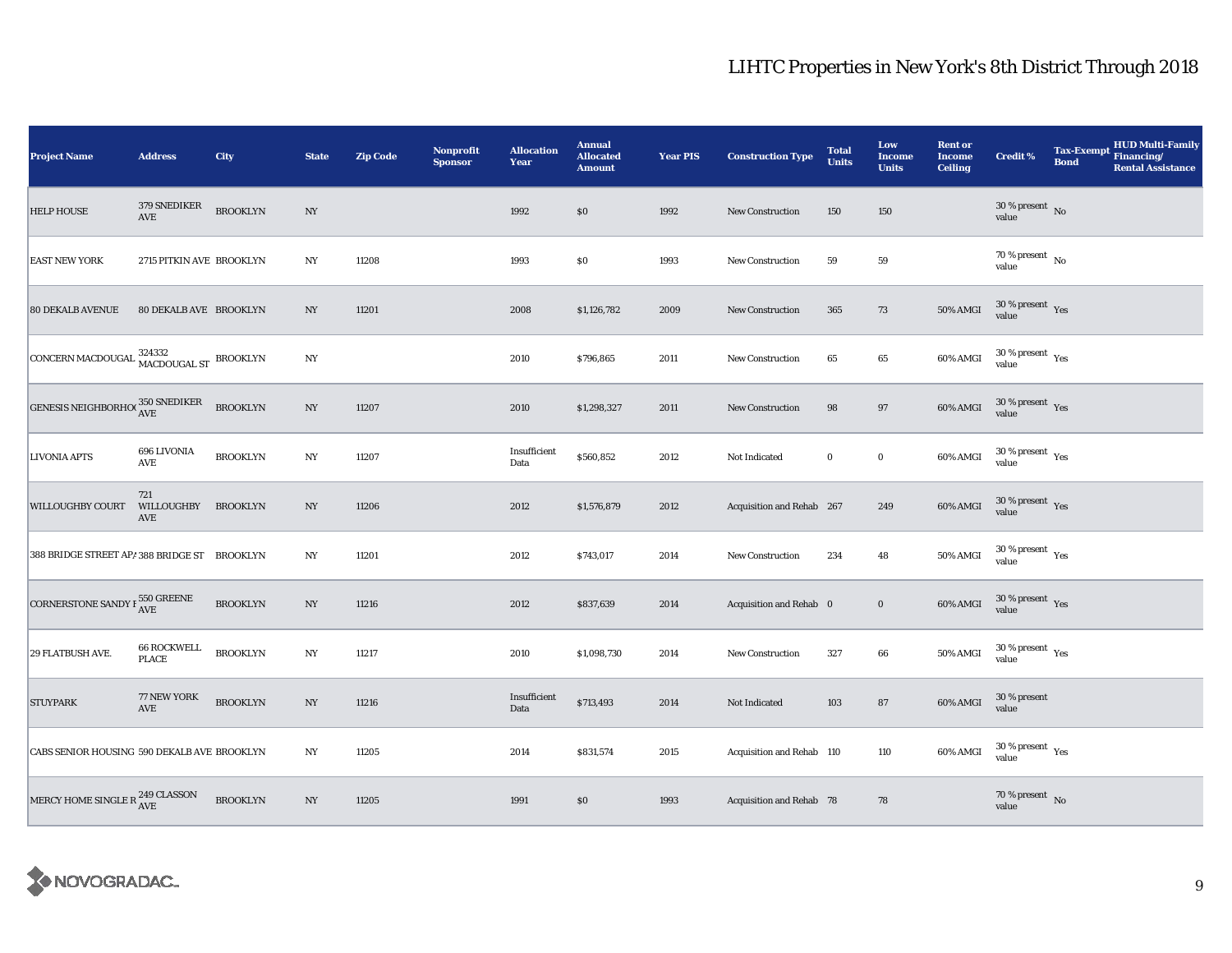| <b>Project Name</b>                               | <b>Address</b>                       | City            | <b>State</b>     | <b>Zip Code</b> | <b>Nonprofit</b><br><b>Sponsor</b> | <b>Allocation</b><br>Year | <b>Annual</b><br><b>Allocated</b><br><b>Amount</b> | <b>Year PIS</b> | <b>Construction Type</b>  | <b>Total</b><br><b>Units</b> | Low<br><b>Income</b><br><b>Units</b> | <b>Rent or</b><br><b>Income</b><br><b>Ceiling</b> | <b>Credit %</b>                      | <b>HUD Multi-Family</b><br><b>Tax-Exempt</b><br>Financing/<br><b>Bond</b><br><b>Rental Assistance</b> |
|---------------------------------------------------|--------------------------------------|-----------------|------------------|-----------------|------------------------------------|---------------------------|----------------------------------------------------|-----------------|---------------------------|------------------------------|--------------------------------------|---------------------------------------------------|--------------------------------------|-------------------------------------------------------------------------------------------------------|
| <b>HELP HOUSE</b>                                 | 379 SNEDIKER<br>$\operatorname{AVE}$ | <b>BROOKLYN</b> | $_{\mathrm{NY}}$ |                 |                                    | 1992                      | \$0                                                | 1992            | <b>New Construction</b>   | 150                          | 150                                  |                                                   | $30\,\%$ present $\,$ No value       |                                                                                                       |
| <b>EAST NEW YORK</b>                              | 2715 PITKIN AVE BROOKLYN             |                 | NY               | 11208           |                                    | 1993                      | $\$0$                                              | 1993            | <b>New Construction</b>   | 59                           | ${\bf 59}$                           |                                                   | 70 % present $\,$ No $\,$<br>value   |                                                                                                       |
| <b>80 DEKALB AVENUE</b>                           | 80 DEKALB AVE BROOKLYN               |                 | NY               | 11201           |                                    | 2008                      | \$1,126,782                                        | 2009            | New Construction          | 365                          | 73                                   | 50% AMGI                                          | $30\,\%$ present $\,$ Yes value      |                                                                                                       |
| CONCERN MACDOUGAL 324332<br>MACDOUGAL ST BROOKLYN |                                      |                 | NY               |                 |                                    | 2010                      | \$796,865                                          | 2011            | <b>New Construction</b>   | 65                           | 65                                   | 60% AMGI                                          | $30\,\%$ present $\,$ Yes value      |                                                                                                       |
| GENESIS NEIGHBORHOC 350 SNEDIKER                  |                                      | <b>BROOKLYN</b> | $_{\mathrm{NY}}$ | 11207           |                                    | 2010                      | \$1,298,327                                        | 2011            | <b>New Construction</b>   | 98                           | $\bf 97$                             | 60% AMGI                                          | $30\,\%$ present $\,$ Yes value      |                                                                                                       |
| <b>LIVONIA APTS</b>                               | 696 LIVONIA<br>AVE                   | <b>BROOKLYN</b> | $_{\mathrm{NY}}$ | 11207           |                                    | Insufficient<br>Data      | \$560,852                                          | 2012            | Not Indicated             | $\mathbf 0$                  | $\mathbf 0$                          | 60% AMGI                                          | $30\,\%$ present $\,$ Yes value      |                                                                                                       |
| <b>WILLOUGHBY COURT</b>                           | 721<br>WILLOUGHBY<br>AVE             | <b>BROOKLYN</b> | NY               | 11206           |                                    | 2012                      | \$1,576,879                                        | 2012            | Acquisition and Rehab 267 |                              | 249                                  | 60% AMGI                                          | $30\,\%$ present $\,$ Yes value      |                                                                                                       |
| 388 BRIDGE STREET AP/ 388 BRIDGE ST BROOKLYN      |                                      |                 | NY               | 11201           |                                    | 2012                      | \$743,017                                          | 2014            | <b>New Construction</b>   | 234                          | 48                                   | 50% AMGI                                          | $30\,\%$ present $\,$ Yes value      |                                                                                                       |
| CORNERSTONE SANDY F $^{550}_{\rm{AVE}}$           |                                      | <b>BROOKLYN</b> | $_{\mathrm{NY}}$ | 11216           |                                    | 2012                      | \$837,639                                          | 2014            | Acquisition and Rehab 0   |                              | $\mathbf 0$                          | 60% AMGI                                          | $30\,\%$ present $\,$ Yes value      |                                                                                                       |
| <b>29 FLATBUSH AVE.</b>                           | <b>66 ROCKWELL</b><br><b>PLACE</b>   | <b>BROOKLYN</b> | $_{\mathrm{NY}}$ | 11217           |                                    | 2010                      | \$1,098,730                                        | 2014            | <b>New Construction</b>   | 327                          | $\bf 66$                             | 50% AMGI                                          | $30\,\%$ present $\,$ Yes value      |                                                                                                       |
| <b>STUYPARK</b>                                   | 77 NEW YORK<br>AVE                   | <b>BROOKLYN</b> | NY               | 11216           |                                    | Insufficient<br>Data      | \$713,493                                          | 2014            | Not Indicated             | 103                          | ${\bf 87}$                           | 60% AMGI                                          | 30 % present<br>value                |                                                                                                       |
| CABS SENIOR HOUSING 590 DEKALB AVE BROOKLYN       |                                      |                 | NY               | 11205           |                                    | 2014                      | \$831,574                                          | 2015            | Acquisition and Rehab 110 |                              | 110                                  | 60% AMGI                                          | $30\,\%$ present $\,$ Yes value      |                                                                                                       |
| MERCY HOME SINGLE R $^{249}_{\rm{AVE}}$           |                                      | <b>BROOKLYN</b> | NY               | 11205           |                                    | 1991                      | \$0                                                | 1993            | Acquisition and Rehab 78  |                              | 78                                   |                                                   | 70 % present $\overline{N}$<br>value |                                                                                                       |

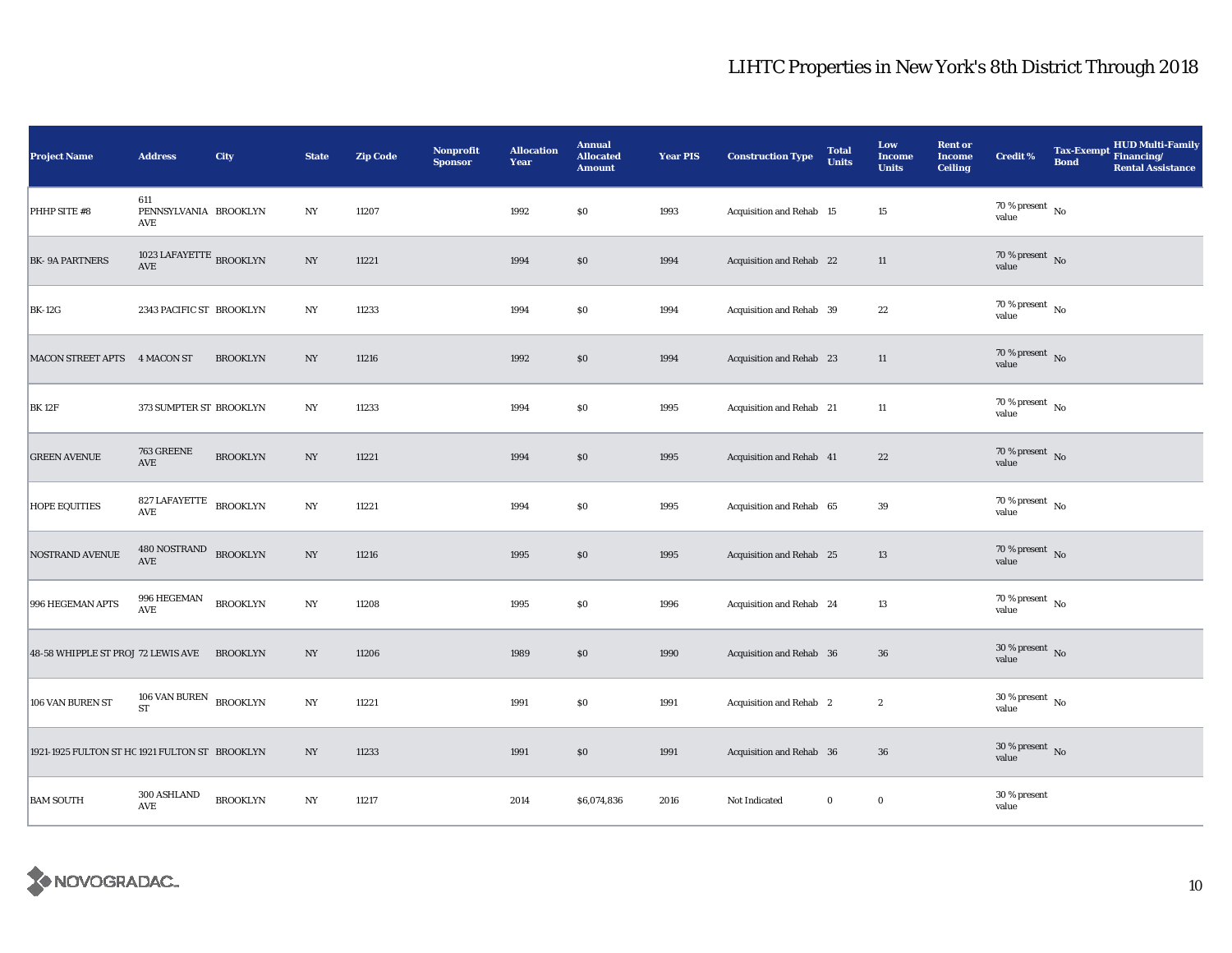| Project Name                                   | <b>Address</b>                                           | City            | <b>State</b>     | <b>Zip Code</b> | Nonprofit<br><b>Sponsor</b> | <b>Allocation</b><br>Year | <b>Annual</b><br><b>Allocated</b><br><b>Amount</b> | <b>Year PIS</b> | <b>Construction Type</b> | <b>Total</b><br><b>Units</b> | Low<br><b>Income</b><br><b>Units</b> | <b>Rent or</b><br><b>Income</b><br><b>Ceiling</b> | <b>Credit %</b>                    | <b>Bond</b> | Tax-Exempt HUD Multi-Family<br><b>Rental Assistance</b> |
|------------------------------------------------|----------------------------------------------------------|-----------------|------------------|-----------------|-----------------------------|---------------------------|----------------------------------------------------|-----------------|--------------------------|------------------------------|--------------------------------------|---------------------------------------------------|------------------------------------|-------------|---------------------------------------------------------|
| PHHP SITE #8                                   | 611<br>PENNSYLVANIA BROOKLYN<br>AVE                      |                 | $_{\mathrm{NY}}$ | 11207           |                             | 1992                      | $\$0$                                              | 1993            | Acquisition and Rehab 15 |                              | $15\,$                               |                                                   | $70\,\%$ present $\,$ No value     |             |                                                         |
| <b>BK-9A PARTNERS</b>                          | 1023 LAFAYETTE $_{\rm BROOKLYN}$<br>$\operatorname{AVE}$ |                 | NY               | 11221           |                             | 1994                      | $\$0$                                              | 1994            | Acquisition and Rehab 22 |                              | 11                                   |                                                   | 70 % present No<br>value           |             |                                                         |
| <b>BK-12G</b>                                  | 2343 PACIFIC ST BROOKLYN                                 |                 | NY               | 11233           |                             | 1994                      | $\$0$                                              | 1994            | Acquisition and Rehab 39 |                              | 22                                   |                                                   | 70 % present $\hbox{~No}$<br>value |             |                                                         |
| MACON STREET APTS 4 MACON ST                   |                                                          | <b>BROOKLYN</b> | NY               | 11216           |                             | 1992                      | $\$0$                                              | 1994            | Acquisition and Rehab 23 |                              | $11\,$                               |                                                   | 70 % present $\hbox{~No}$<br>value |             |                                                         |
| <b>BK12F</b>                                   | 373 SUMPTER ST BROOKLYN                                  |                 | NY               | 11233           |                             | 1994                      | $\$0$                                              | 1995            | Acquisition and Rehab 21 |                              | $11\,$                               |                                                   | 70 % present $\hbox{~No}$<br>value |             |                                                         |
| <b>GREEN AVENUE</b>                            | 763 GREENE<br>$\operatorname{AVE}$                       | <b>BROOKLYN</b> | $_{\mathrm{NY}}$ | 11221           |                             | 1994                      | $\$0$                                              | 1995            | Acquisition and Rehab 41 |                              | $\bf{22}$                            |                                                   | 70 % present $\,$ No $\,$<br>value |             |                                                         |
| <b>HOPE EQUITIES</b>                           | 827 LAFAYETTE BROOKLYN<br>AVE                            |                 | $_{\mathrm{NY}}$ | 11221           |                             | 1994                      | $\$0$                                              | 1995            | Acquisition and Rehab 65 |                              | 39                                   |                                                   | 70 % present $\hbox{~No}$<br>value |             |                                                         |
| <b>NOSTRAND AVENUE</b>                         | 480 NOSTRAND<br><b>AVE</b>                               | <b>BROOKLYN</b> | $_{\mathrm{NY}}$ | 11216           |                             | 1995                      | \$0\$                                              | 1995            | Acquisition and Rehab 25 |                              | 13                                   |                                                   | 70 % present $\hbox{~No}$<br>value |             |                                                         |
| 996 HEGEMAN APTS                               | 996 HEGEMAN<br>$\operatorname{AVE}$                      | <b>BROOKLYN</b> | $_{\mathrm{NY}}$ | 11208           |                             | 1995                      | $\$0$                                              | 1996            | Acquisition and Rehab 24 |                              | $13\,$                               |                                                   | 70 % present $\hbox{~No}$<br>value |             |                                                         |
| 48-58 WHIPPLE ST PROJ 72 LEWIS AVE             |                                                          | <b>BROOKLYN</b> | NY               | 11206           |                             | 1989                      | $\$0$                                              | 1990            | Acquisition and Rehab 36 |                              | ${\bf 36}$                           |                                                   | $30\,\%$ present $\,$ No value     |             |                                                         |
| 106 VAN BUREN ST                               | 106 VAN BUREN $_{\rm BROOKLYN}$<br><b>ST</b>             |                 | $_{\mathrm{NY}}$ | 11221           |                             | 1991                      | $\$0$                                              | 1991            | Acquisition and Rehab 2  |                              | $\boldsymbol{2}$                     |                                                   | $30\,\%$ present $\,$ No value     |             |                                                         |
| 1921-1925 FULTON ST HC 1921 FULTON ST BROOKLYN |                                                          |                 | NY               | 11233           |                             | 1991                      | \$0                                                | 1991            | Acquisition and Rehab 36 |                              | ${\bf 36}$                           |                                                   | $30\,\%$ present $\,$ No value     |             |                                                         |
| <b>BAM SOUTH</b>                               | 300 ASHLAND<br>AVE                                       | <b>BROOKLYN</b> | $_{\mathrm{NY}}$ | 11217           |                             | 2014                      | \$6,074,836                                        | 2016            | Not Indicated            | $\mathbf 0$                  | $\bf{0}$                             |                                                   | 30 % present<br>value              |             |                                                         |

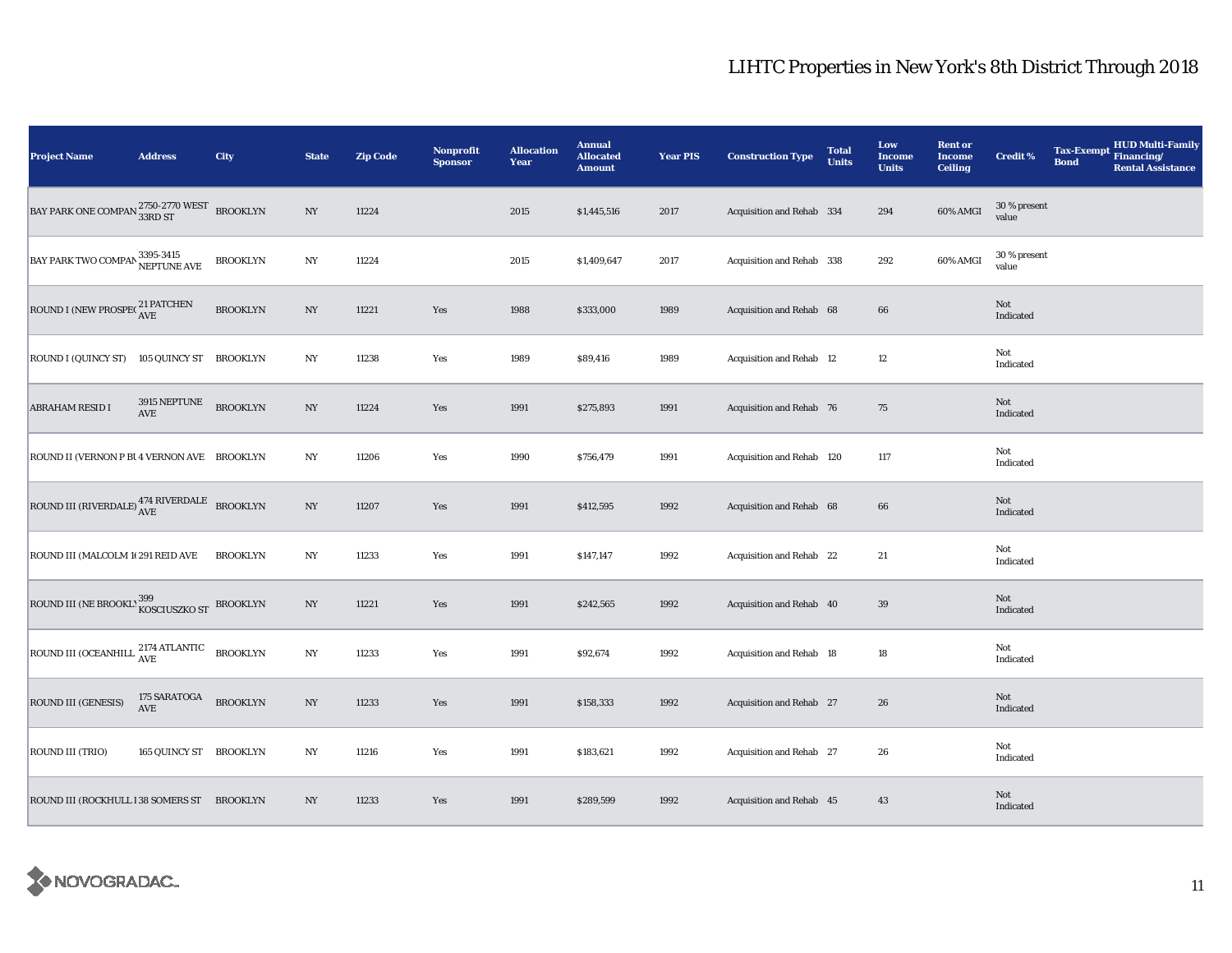| <b>Project Name</b>                                                     | <b>Address</b>             | City            | <b>State</b>     | <b>Zip Code</b> | <b>Nonprofit</b><br><b>Sponsor</b> | <b>Allocation</b><br>Year | <b>Annual</b><br><b>Allocated</b><br><b>Amount</b> | <b>Year PIS</b> | <b>Construction Type</b>  | <b>Total</b><br><b>Units</b> | Low<br><b>Income</b><br><b>Units</b> | <b>Rent or</b><br><b>Income</b><br><b>Ceiling</b> | <b>Credit %</b>       | <b>Tax-Exempt</b><br><b>Bond</b> | <b>HUD Multi-Family</b><br>Financing/<br><b>Rental Assistance</b> |
|-------------------------------------------------------------------------|----------------------------|-----------------|------------------|-----------------|------------------------------------|---------------------------|----------------------------------------------------|-----------------|---------------------------|------------------------------|--------------------------------------|---------------------------------------------------|-----------------------|----------------------------------|-------------------------------------------------------------------|
| BAY PARK ONE COMPAN $^{2750\text{-}2770\ \text{WEST}}_{33\text{RD ST}}$ |                            | <b>BROOKLYN</b> | $_{\mathrm{NY}}$ | 11224           |                                    | 2015                      | \$1,445,516                                        | 2017            | Acquisition and Rehab 334 |                              | 294                                  | 60% AMGI                                          | 30 % present<br>value |                                  |                                                                   |
| BAY PARK TWO COMPAN 3395-3415<br>NEPTUNE AVE                            |                            | <b>BROOKLYN</b> | $_{\mathrm{NY}}$ | 11224           |                                    | 2015                      | \$1,409,647                                        | 2017            | Acquisition and Rehab 338 |                              | 292                                  | 60% AMGI                                          | 30 % present<br>value |                                  |                                                                   |
| ROUND I (NEW PROSPECTRIPATCHEN                                          |                            | <b>BROOKLYN</b> | NY               | 11221           | Yes                                | 1988                      | \$333,000                                          | 1989            | Acquisition and Rehab 68  |                              | 66                                   |                                                   | Not<br>Indicated      |                                  |                                                                   |
| ROUND I (QUINCY ST) 105 QUINCY ST BROOKLYN                              |                            |                 | NY               | 11238           | Yes                                | 1989                      | \$89,416                                           | 1989            | Acquisition and Rehab 12  |                              | 12                                   |                                                   | Not<br>Indicated      |                                  |                                                                   |
| <b>ABRAHAM RESID I</b>                                                  | 3915 NEPTUNE<br>AVE        | <b>BROOKLYN</b> | $_{\mathrm{NY}}$ | 11224           | Yes                                | 1991                      | \$275,893                                          | 1991            | Acquisition and Rehab 76  |                              | 75                                   |                                                   | Not<br>Indicated      |                                  |                                                                   |
| ROUND II (VERNON P BI 4 VERNON AVE BROOKLYN                             |                            |                 | NY               | 11206           | Yes                                | 1990                      | \$756,479                                          | 1991            | Acquisition and Rehab 120 |                              | 117                                  |                                                   | Not<br>Indicated      |                                  |                                                                   |
| ROUND III (RIVERDALE) $_{\rm AVE}^{474\rm ~RIVERDALE}$ BROOKLYN         |                            |                 | $_{\mathrm{NY}}$ | 11207           | Yes                                | 1991                      | \$412,595                                          | 1992            | Acquisition and Rehab 68  |                              | $\bf{66}$                            |                                                   | Not<br>Indicated      |                                  |                                                                   |
| ROUND III (MALCOLM 10 291 REID AVE                                      |                            | <b>BROOKLYN</b> | $_{\mathrm{NY}}$ | 11233           | Yes                                | 1991                      | \$147,147                                          | 1992            | Acquisition and Rehab 22  |                              | 21                                   |                                                   | Not<br>Indicated      |                                  |                                                                   |
| ROUND III (NE BROOKL' 399 KOSCIUSZKO ST BROOKLYN                        |                            |                 | $_{\mathrm{NY}}$ | 11221           | Yes                                | 1991                      | \$242,565                                          | 1992            | Acquisition and Rehab 40  |                              | $39\,$                               |                                                   | Not<br>Indicated      |                                  |                                                                   |
| ROUND III (OCEANHILL <sup>2174</sup> ATLANTIC                           |                            | <b>BROOKLYN</b> | $_{\mathrm{NY}}$ | 11233           | Yes                                | 1991                      | \$92,674                                           | 1992            | Acquisition and Rehab 18  |                              | 18                                   |                                                   | Not<br>Indicated      |                                  |                                                                   |
| ROUND III (GENESIS)                                                     | 175 SARATOGA<br><b>AVE</b> | <b>BROOKLYN</b> | $_{\mathrm{NY}}$ | 11233           | Yes                                | 1991                      | \$158,333                                          | 1992            | Acquisition and Rehab 27  |                              | 26                                   |                                                   | Not<br>Indicated      |                                  |                                                                   |
| ROUND III (TRIO)                                                        | 165 QUINCY ST BROOKLYN     |                 | $_{\mathrm{NY}}$ | 11216           | Yes                                | 1991                      | \$183,621                                          | 1992            | Acquisition and Rehab 27  |                              | 26                                   |                                                   | Not<br>Indicated      |                                  |                                                                   |
| ROUND III (ROCKHULL 138 SOMERS ST BROOKLYN                              |                            |                 | $_{\mathrm{NY}}$ | 11233           | Yes                                | 1991                      | \$289,599                                          | 1992            | Acquisition and Rehab 45  |                              | 43                                   |                                                   | Not<br>Indicated      |                                  |                                                                   |

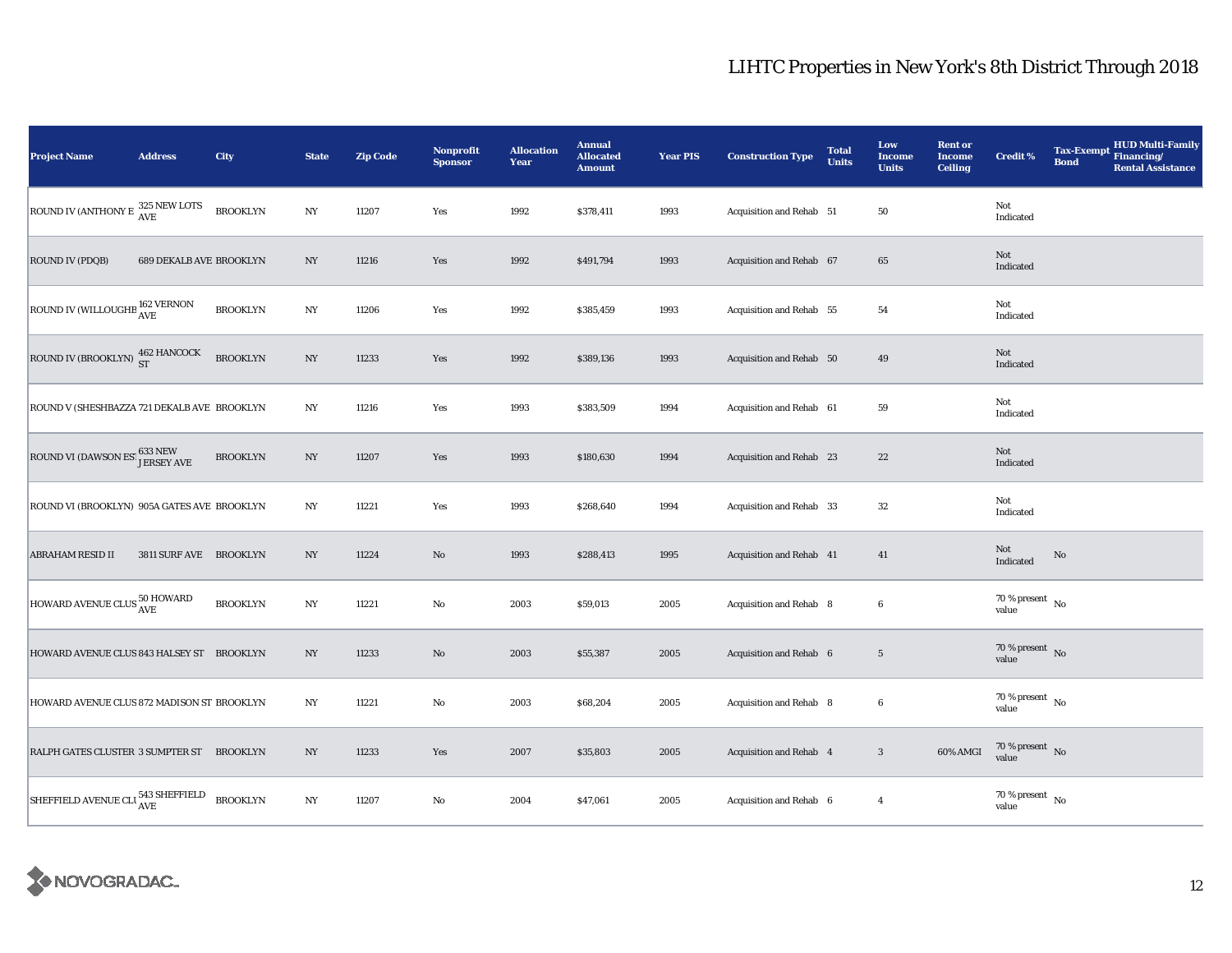| <b>Project Name</b>                                           | <b>Address</b>                 | City            | <b>State</b>     | <b>Zip Code</b> | <b>Nonprofit</b><br><b>Sponsor</b> | <b>Allocation</b><br>Year | <b>Annual</b><br><b>Allocated</b><br><b>Amount</b> | <b>Year PIS</b> | <b>Construction Type</b> | <b>Total</b><br><b>Units</b> | Low<br><b>Income</b><br><b>Units</b> | <b>Rent or</b><br><b>Income</b><br><b>Ceiling</b> | <b>Credit %</b>                      | <b>Tax-Exempt</b><br><b>Bond</b> | HUD Multi-Family<br>Financing/<br><b>Rental Assistance</b> |
|---------------------------------------------------------------|--------------------------------|-----------------|------------------|-----------------|------------------------------------|---------------------------|----------------------------------------------------|-----------------|--------------------------|------------------------------|--------------------------------------|---------------------------------------------------|--------------------------------------|----------------------------------|------------------------------------------------------------|
| ROUND IV (ANTHONY E $\frac{325 \text{ NEW LOTS}}{\text{AVE}}$ |                                | <b>BROOKLYN</b> | $_{\mathrm{NY}}$ | 11207           | Yes                                | 1992                      | \$378,411                                          | 1993            | Acquisition and Rehab 51 |                              | 50                                   |                                                   | Not<br>Indicated                     |                                  |                                                            |
| <b>ROUND IV (PDQB)</b>                                        | <b>689 DEKALB AVE BROOKLYN</b> |                 | $_{\mathrm{NY}}$ | 11216           | Yes                                | 1992                      | \$491,794                                          | 1993            | Acquisition and Rehab 67 |                              | 65                                   |                                                   | Not<br>Indicated                     |                                  |                                                            |
| ROUND IV (WILLOUGHB 162 VERNON                                |                                | <b>BROOKLYN</b> | NY               | 11206           | Yes                                | 1992                      | \$385,459                                          | 1993            | Acquisition and Rehab 55 |                              | 54                                   |                                                   | Not<br>Indicated                     |                                  |                                                            |
| ROUND IV (BROOKLYN) $^{462}_{ST}$ HANCOCK                     |                                | <b>BROOKLYN</b> | NY               | 11233           | Yes                                | 1992                      | \$389,136                                          | 1993            | Acquisition and Rehab 50 |                              | 49                                   |                                                   | Not<br>Indicated                     |                                  |                                                            |
| ROUND V (SHESHBAZZA 721 DEKALB AVE BROOKLYN                   |                                |                 | NY               | 11216           | Yes                                | 1993                      | \$383,509                                          | 1994            | Acquisition and Rehab 61 |                              | 59                                   |                                                   | Not<br>Indicated                     |                                  |                                                            |
| ROUND VI (DAWSON ES! 633 NEW JERSEY AVE                       |                                | <b>BROOKLYN</b> | NY               | 11207           | Yes                                | 1993                      | \$180,630                                          | 1994            | Acquisition and Rehab 23 |                              | $\bf{22}$                            |                                                   | Not<br>Indicated                     |                                  |                                                            |
| ROUND VI (BROOKLYN) 905A GATES AVE BROOKLYN                   |                                |                 | NY               | 11221           | Yes                                | 1993                      | \$268,640                                          | 1994            | Acquisition and Rehab 33 |                              | 32                                   |                                                   | Not<br>Indicated                     |                                  |                                                            |
| <b>ABRAHAM RESID II</b>                                       | 3811 SURF AVE BROOKLYN         |                 | $_{\mathrm{NY}}$ | 11224           | No                                 | 1993                      | \$288,413                                          | 1995            | Acquisition and Rehab 41 |                              | 41                                   |                                                   | Not<br>Indicated                     | No                               |                                                            |
| HOWARD AVENUE CLUS 50 HOWARD                                  |                                | <b>BROOKLYN</b> | $_{\mathrm{NY}}$ | 11221           | $\rm No$                           | 2003                      | \$59,013                                           | 2005            | Acquisition and Rehab 8  |                              | 6                                    |                                                   | $70$ % present $\,$ No $\,$<br>value |                                  |                                                            |
| HOWARD AVENUE CLUS 843 HALSEY ST BROOKLYN                     |                                |                 | NY               | 11233           | No                                 | 2003                      | \$55,387                                           | 2005            | Acquisition and Rehab 6  |                              | $5\phantom{.0}$                      |                                                   | 70 % present $\bar{N}$ o<br>value    |                                  |                                                            |
| HOWARD AVENUE CLUS 872 MADISON ST BROOKLYN                    |                                |                 | NY               | 11221           | No                                 | 2003                      | \$68,204                                           | 2005            | Acquisition and Rehab 8  |                              | 6                                    |                                                   | $70$ % present $\,$ No $\,$<br>value |                                  |                                                            |
| RALPH GATES CLUSTER 3 SUMPTER ST BROOKLYN                     |                                |                 | NY               | 11233           | Yes                                | 2007                      | \$35,803                                           | 2005            | Acquisition and Rehab 4  |                              | $\boldsymbol{3}$                     | 60% AMGI                                          | $70\,\%$ present $\,$ No value       |                                  |                                                            |
| SHEFFIELD AVENUE CLI 543 SHEFFIELD                            |                                | <b>BROOKLYN</b> | NY               | 11207           | No                                 | 2004                      | \$47,061                                           | 2005            | Acquisition and Rehab 6  |                              | $\overline{4}$                       |                                                   | $70$ % present $\,$ No $\,$<br>value |                                  |                                                            |

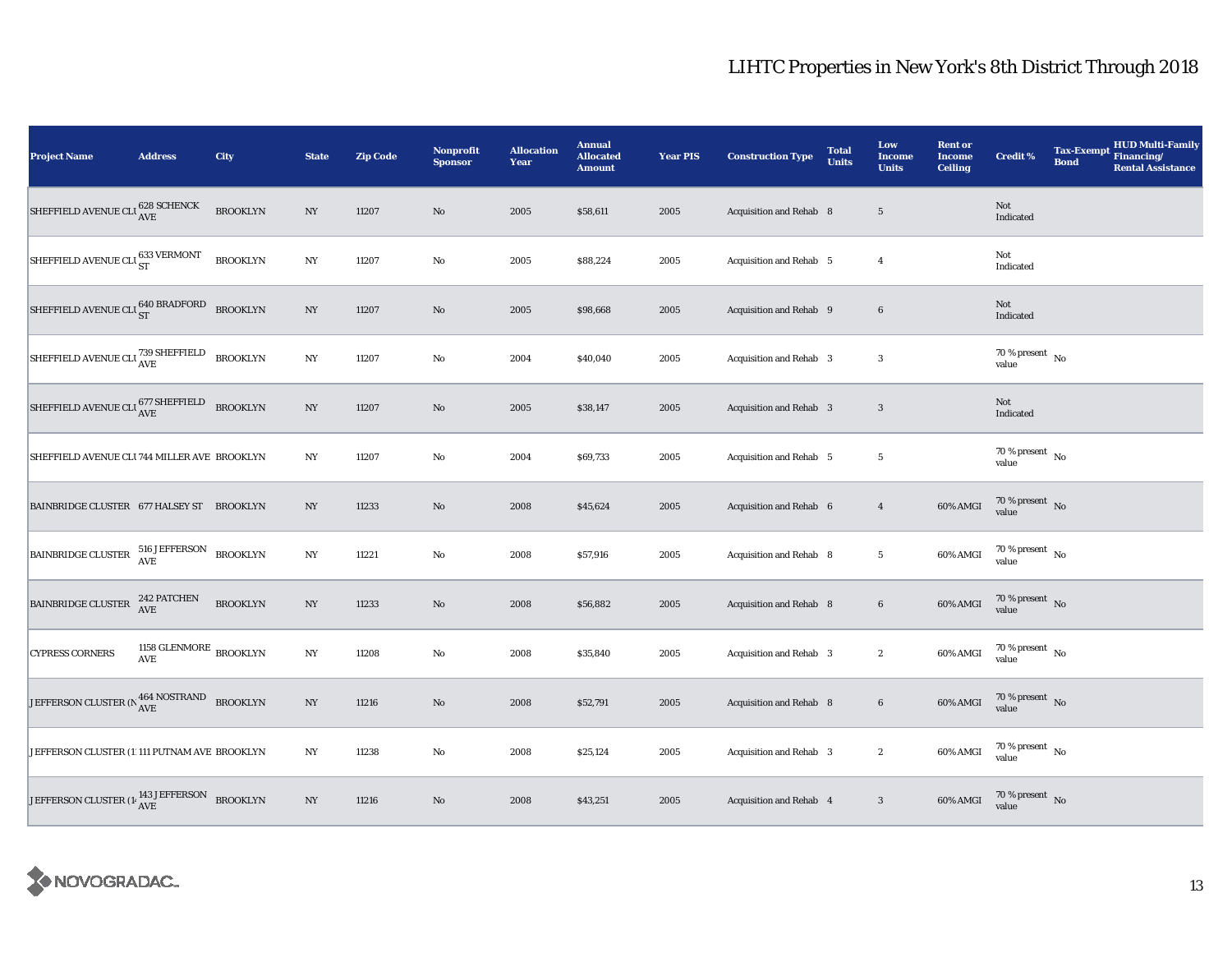| <b>Project Name</b>                                                                                                                                          | <b>Address</b>                                                   | City            | <b>State</b>     | <b>Zip Code</b> | <b>Nonprofit</b><br><b>Sponsor</b> | <b>Allocation</b><br>Year | <b>Annual</b><br><b>Allocated</b><br><b>Amount</b> | <b>Year PIS</b> | <b>Construction Type</b>       | <b>Total</b><br><b>Units</b> | Low<br><b>Income</b><br><b>Units</b> | <b>Rent or</b><br><b>Income</b><br><b>Ceiling</b> | <b>Credit %</b>                      | <b>Tax-Exempt</b><br><b>Bond</b> | HUD Multi-Family<br>Financing/<br><b>Rental Assistance</b> |
|--------------------------------------------------------------------------------------------------------------------------------------------------------------|------------------------------------------------------------------|-----------------|------------------|-----------------|------------------------------------|---------------------------|----------------------------------------------------|-----------------|--------------------------------|------------------------------|--------------------------------------|---------------------------------------------------|--------------------------------------|----------------------------------|------------------------------------------------------------|
| SHEFFIELD AVENUE CLI $^{628}_{\rm AVE}$ SCHENCK                                                                                                              |                                                                  | <b>BROOKLYN</b> | $_{\mathrm{NY}}$ | 11207           | $\rm No$                           | 2005                      | \$58,611                                           | 2005            | <b>Acquisition and Rehab 8</b> |                              | $5\phantom{.0}$                      |                                                   | Not<br>Indicated                     |                                  |                                                            |
| SHEFFIELD AVENUE CLI $_{\rm ST}^{633\ {\rm VERMONT}}$                                                                                                        |                                                                  | <b>BROOKLYN</b> | $_{\mathrm{NY}}$ | 11207           | $\rm No$                           | 2005                      | \$88,224                                           | 2005            | Acquisition and Rehab 5        |                              | $\overline{4}$                       |                                                   | Not<br>Indicated                     |                                  |                                                            |
| SHEFFIELD AVENUE CLU ST BRADFORD BROOKLYN                                                                                                                    |                                                                  |                 | NY               | 11207           | $\rm No$                           | 2005                      | \$98,668                                           | 2005            | Acquisition and Rehab 9        |                              | $\bf 6$                              |                                                   | Not<br>Indicated                     |                                  |                                                            |
| SHEFFIELD AVENUE CLU 739 SHEFFIELD BROOKLYN                                                                                                                  |                                                                  |                 | NY               | 11207           | $\rm No$                           | 2004                      | \$40,040                                           | 2005            | Acquisition and Rehab 3        |                              | $\boldsymbol{3}$                     |                                                   | 70 % present $\hbox{~No}$<br>value   |                                  |                                                            |
| SHEFFIELD AVENUE CLU $^{677}_{\mbox{AVE}}$                                                                                                                   |                                                                  | <b>BROOKLYN</b> | $_{\mathrm{NY}}$ | 11207           | $\rm No$                           | 2005                      | \$38,147                                           | 2005            | Acquisition and Rehab 3        |                              | $\mathbf{3}$                         |                                                   | Not<br>Indicated                     |                                  |                                                            |
| SHEFFIELD AVENUE CLI 744 MILLER AVE BROOKLYN                                                                                                                 |                                                                  |                 | NY               | 11207           | $\rm No$                           | 2004                      | \$69,733                                           | 2005            | Acquisition and Rehab 5        |                              | $5\phantom{.0}$                      |                                                   | $70$ % present $\,$ No $\,$<br>value |                                  |                                                            |
| BAINBRIDGE CLUSTER 677 HALSEY ST BROOKLYN                                                                                                                    |                                                                  |                 | $_{\mathrm{NY}}$ | 11233           | $\rm No$                           | 2008                      | \$45,624                                           | 2005            | Acquisition and Rehab 6        |                              | $\overline{4}$                       | 60% AMGI                                          | $70\,\%$ present $\,$ No value       |                                  |                                                            |
| $\boxed{\texttt{BAINBRIDGE CLUSTER}} \begin{tabular}{l} 516 \texttt{JEFFERSON} \\ \texttt{AVE} \end{tabular} \begin{tabular}{l} \texttt{BRON} \end{tabular}$ |                                                                  |                 | $_{\mathrm{NY}}$ | 11221           | $\rm No$                           | 2008                      | \$57,916                                           | 2005            | Acquisition and Rehab 8        |                              | $\overline{5}$                       | 60% AMGI                                          | $70\,\%$ present $\,$ No value       |                                  |                                                            |
| <b>BAINBRIDGE CLUSTER</b>                                                                                                                                    | 242 PATCHEN<br>AVE                                               | <b>BROOKLYN</b> | $_{\mathrm{NY}}$ | 11233           | $\rm No$                           | 2008                      | \$56,882                                           | 2005            | Acquisition and Rehab 8        |                              | $\bf 6$                              | 60% AMGI                                          | $70\,\%$ present $\,$ No value       |                                  |                                                            |
| <b>CYPRESS CORNERS</b>                                                                                                                                       | 1158 GLENMORE $_{\rm BROOKLYN}$<br>$\operatorname{\mathbf{AVE}}$ |                 | $_{\mathrm{NY}}$ | 11208           | $\rm No$                           | 2008                      | \$35,840                                           | 2005            | Acquisition and Rehab 3        |                              | $\boldsymbol{2}$                     | 60% AMGI                                          | $70\,\%$ present $\,$ No value       |                                  |                                                            |
| JEFFERSON CLUSTER (N $^{464}_{\rm{AVE}}$ NOSTRAND BROOKLYN                                                                                                   |                                                                  |                 | $_{\mathrm{NY}}$ | 11216           | No                                 | 2008                      | \$52,791                                           | 2005            | Acquisition and Rehab 8        |                              | $6\phantom{.0}$                      | 60% AMGI                                          | $70\,\%$ present $\,$ No value       |                                  |                                                            |
| JEFFERSON CLUSTER (1) 111 PUTNAM AVE BROOKLYN                                                                                                                |                                                                  |                 | $_{\mathrm{NY}}$ | 11238           | $\rm No$                           | 2008                      | \$25,124                                           | 2005            | Acquisition and Rehab 3        |                              | $\boldsymbol{2}$                     | 60% AMGI                                          | $70\,\%$ present $\,$ No value       |                                  |                                                            |
| JEFFERSON CLUSTER (1- $\frac{143 \text{ JEFFERSON}}{\text{AVE}}$ BROOKLYN                                                                                    |                                                                  |                 | $_{\mathrm{NY}}$ | 11216           | No                                 | 2008                      | \$43,251                                           | 2005            | Acquisition and Rehab 4        |                              | $\sqrt{3}$                           | 60% AMGI                                          | $70$ % present $\,$ No $\,$ value    |                                  |                                                            |

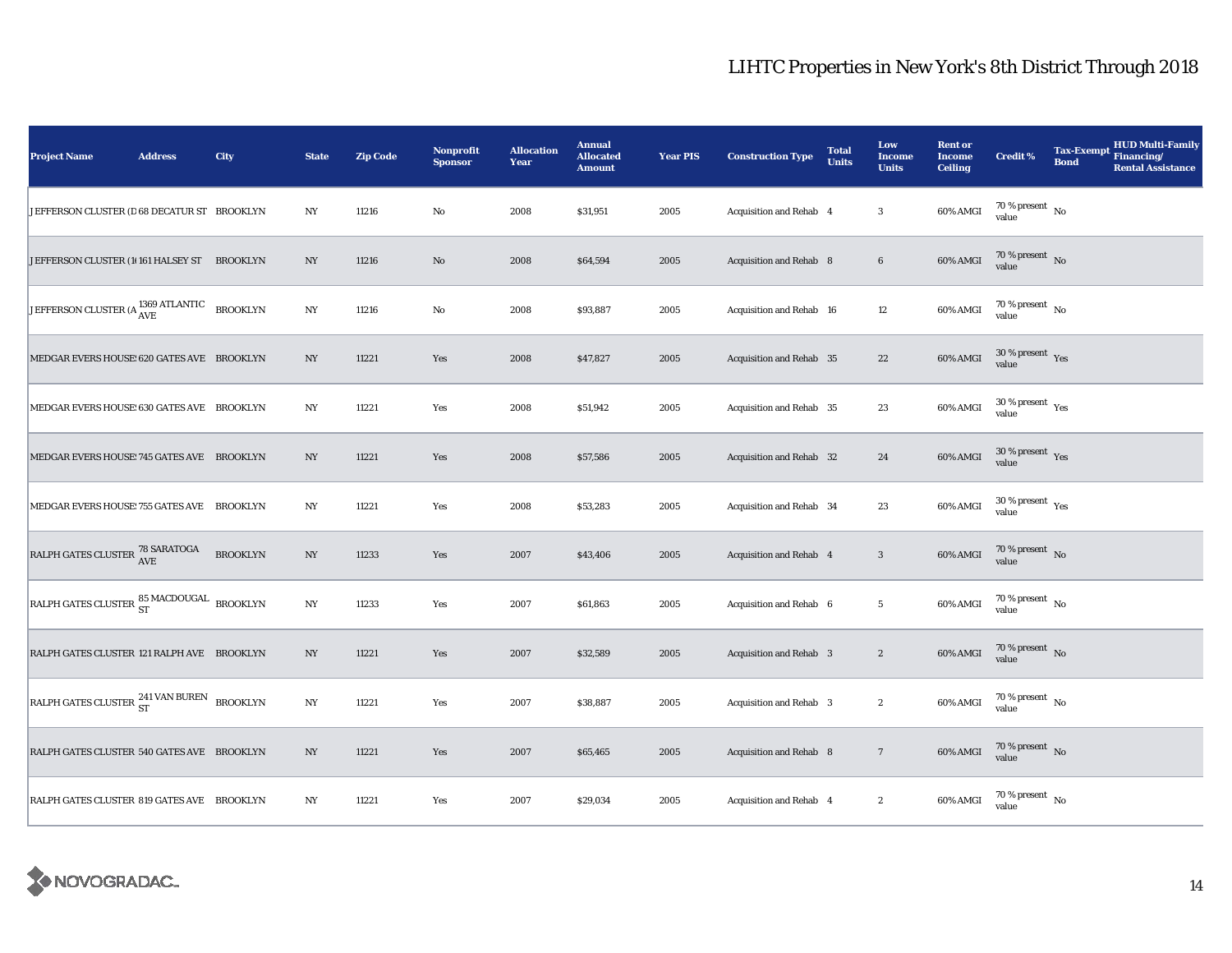| <b>Project Name</b>                                     | <b>Address</b> | City            | <b>State</b>     | <b>Zip Code</b> | Nonprofit<br><b>Sponsor</b> | <b>Allocation</b><br>Year | <b>Annual</b><br><b>Allocated</b><br><b>Amount</b> | <b>Year PIS</b> | <b>Construction Type</b>       | <b>Total</b><br><b>Units</b> | Low<br><b>Income</b><br><b>Units</b> | <b>Rent or</b><br><b>Income</b><br><b>Ceiling</b> | <b>Credit %</b>                              | <b>Tax-Exempt</b><br><b>Bond</b> | <b>HUD Multi-Family</b><br>Financing/<br><b>Rental Assistance</b> |
|---------------------------------------------------------|----------------|-----------------|------------------|-----------------|-----------------------------|---------------------------|----------------------------------------------------|-----------------|--------------------------------|------------------------------|--------------------------------------|---------------------------------------------------|----------------------------------------------|----------------------------------|-------------------------------------------------------------------|
| JEFFERSON CLUSTER (D 68 DECATUR ST BROOKLYN             |                |                 | $_{\mathrm{NY}}$ | 11216           | $\rm No$                    | 2008                      | \$31,951                                           | 2005            | Acquisition and Rehab 4        |                              | $\boldsymbol{3}$                     | 60% AMGI                                          | $70\,\%$ present $\,$ No value               |                                  |                                                                   |
| JEFFERSON CLUSTER (10161 HALSEY ST BROOKLYN             |                |                 | NY               | 11216           | No                          | 2008                      | \$64,594                                           | 2005            | <b>Acquisition and Rehab 8</b> |                              | $\bf 6$                              | 60% AMGI                                          | $70$ % present $\,$ No $\,$<br>value         |                                  |                                                                   |
| JEFFERSON CLUSTER (A <sup>1369</sup> ATLANTIC           |                | <b>BROOKLYN</b> | NY               | 11216           | $\rm No$                    | 2008                      | \$93,887                                           | 2005            | Acquisition and Rehab 16       |                              | 12                                   | 60% AMGI                                          | $70\,\%$ present $\,$ No value               |                                  |                                                                   |
| MEDGAR EVERS HOUSE: 620 GATES AVE BROOKLYN              |                |                 | $_{\mathrm{NY}}$ | 11221           | Yes                         | 2008                      | \$47,827                                           | 2005            | Acquisition and Rehab 35       |                              | $\bf{22}$                            | 60% AMGI                                          | $30\,\%$ present $\,$ Yes value              |                                  |                                                                   |
| MEDGAR EVERS HOUSE: 630 GATES AVE BROOKLYN              |                |                 | NY               | 11221           | Yes                         | 2008                      | \$51,942                                           | 2005            | Acquisition and Rehab 35       |                              | 23                                   | 60% AMGI                                          | $30$ % present $\rm\thinspace\,Yes$<br>value |                                  |                                                                   |
| MEDGAR EVERS HOUSE: 745 GATES AVE BROOKLYN              |                |                 | NY               | 11221           | Yes                         | 2008                      | \$57,586                                           | 2005            | Acquisition and Rehab 32       |                              | ${\bf 24}$                           | 60% AMGI                                          | $30$ % present $\,$ $\rm Yes$<br>value       |                                  |                                                                   |
| MEDGAR EVERS HOUSE: 755 GATES AVE BROOKLYN              |                |                 | $_{\mathrm{NY}}$ | 11221           | Yes                         | 2008                      | \$53,283                                           | 2005            | Acquisition and Rehab 34       |                              | 23                                   | 60% AMGI                                          | $30\,\%$ present $\,$ Yes value              |                                  |                                                                   |
| RALPH GATES CLUSTER 78 SARATOGA                         |                | <b>BROOKLYN</b> | $_{\mathrm{NY}}$ | 11233           | Yes                         | 2007                      | \$43,406                                           | 2005            | Acquisition and Rehab 4        |                              | $\sqrt{3}$                           | 60% AMGI                                          | $70\,\%$ present $\,$ No value               |                                  |                                                                   |
| RALPH GATES CLUSTER $^{85}_{\rm ST}$ MACDOUGAL BROOKLYN |                |                 | $_{\mathrm{NY}}$ | 11233           | Yes                         | 2007                      | \$61,863                                           | 2005            | Acquisition and Rehab 6        |                              | $5\phantom{.0}$                      | 60% AMGI                                          | $70\,\%$ present $\,$ No value               |                                  |                                                                   |
| RALPH GATES CLUSTER 121 RALPH AVE BROOKLYN              |                |                 | NY               | 11221           | Yes                         | 2007                      | \$32,589                                           | 2005            | <b>Acquisition and Rehab 3</b> |                              | $\boldsymbol{2}$                     | 60% AMGI                                          | $70\,\%$ present $\,$ No value               |                                  |                                                                   |
| RALPH GATES CLUSTER <sup>241 VAN BUREN</sup> BROOKLYN   |                |                 | NY               | 11221           | Yes                         | 2007                      | \$38,887                                           | 2005            | Acquisition and Rehab 3        |                              | $\boldsymbol{2}$                     | 60% AMGI                                          | $70$ % present $\,$ No $\,$<br>value         |                                  |                                                                   |
| RALPH GATES CLUSTER 540 GATES AVE BROOKLYN              |                |                 | NY               | 11221           | Yes                         | 2007                      | \$65,465                                           | 2005            | <b>Acquisition and Rehab 8</b> |                              | $7\phantom{.0}$                      | 60% AMGI                                          | $70\,\%$ present $\,$ No value               |                                  |                                                                   |
| RALPH GATES CLUSTER 819 GATES AVE BROOKLYN              |                |                 | NY               | 11221           | Yes                         | 2007                      | \$29,034                                           | 2005            | Acquisition and Rehab 4        |                              | $\boldsymbol{2}$                     | 60% AMGI                                          | $70$ % present $\,$ No $\,$<br>value         |                                  |                                                                   |

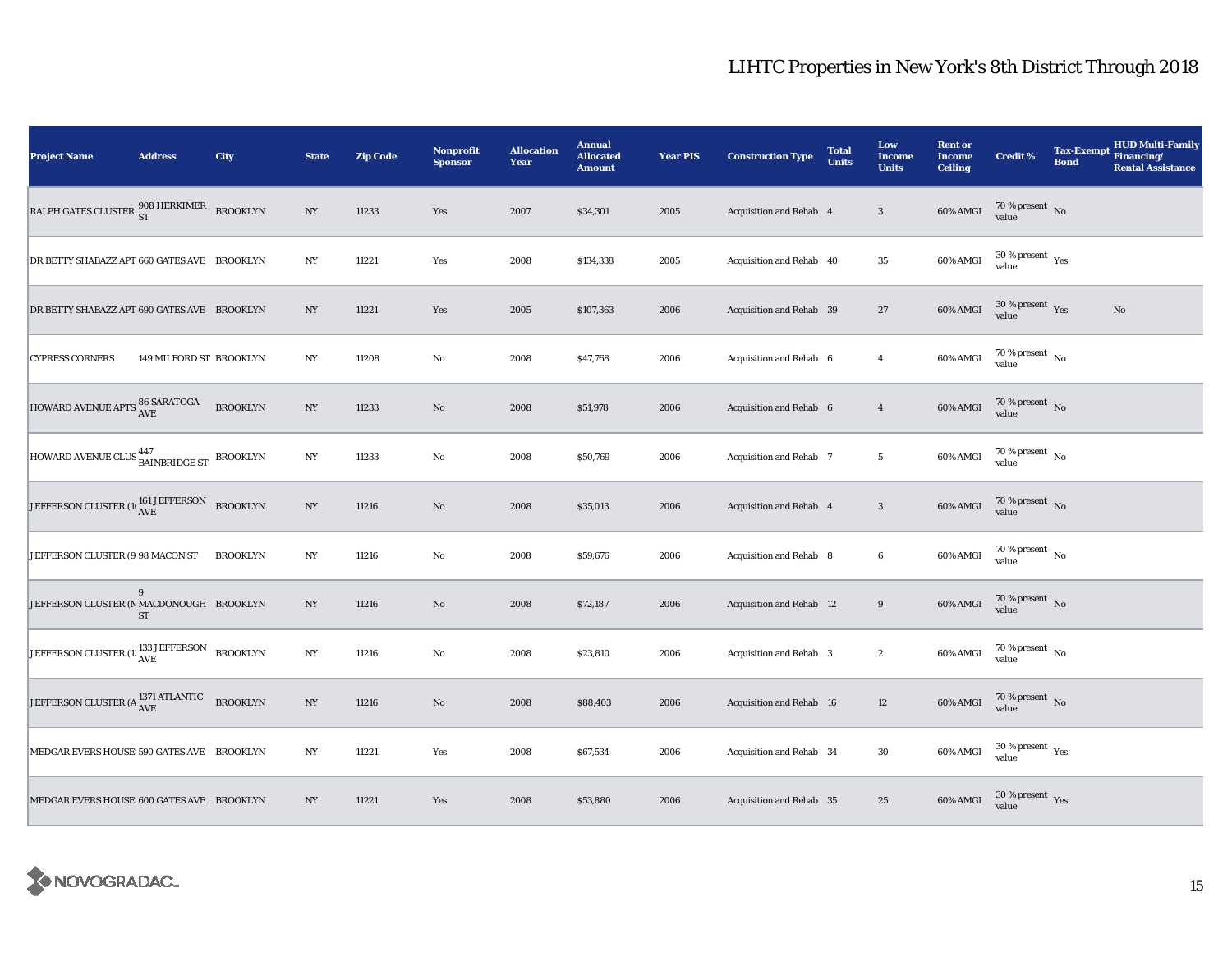| <b>Project Name</b>                                                       | <b>Address</b>          | City            | <b>State</b>     | <b>Zip Code</b> | Nonprofit<br><b>Sponsor</b> | <b>Allocation</b><br>Year | <b>Annual</b><br><b>Allocated</b><br><b>Amount</b> | <b>Year PIS</b> | <b>Construction Type</b> | <b>Total</b><br><b>Units</b> | Low<br>Income<br><b>Units</b> | <b>Rent or</b><br><b>Income</b><br><b>Ceiling</b> | <b>Credit %</b>                      | <b>Tax-Exempt</b><br><b>Bond</b> | HUD Multi-Family<br>Financing/<br><b>Rental Assistance</b> |
|---------------------------------------------------------------------------|-------------------------|-----------------|------------------|-----------------|-----------------------------|---------------------------|----------------------------------------------------|-----------------|--------------------------|------------------------------|-------------------------------|---------------------------------------------------|--------------------------------------|----------------------------------|------------------------------------------------------------|
| RALPH GATES CLUSTER $^{908}_{ST}$ HERKIMER BROOKLYN                       |                         |                 | $_{\mathrm{NY}}$ | 11233           | Yes                         | 2007                      | \$34,301                                           | 2005            | Acquisition and Rehab 4  |                              | $\sqrt{3}$                    | 60% AMGI                                          | $70\,\%$ present $\,$ No value       |                                  |                                                            |
| DR BETTY SHABAZZ APT 660 GATES AVE BROOKLYN                               |                         |                 | $_{\mathrm{NY}}$ | 11221           | Yes                         | 2008                      | \$134,338                                          | 2005            | Acquisition and Rehab 40 |                              | $\bf 35$                      | 60% AMGI                                          | $30\,\%$ present $\,$ Yes value      |                                  |                                                            |
| DR BETTY SHABAZZ APT 690 GATES AVE BROOKLYN                               |                         |                 | NY               | 11221           | Yes                         | 2005                      | \$107,363                                          | 2006            | Acquisition and Rehab 39 |                              | 27                            | 60% AMGI                                          | $30\,\%$ present $\,$ Yes value      |                                  | $\mathbf{No}$                                              |
| <b>CYPRESS CORNERS</b>                                                    | 149 MILFORD ST BROOKLYN |                 | NY               | 11208           | $\rm No$                    | 2008                      | \$47,768                                           | 2006            | Acquisition and Rehab 6  |                              | $\overline{4}$                | 60% AMGI                                          | $70\,\%$ present $\,$ No value       |                                  |                                                            |
| HOWARD AVENUE APTS 86 SARATOGA                                            |                         | <b>BROOKLYN</b> | $_{\mathrm{NY}}$ | 11233           | $\rm No$                    | 2008                      | \$51,978                                           | 2006            | Acquisition and Rehab 6  |                              | $\overline{4}$                | 60% AMGI                                          | $70\,\%$ present $\,$ No value       |                                  |                                                            |
| HOWARD AVENUE CLUS BAINBRIDGE ST BROOKLYN                                 |                         |                 | $_{\mathrm{NY}}$ | 11233           | $\rm No$                    | 2008                      | \$50,769                                           | 2006            | Acquisition and Rehab 7  |                              | $\sqrt{5}$                    | 60% AMGI                                          | $70$ % present $\,$ No $\,$<br>value |                                  |                                                            |
| JEFFERSON CLUSTER (1) $\frac{161 \text{ JEFFERSON}}{\text{AVE}}$ BROOKLYN |                         |                 | $_{\mathrm{NY}}$ | 11216           | No                          | 2008                      | \$35,013                                           | 2006            | Acquisition and Rehab 4  |                              | $\sqrt{3}$                    | 60% AMGI                                          | $70\,\%$ present $\,$ No value       |                                  |                                                            |
| JEFFERSON CLUSTER (9 98 MACON ST                                          |                         | <b>BROOKLYN</b> | $_{\mathrm{NY}}$ | 11216           | $\rm\thinspace No$          | 2008                      | \$59,676                                           | 2006            | Acquisition and Rehab 8  |                              | $\bf 6$                       | 60% AMGI                                          | $70\,\%$ present $\,$ No value       |                                  |                                                            |
| JEFFERSON CLUSTER (N MACDONOUGH BROOKLYN                                  | 9<br>ST                 |                 | $_{\mathrm{NY}}$ | 11216           | No                          | 2008                      | \$72,187                                           | 2006            | Acquisition and Rehab 12 |                              | $\boldsymbol{9}$              | $60\%$ AMGI                                       | 70 % present $\,$ No $\,$<br>value   |                                  |                                                            |
| JEFFERSON CLUSTER $(1; \frac{133}{\text{AVE}})$ BROOKLYN                  |                         |                 | $_{\mathrm{NY}}$ | 11216           | $\rm No$                    | 2008                      | \$23,810                                           | 2006            | Acquisition and Rehab 3  |                              | $\boldsymbol{2}$              | 60% AMGI                                          | $70\,\%$ present $\,$ No value       |                                  |                                                            |
| JEFFERSON CLUSTER (A <sup>1371</sup> ATLANTIC                             |                         | <b>BROOKLYN</b> | $_{\mathrm{NY}}$ | 11216           | $\rm No$                    | 2008                      | \$88,403                                           | 2006            | Acquisition and Rehab 16 |                              | 12                            | 60% AMGI                                          | 70 % present $\hbox{~No}$<br>value   |                                  |                                                            |
| MEDGAR EVERS HOUSE: 590 GATES AVE BROOKLYN                                |                         |                 | $_{\mathrm{NY}}$ | 11221           | Yes                         | 2008                      | \$67,534                                           | 2006            | Acquisition and Rehab 34 |                              | $30\,$                        | 60% AMGI                                          | $30\,\%$ present $\,$ Yes value      |                                  |                                                            |
| MEDGAR EVERS HOUSE: 600 GATES AVE BROOKLYN                                |                         |                 | N <sub>Y</sub>   | 11221           | Yes                         | 2008                      | \$53,880                                           | 2006            | Acquisition and Rehab 35 |                              | 25                            | 60% AMGI                                          | $30\,\%$ present $\,$ Yes value      |                                  |                                                            |

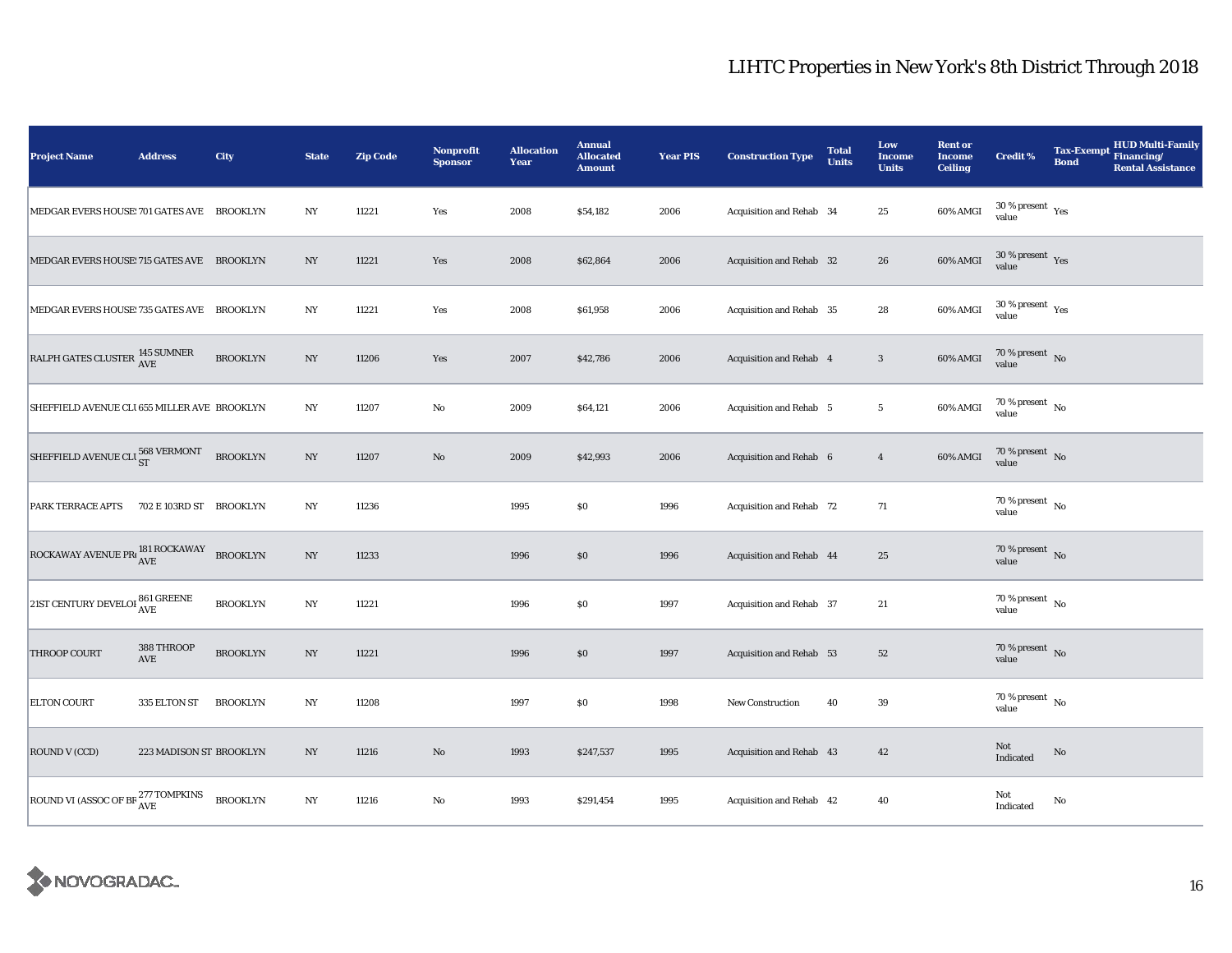| <b>Project Name</b>                                                   | <b>Address</b>          | City            | <b>State</b>     | <b>Zip Code</b> | Nonprofit<br><b>Sponsor</b> | <b>Allocation</b><br>Year | <b>Annual</b><br><b>Allocated</b><br><b>Amount</b> | <b>Year PIS</b> | <b>Construction Type</b> | <b>Total</b><br><b>Units</b> | Low<br><b>Income</b><br><b>Units</b> | <b>Rent or</b><br><b>Income</b><br><b>Ceiling</b> | <b>Credit %</b>                        | <b>Tax-Exempt</b><br><b>Bond</b> | <b>HUD Multi-Family</b><br>Financing/<br><b>Rental Assistance</b> |
|-----------------------------------------------------------------------|-------------------------|-----------------|------------------|-----------------|-----------------------------|---------------------------|----------------------------------------------------|-----------------|--------------------------|------------------------------|--------------------------------------|---------------------------------------------------|----------------------------------------|----------------------------------|-------------------------------------------------------------------|
| MEDGAR EVERS HOUSE: 701 GATES AVE BROOKLYN                            |                         |                 | $_{\mathrm{NY}}$ | 11221           | Yes                         | 2008                      | \$54,182                                           | 2006            | Acquisition and Rehab 34 |                              | $25\,$                               | 60% AMGI                                          | $30\,\%$ present $\,$ Yes value        |                                  |                                                                   |
| MEDGAR EVERS HOUSE: 715 GATES AVE BROOKLYN                            |                         |                 | NY               | 11221           | Yes                         | 2008                      | \$62,864                                           | 2006            | Acquisition and Rehab 32 |                              | 26                                   | 60% AMGI                                          | $30$ % present $\,$ $\rm Yes$<br>value |                                  |                                                                   |
| MEDGAR EVERS HOUSE: 735 GATES AVE BROOKLYN                            |                         |                 | NY               | 11221           | Yes                         | 2008                      | \$61,958                                           | 2006            | Acquisition and Rehab 35 |                              | 28                                   | 60% AMGI                                          | $30\,\%$ present $\,$ Yes value        |                                  |                                                                   |
| RALPH GATES CLUSTER 145 SUMNER                                        |                         | <b>BROOKLYN</b> | NY               | 11206           | Yes                         | 2007                      | \$42,786                                           | 2006            | Acquisition and Rehab 4  |                              | $\mathbf{3}$                         | 60% AMGI                                          | $70\,\%$ present $\,$ No value         |                                  |                                                                   |
| SHEFFIELD AVENUE CLI 655 MILLER AVE BROOKLYN                          |                         |                 | NY               | 11207           | $\rm No$                    | 2009                      | \$64,121                                           | 2006            | Acquisition and Rehab 5  |                              | $5\phantom{.0}$                      | 60% AMGI                                          | $70$ % present $\,$ No $\,$<br>value   |                                  |                                                                   |
| SHEFFIELD AVENUE CLU ST                                               |                         | <b>BROOKLYN</b> | $_{\mathrm{NY}}$ | 11207           | $\rm No$                    | 2009                      | \$42,993                                           | 2006            | Acquisition and Rehab 6  |                              | $\overline{4}$                       | 60% AMGI                                          | 70 % present $\hbox{~No}$<br>value     |                                  |                                                                   |
| PARK TERRACE APTS                                                     | 702 E 103RD ST BROOKLYN |                 | $_{\mathrm{NY}}$ | 11236           |                             | 1995                      | \$0                                                | 1996            | Acquisition and Rehab 72 |                              | 71                                   |                                                   | 70 % present $\hbox{~No}$<br>value     |                                  |                                                                   |
| $\boxed{\text{ROCKAWAY AVENUE PR}^{\text{181 ROCKAWAY}}_{\text{AVE}}$ |                         |                 | $_{\mathrm{NY}}$ | 11233           |                             | 1996                      | $\$0$                                              | 1996            | Acquisition and Rehab 44 |                              | $\bf 25$                             |                                                   | 70 % present $\bar{N}$ o<br>value      |                                  |                                                                   |
| 21ST CENTURY DEVELOI $_{\rm AVE}^{861\rm\,GREENE}$                    |                         | <b>BROOKLYN</b> | NY               | 11221           |                             | 1996                      | $\$0$                                              | 1997            | Acquisition and Rehab 37 |                              | $21\,$                               |                                                   | 70 % present $\hbox{~No}$<br>value     |                                  |                                                                   |
| <b>THROOP COURT</b>                                                   | 388 THROOP<br>AVE       | <b>BROOKLYN</b> | NY               | 11221           |                             | 1996                      | \$0                                                | 1997            | Acquisition and Rehab 53 |                              | 52                                   |                                                   | $70\,\%$ present $\,$ No value         |                                  |                                                                   |
| <b>ELTON COURT</b>                                                    | 335 ELTON ST            | <b>BROOKLYN</b> | NY               | 11208           |                             | 1997                      | $\$0$                                              | 1998            | <b>New Construction</b>  | 40                           | $\bf 39$                             |                                                   | $70$ % present $\,$ No $\,$<br>value   |                                  |                                                                   |
| ROUND V (CCD)                                                         | 223 MADISON ST BROOKLYN |                 | NY               | 11216           | $\rm No$                    | 1993                      | \$247,537                                          | 1995            | Acquisition and Rehab 43 |                              | 42                                   |                                                   | Not<br>Indicated                       | $\rm No$                         |                                                                   |
| ROUND VI (ASSOC OF BE $^{277\, \, \rm TOMPKINS}_{\rm AVE}$            |                         | <b>BROOKLYN</b> | NY               | 11216           | $\rm No$                    | 1993                      | \$291,454                                          | 1995            | Acquisition and Rehab 42 |                              | 40                                   |                                                   | Not<br>Indicated                       | No                               |                                                                   |

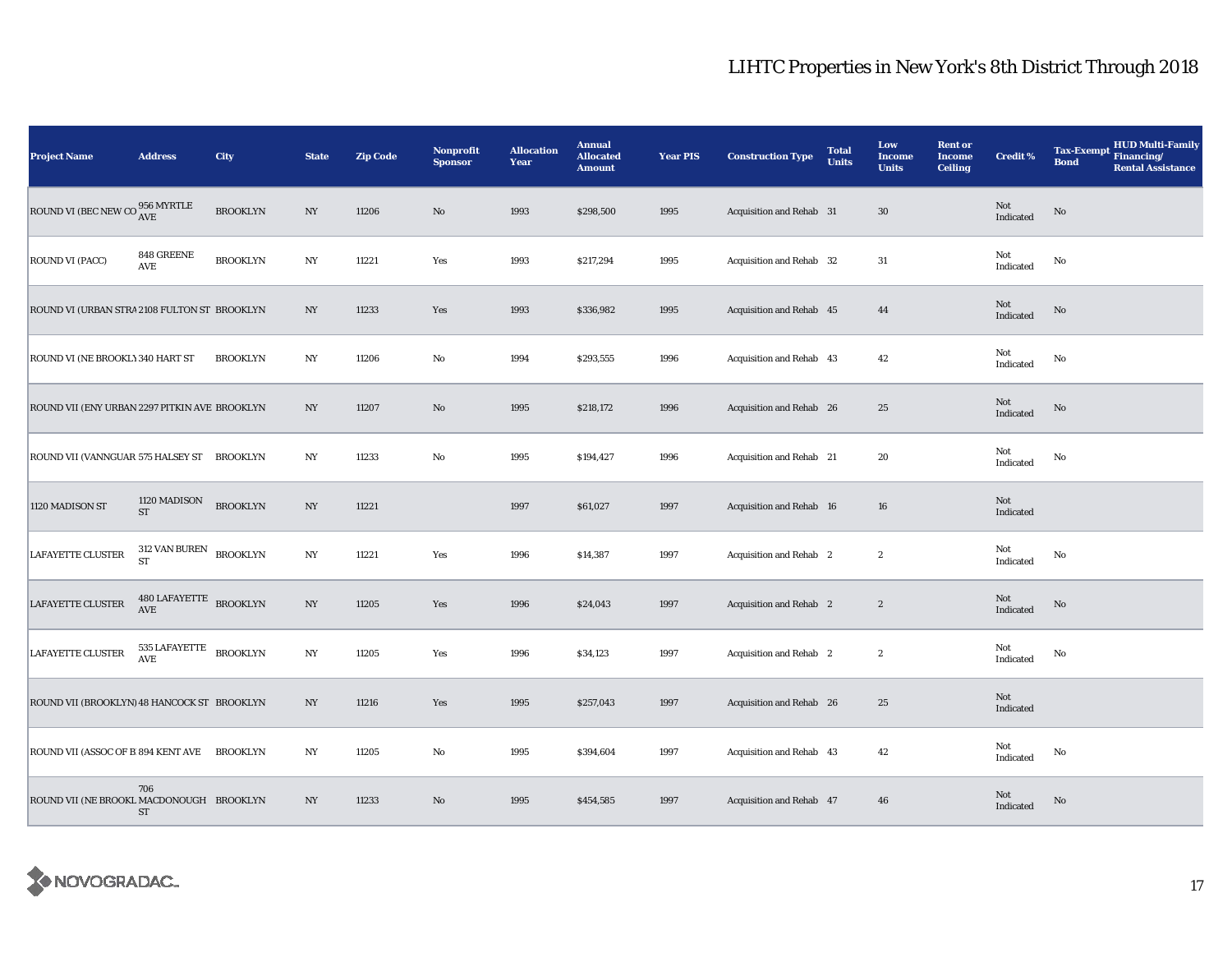| <b>Project Name</b>                           | <b>Address</b>             | City            | <b>State</b>     | <b>Zip Code</b> | <b>Nonprofit</b><br><b>Sponsor</b> | <b>Allocation</b><br>Year | <b>Annual</b><br><b>Allocated</b><br><b>Amount</b> | <b>Year PIS</b> | <b>Construction Type</b>       | <b>Total</b><br><b>Units</b> | Low<br><b>Income</b><br><b>Units</b> | <b>Rent or</b><br><b>Income</b><br><b>Ceiling</b> | <b>Credit %</b>  | <b>HUD Multi-Family</b><br><b>Tax-Exempt</b><br>Financing/<br><b>Bond</b><br><b>Rental Assistance</b> |
|-----------------------------------------------|----------------------------|-----------------|------------------|-----------------|------------------------------------|---------------------------|----------------------------------------------------|-----------------|--------------------------------|------------------------------|--------------------------------------|---------------------------------------------------|------------------|-------------------------------------------------------------------------------------------------------|
| ROUND VI (BEC NEW CO $^{956}_{\rm{AVE}}$      |                            | <b>BROOKLYN</b> | $_{\mathrm{NY}}$ | 11206           | $\rm No$                           | 1993                      | \$298,500                                          | 1995            | Acquisition and Rehab 31       |                              | $30\,$                               |                                                   | Not<br>Indicated | No                                                                                                    |
| ROUND VI (PACC)                               | 848 GREENE<br>AVE          | <b>BROOKLYN</b> | NY               | 11221           | Yes                                | 1993                      | \$217,294                                          | 1995            | Acquisition and Rehab 32       |                              | $31\,$                               |                                                   | Not<br>Indicated | No                                                                                                    |
| ROUND VI (URBAN STRA 2108 FULTON ST BROOKLYN  |                            |                 | NY               | 11233           | Yes                                | 1993                      | \$336,982                                          | 1995            | Acquisition and Rehab 45       |                              | 44                                   |                                                   | Not<br>Indicated | No                                                                                                    |
| ROUND VI (NE BROOKLY 340 HART ST              |                            | <b>BROOKLYN</b> | NY               | 11206           | $\rm\thinspace No$                 | 1994                      | \$293,555                                          | 1996            | Acquisition and Rehab 43       |                              | 42                                   |                                                   | Not<br>Indicated | $\mathbf{No}$                                                                                         |
| ROUND VII (ENY URBAN 2297 PITKIN AVE BROOKLYN |                            |                 | $_{\mathrm{NY}}$ | 11207           | $\rm\thinspace No$                 | 1995                      | \$218,172                                          | 1996            | Acquisition and Rehab 26       |                              | $\bf 25$                             |                                                   | Not<br>Indicated | No                                                                                                    |
| ROUND VII (VANNGUAR 575 HALSEY ST BROOKLYN    |                            |                 | NY               | 11233           | $\mathbf{No}$                      | 1995                      | \$194,427                                          | 1996            | Acquisition and Rehab 21       |                              | 20                                   |                                                   | Not<br>Indicated | $\mathbf{No}$                                                                                         |
| 1120 MADISON ST                               | 1120 MADISON<br><b>ST</b>  | <b>BROOKLYN</b> | $_{\mathrm{NY}}$ | 11221           |                                    | 1997                      | \$61,027                                           | 1997            | Acquisition and Rehab 16       |                              | 16                                   |                                                   | Not<br>Indicated |                                                                                                       |
| <b>LAFAYETTE CLUSTER</b>                      | 312 VAN BUREN<br><b>ST</b> | <b>BROOKLYN</b> | $_{\mathrm{NY}}$ | 11221           | Yes                                | 1996                      | \$14,387                                           | 1997            | Acquisition and Rehab 2        |                              | $\boldsymbol{2}$                     |                                                   | Not<br>Indicated | No                                                                                                    |
| LAFAYETTE CLUSTER                             | $480\,{\rm LAFAYETTE}$ AVE | <b>BROOKLYN</b> | $_{\mathrm{NY}}$ | 11205           | Yes                                | 1996                      | \$24,043                                           | 1997            | <b>Acquisition and Rehab</b> 2 |                              | $\boldsymbol{2}$                     |                                                   | Not<br>Indicated | $\rm No$                                                                                              |
| <b>LAFAYETTE CLUSTER</b>                      | 535 LAFAYETTE<br>AVE       | <b>BROOKLYN</b> | $_{\mathrm{NY}}$ | 11205           | Yes                                | 1996                      | \$34,123                                           | 1997            | Acquisition and Rehab 2        |                              | $\boldsymbol{2}$                     |                                                   | Not<br>Indicated | No                                                                                                    |
| ROUND VII (BROOKLYN) 48 HANCOCK ST BROOKLYN   |                            |                 | $_{\mathrm{NY}}$ | 11216           | Yes                                | 1995                      | \$257,043                                          | 1997            | Acquisition and Rehab 26       |                              | $\bf 25$                             |                                                   | Not<br>Indicated |                                                                                                       |
| ROUND VII (ASSOC OF B 894 KENT AVE            |                            | <b>BROOKLYN</b> | NY               | 11205           | No                                 | 1995                      | \$394,604                                          | 1997            | Acquisition and Rehab 43       |                              | 42                                   |                                                   | Not<br>Indicated | No                                                                                                    |
| ROUND VII (NE BROOKL MACDONOUGH BROOKLYN      | 706<br>ST                  |                 | NY               | 11233           | No                                 | 1995                      | \$454,585                                          | 1997            | Acquisition and Rehab 47       |                              | 46                                   |                                                   | Not<br>Indicated | No                                                                                                    |

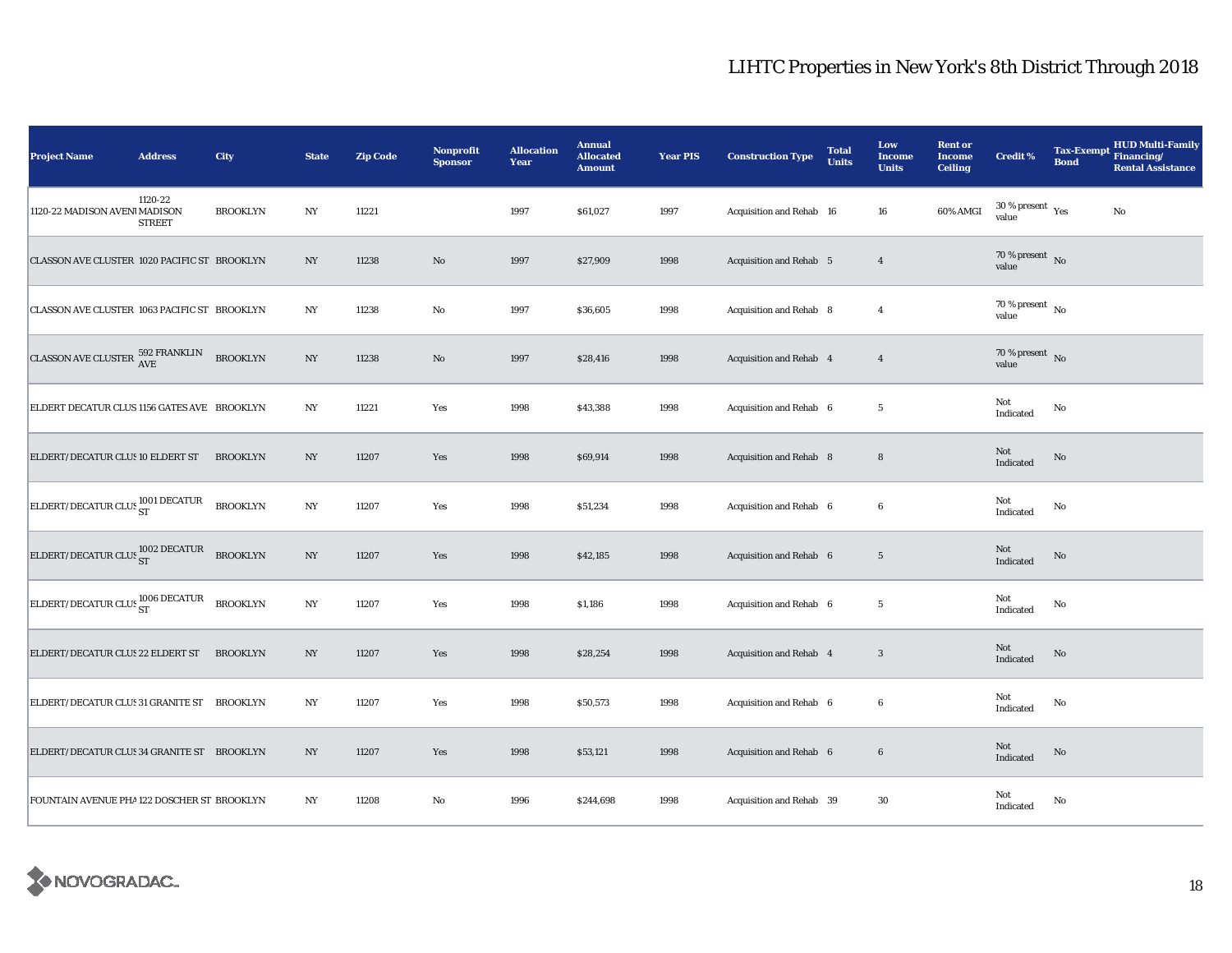| <b>Project Name</b>                                                     | <b>Address</b>           | City            | <b>State</b>     | <b>Zip Code</b> | Nonprofit<br><b>Sponsor</b> | <b>Allocation</b><br>Year | <b>Annual</b><br><b>Allocated</b><br><b>Amount</b> | <b>Year PIS</b> | <b>Construction Type</b>       | <b>Total</b><br><b>Units</b> | Low<br><b>Income</b><br><b>Units</b> | <b>Rent or</b><br><b>Income</b><br><b>Ceiling</b> | <b>Credit %</b>                               | <b>Tax-Exempt</b><br><b>Bond</b> | <b>HUD Multi-Family</b><br>Financing/<br><b>Rental Assistance</b> |
|-------------------------------------------------------------------------|--------------------------|-----------------|------------------|-----------------|-----------------------------|---------------------------|----------------------------------------------------|-----------------|--------------------------------|------------------------------|--------------------------------------|---------------------------------------------------|-----------------------------------------------|----------------------------------|-------------------------------------------------------------------|
| 1120-22 MADISON AVENI MADISON                                           | 1120-22<br><b>STREET</b> | <b>BROOKLYN</b> | $_{\mathrm{NY}}$ | 11221           |                             | 1997                      | \$61,027                                           | 1997            | Acquisition and Rehab 16       |                              | 16                                   | 60% AMGI                                          | $30$ % present $\rm \gamma_{\rm PS}$<br>value |                                  | $\rm No$                                                          |
| CLASSON AVE CLUSTER 1020 PACIFIC ST BROOKLYN                            |                          |                 | NY               | 11238           | No                          | 1997                      | \$27,909                                           | 1998            | Acquisition and Rehab 5        |                              | $\overline{4}$                       |                                                   | $70\%$ present No<br>value                    |                                  |                                                                   |
| CLASSON AVE CLUSTER 1063 PACIFIC ST BROOKLYN                            |                          |                 | N <sub>Y</sub>   | 11238           | $\rm No$                    | 1997                      | \$36,605                                           | 1998            | Acquisition and Rehab 8        |                              | $\overline{4}$                       |                                                   | 70 % present $\hbox{~No}$<br>value            |                                  |                                                                   |
| CLASSON AVE CLUSTER $^{592}_{\rm{AVE}}$ FRANKLIN                        |                          | <b>BROOKLYN</b> | $_{\mathrm{NY}}$ | 11238           | $\rm No$                    | 1997                      | \$28,416                                           | 1998            | Acquisition and Rehab 4        |                              | $\overline{4}$                       |                                                   | 70 % present $\hbox{~No}$<br>value            |                                  |                                                                   |
| ELDERT DECATUR CLUS 1156 GATES AVE BROOKLYN                             |                          |                 | N <sub>Y</sub>   | 11221           | Yes                         | 1998                      | \$43,388                                           | 1998            | Acquisition and Rehab 6        |                              | 5                                    |                                                   | Not<br>Indicated                              | No                               |                                                                   |
| ELDERT/DECATUR CLUS 10 ELDERT ST                                        |                          | <b>BROOKLYN</b> | NY               | 11207           | Yes                         | 1998                      | \$69,914                                           | 1998            | Acquisition and Rehab 8        |                              | $\bf8$                               |                                                   | Not<br>Indicated                              | No                               |                                                                   |
| ELDERT/DECATUR CLUS ST                                                  |                          | <b>BROOKLYN</b> | NY               | 11207           | Yes                         | 1998                      | \$51,234                                           | 1998            | Acquisition and Rehab 6        |                              | 6                                    |                                                   | Not<br>Indicated                              | No                               |                                                                   |
| ELDERT/DECATUR CLUS ST                                                  |                          | <b>BROOKLYN</b> | $_{\mathrm{NY}}$ | 11207           | Yes                         | 1998                      | \$42,185                                           | 1998            | Acquisition and Rehab 6        |                              | $5\phantom{.0}$                      |                                                   | Not<br>Indicated                              | No                               |                                                                   |
| $\bigg \text{ELBERT/DECATUR CLUS}\frac{1006\text{ DECATUR}}{\text{ST}}$ |                          | <b>BROOKLYN</b> | $_{\mathrm{NY}}$ | 11207           | Yes                         | 1998                      | \$1,186                                            | 1998            | Acquisition and Rehab 6        |                              | $5\phantom{.0}$                      |                                                   | Not<br>Indicated                              | $\mathbf{No}$                    |                                                                   |
| ELDERT/DECATUR CLUS 22 ELDERT ST                                        |                          | <b>BROOKLYN</b> | NY               | 11207           | Yes                         | 1998                      | \$28,254                                           | 1998            | <b>Acquisition and Rehab 4</b> |                              | 3                                    |                                                   | Not<br>Indicated                              | No                               |                                                                   |
| ELDERT/DECATUR CLUS 31 GRANITE ST                                       |                          | <b>BROOKLYN</b> | NY               | 11207           | Yes                         | 1998                      | \$50,573                                           | 1998            | Acquisition and Rehab 6        |                              | 6                                    |                                                   | Not<br>Indicated                              | No                               |                                                                   |
| ELDERT/DECATUR CLUS 34 GRANITE ST BROOKLYN                              |                          |                 | $_{\mathrm{NY}}$ | 11207           | Yes                         | 1998                      | \$53,121                                           | 1998            | Acquisition and Rehab 6        |                              | $\bf 6$                              |                                                   | Not<br>Indicated                              | $\mathbf{No}$                    |                                                                   |
| FOUNTAIN AVENUE PHA 122 DOSCHER ST BROOKLYN                             |                          |                 | N <sub>Y</sub>   | 11208           | $\mathbf{No}$               | 1996                      | \$244,698                                          | 1998            | Acquisition and Rehab 39       |                              | 30                                   |                                                   | Not<br>Indicated                              | No                               |                                                                   |

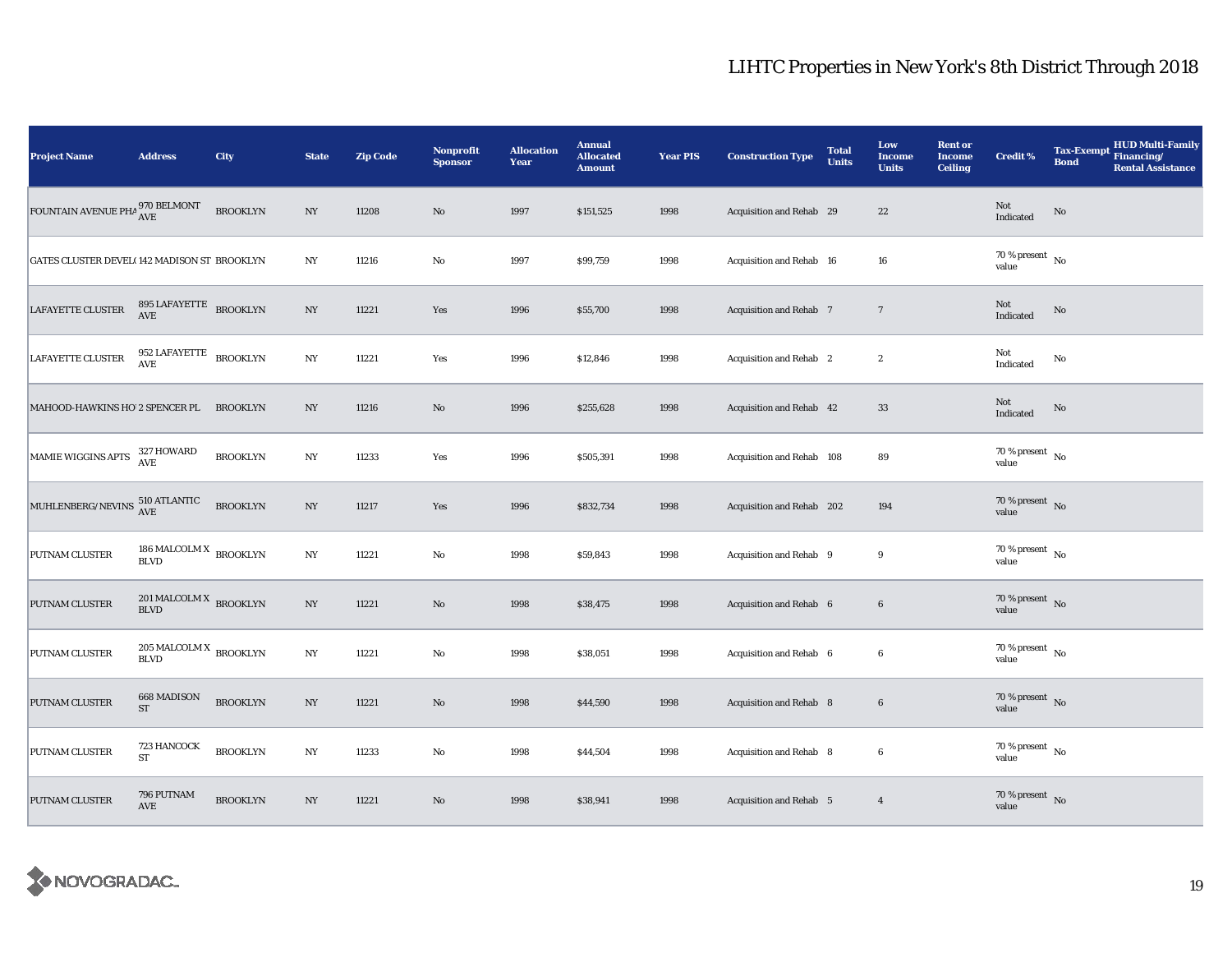| <b>Project Name</b>                            | <b>Address</b>                                 | City            | <b>State</b>     | <b>Zip Code</b> | Nonprofit<br><b>Sponsor</b> | <b>Allocation</b><br>Year | <b>Annual</b><br><b>Allocated</b><br><b>Amount</b> | <b>Year PIS</b> | <b>Construction Type</b>  | <b>Total</b><br><b>Units</b> | Low<br><b>Income</b><br><b>Units</b> | <b>Rent or</b><br><b>Income</b><br><b>Ceiling</b> | <b>Credit %</b>                      | <b>HUD Multi-Family</b><br><b>Tax-Exempt</b><br>Financing/<br><b>Bond</b><br><b>Rental Assistance</b> |
|------------------------------------------------|------------------------------------------------|-----------------|------------------|-----------------|-----------------------------|---------------------------|----------------------------------------------------|-----------------|---------------------------|------------------------------|--------------------------------------|---------------------------------------------------|--------------------------------------|-------------------------------------------------------------------------------------------------------|
| FOUNTAIN AVENUE PHA $^{970}_{\rm AVE}$ BELMONT |                                                | <b>BROOKLYN</b> | $_{\mathrm{NY}}$ | 11208           | $\rm No$                    | 1997                      | \$151,525                                          | 1998            | Acquisition and Rehab 29  |                              | $22\,$                               |                                                   | Not<br>Indicated                     | No                                                                                                    |
| GATES CLUSTER DEVEL(142 MADISON ST BROOKLYN    |                                                |                 | $_{\mathrm{NY}}$ | 11216           | $\mathbf{No}$               | 1997                      | \$99,759                                           | 1998            | Acquisition and Rehab 16  |                              | 16                                   |                                                   | $70$ % present $\,$ No $\,$<br>value |                                                                                                       |
| LAFAYETTE CLUSTER                              | 895 LAFAYETTE BROOKLYN<br>$\operatorname{AVE}$ |                 | NY               | 11221           | Yes                         | 1996                      | \$55,700                                           | 1998            | Acquisition and Rehab 7   |                              | $7\phantom{.0}$                      |                                                   | Not<br>Indicated                     | No                                                                                                    |
| <b>LAFAYETTE CLUSTER</b>                       | 952 LAFAYETTE<br>AVE                           | <b>BROOKLYN</b> | NY               | 11221           | Yes                         | 1996                      | \$12,846                                           | 1998            | Acquisition and Rehab 2   |                              | $\boldsymbol{2}$                     |                                                   | Not<br>Indicated                     | No                                                                                                    |
| MAHOOD-HAWKINS HO 2 SPENCER PL                 |                                                | <b>BROOKLYN</b> | $_{\mathrm{NY}}$ | 11216           | $\rm No$                    | 1996                      | \$255,628                                          | 1998            | Acquisition and Rehab 42  |                              | 33                                   |                                                   | Not<br>Indicated                     | $\mathbf{No}$                                                                                         |
| MAMIE WIGGINS APTS                             | 327 HOWARD<br>AVE                              | <b>BROOKLYN</b> | $_{\mathrm{NY}}$ | 11233           | Yes                         | 1996                      | \$505,391                                          | 1998            | Acquisition and Rehab 108 |                              | 89                                   |                                                   | 70 % present $\hbox{~No}$<br>value   |                                                                                                       |
| MUHLENBERG/NEVINS 510 ATLANTIC                 |                                                | <b>BROOKLYN</b> | $_{\mathrm{NY}}$ | 11217           | Yes                         | 1996                      | \$832,734                                          | 1998            | Acquisition and Rehab 202 |                              | 194                                  |                                                   | $70\,\%$ present $\,$ No value       |                                                                                                       |
| PUTNAM CLUSTER                                 | 186 MALCOLM X $_{\rm BROOKLYN}$<br><b>BLVD</b> |                 | $_{\mathrm{NY}}$ | 11221           | No                          | 1998                      | \$59,843                                           | 1998            | Acquisition and Rehab 9   |                              | 9                                    |                                                   | $70\,\%$ present $\,$ No value       |                                                                                                       |
| PUTNAM CLUSTER                                 | 201 MALCOLM X BROOKLYN<br><b>BLVD</b>          |                 | $_{\mathrm{NY}}$ | 11221           | $\rm No$                    | 1998                      | \$38,475                                           | 1998            | Acquisition and Rehab 6   |                              | $\bf 6$                              |                                                   | 70 % present $\bar{N}$ o<br>value    |                                                                                                       |
| PUTNAM CLUSTER                                 | $205\,\rm{MALCOLM\,X}$ BROOKLYN<br><b>BLVD</b> |                 | $_{\mathrm{NY}}$ | 11221           | $\rm No$                    | 1998                      | \$38,051                                           | 1998            | Acquisition and Rehab 6   |                              | $\boldsymbol{6}$                     |                                                   | 70 % present $\hbox{~No}$<br>value   |                                                                                                       |
| <b>PUTNAM CLUSTER</b>                          | 668 MADISON<br><b>ST</b>                       | <b>BROOKLYN</b> | NY               | 11221           | $\rm No$                    | 1998                      | \$44,590                                           | 1998            | Acquisition and Rehab 8   |                              | $6\phantom{.}6$                      |                                                   | 70 % present $\hbox{~No}$<br>value   |                                                                                                       |
| PUTNAM CLUSTER                                 | 723 HANCOCK<br>${\rm ST}$                      | <b>BROOKLYN</b> | $_{\mathrm{NY}}$ | 11233           | $\rm No$                    | 1998                      | \$44,504                                           | 1998            | Acquisition and Rehab 8   |                              | $\boldsymbol{6}$                     |                                                   | 70 % present $\hbox{~No}$<br>value   |                                                                                                       |
| PUTNAM CLUSTER                                 | 796 PUTNAM<br>AVE                              | <b>BROOKLYN</b> | $_{\mathrm{NY}}$ | 11221           | $\rm No$                    | 1998                      | \$38,941                                           | 1998            | Acquisition and Rehab 5   |                              | $\overline{4}$                       |                                                   | 70 % present $\hbox{~No}$<br>value   |                                                                                                       |

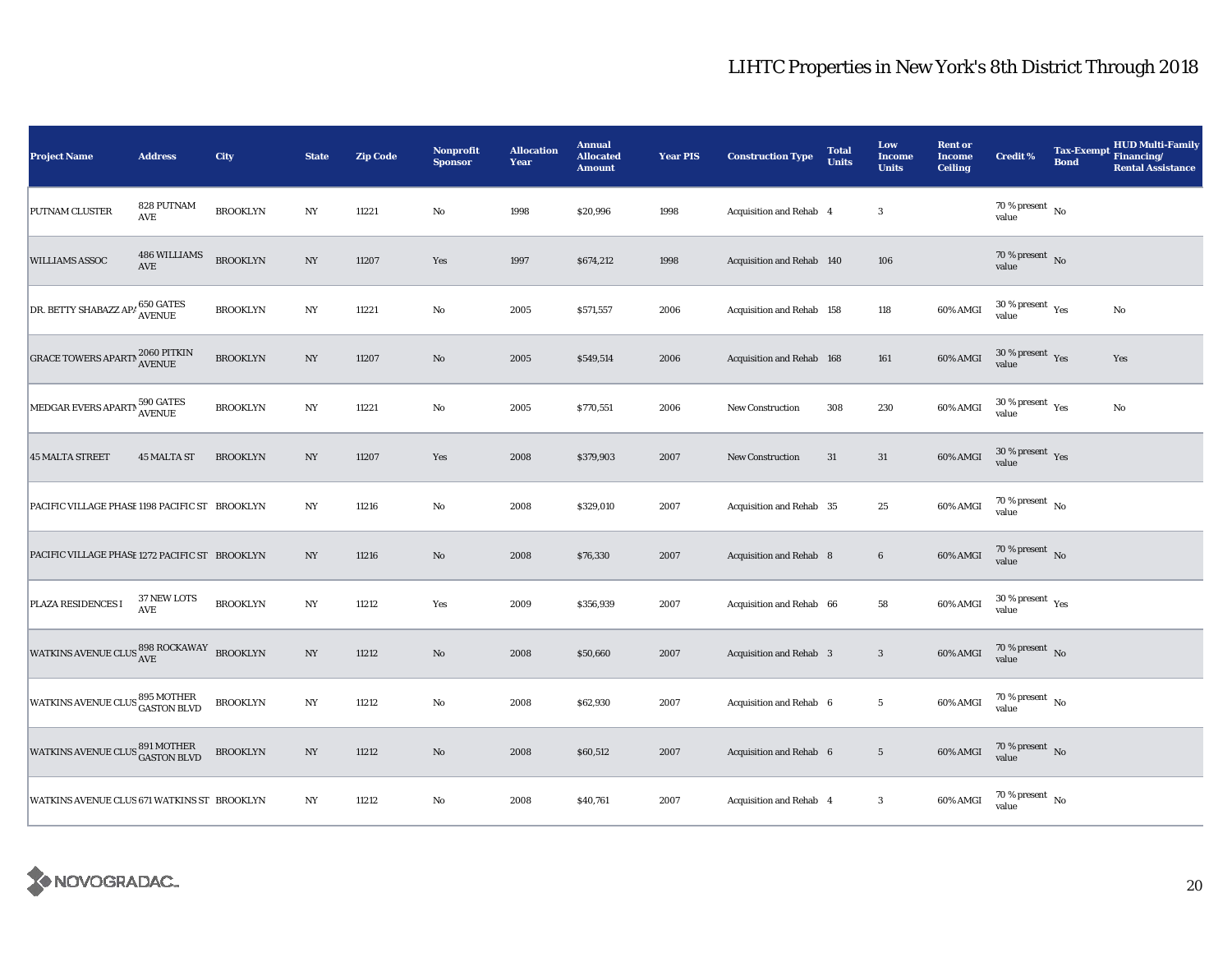| <b>Project Name</b>                                   | <b>Address</b>                               | City            | <b>State</b>     | <b>Zip Code</b> | Nonprofit<br><b>Sponsor</b> | <b>Allocation</b><br>Year | <b>Annual</b><br><b>Allocated</b><br><b>Amount</b> | <b>Year PIS</b> | <b>Construction Type</b>  | <b>Total</b><br><b>Units</b> | Low<br><b>Income</b><br><b>Units</b> | <b>Rent or</b><br><b>Income</b><br><b>Ceiling</b> | <b>Credit %</b>                          | <b>Tax-Exempt</b><br><b>Bond</b> | <b>HUD Multi-Family</b><br>Financing/<br><b>Rental Assistance</b> |
|-------------------------------------------------------|----------------------------------------------|-----------------|------------------|-----------------|-----------------------------|---------------------------|----------------------------------------------------|-----------------|---------------------------|------------------------------|--------------------------------------|---------------------------------------------------|------------------------------------------|----------------------------------|-------------------------------------------------------------------|
| PUTNAM CLUSTER                                        | 828 PUTNAM<br>AVE                            | <b>BROOKLYN</b> | $_{\mathrm{NY}}$ | 11221           | $\rm No$                    | 1998                      | \$20,996                                           | 1998            | Acquisition and Rehab 4   |                              | $\boldsymbol{3}$                     |                                                   | 70 % present $\hbox{~No}$<br>value       |                                  |                                                                   |
| <b>WILLIAMS ASSOC</b>                                 | <b>486 WILLIAMS</b><br>AVE                   | <b>BROOKLYN</b> | $_{\mathrm{NY}}$ | 11207           | Yes                         | 1997                      | \$674,212                                          | 1998            | Acquisition and Rehab 140 |                              | 106                                  |                                                   | 70 % present No<br>value                 |                                  |                                                                   |
| DR. BETTY SHABAZZ AP/650 GATES                        |                                              | <b>BROOKLYN</b> | $_{\mathrm{NY}}$ | 11221           | $\rm No$                    | 2005                      | \$571,557                                          | 2006            | Acquisition and Rehab 158 |                              | 118                                  | 60% AMGI                                          | $30\,\%$ present $\,$ Yes value          |                                  | No                                                                |
| <b>GRACE TOWERS APARTM AVENUE</b>                     |                                              | <b>BROOKLYN</b> | $_{\mathrm{NY}}$ | 11207           | $\rm No$                    | 2005                      | \$549,514                                          | 2006            | Acquisition and Rehab 168 |                              | 161                                  | 60% AMGI                                          | $30\,\%$ present $\,$ Yes value          |                                  | Yes                                                               |
| MEDGAR EVERS APARTN 590 GATES                         |                                              | <b>BROOKLYN</b> | $_{\mathrm{NY}}$ | 11221           | No                          | 2005                      | \$770,551                                          | 2006            | <b>New Construction</b>   | 308                          | 230                                  | 60% AMGI                                          | $30\,\%$ present $\,$ $\rm Yes$<br>value |                                  | No                                                                |
| <b>45 MALTA STREET</b>                                | <b>45 MALTA ST</b>                           | <b>BROOKLYN</b> | NY               | 11207           | Yes                         | 2008                      | \$379,903                                          | 2007            | New Construction          | 31                           | 31                                   | 60% AMGI                                          | $30\,\%$ present $\,$ Yes<br>value       |                                  |                                                                   |
| PACIFIC VILLAGE PHASE 1198 PACIFIC ST BROOKLYN        |                                              |                 | NY               | 11216           | No                          | 2008                      | \$329,010                                          | 2007            | Acquisition and Rehab 35  |                              | 25                                   | 60% AMGI                                          | $70\,\%$ present $\,$ No value           |                                  |                                                                   |
| PACIFIC VILLAGE PHASE 1272 PACIFIC ST BROOKLYN        |                                              |                 | NY               | 11216           | $\rm No$                    | 2008                      | \$76,330                                           | 2007            | Acquisition and Rehab 8   |                              | $6\phantom{.0}$                      | 60% AMGI                                          | 70 % present $\,$ No $\,$<br>value       |                                  |                                                                   |
| PLAZA RESIDENCES I                                    | 37 NEW LOTS<br>$\operatorname{\mathbf{AVE}}$ | <b>BROOKLYN</b> | $_{\mathrm{NY}}$ | 11212           | Yes                         | 2009                      | \$356,939                                          | 2007            | Acquisition and Rehab 66  |                              | 58                                   | 60% AMGI                                          | $30\,\%$ present $\,$ Yes value          |                                  |                                                                   |
| WATKINS AVENUE CLUS $\frac{898}{\text{AVE}}$ BROOKLYN |                                              |                 | $_{\mathrm{NY}}$ | 11212           | $\rm No$                    | 2008                      | \$50,660                                           | 2007            | Acquisition and Rehab 3   |                              | $\mathbf{3}$                         | 60% AMGI                                          | $70\,\%$ present $\,$ No value           |                                  |                                                                   |
| <b>WATKINS AVENUE CLUS 895 MOTHER</b>                 |                                              | <b>BROOKLYN</b> | $_{\mathrm{NY}}$ | 11212           | $\rm No$                    | 2008                      | \$62,930                                           | 2007            | Acquisition and Rehab 6   |                              | $5\phantom{.0}$                      | 60% AMGI                                          | 70 % present $\hbox{~No}$<br>value       |                                  |                                                                   |
| <b>WATKINS AVENUE CLUS 891 MOTHER</b>                 |                                              | <b>BROOKLYN</b> | $_{\mathrm{NY}}$ | 11212           | $\rm No$                    | 2008                      | \$60,512                                           | 2007            | Acquisition and Rehab 6   |                              | $5\,$                                | 60% AMGI                                          | $70\,\%$ present $\,$ No value           |                                  |                                                                   |
| WATKINS AVENUE CLUS 671 WATKINS ST BROOKLYN           |                                              |                 | $_{\mathrm{NY}}$ | 11212           | No                          | 2008                      | \$40,761                                           | 2007            | Acquisition and Rehab 4   |                              | $\boldsymbol{3}$                     | 60% AMGI                                          | $70$ % present $\,$ No $\,$<br>value     |                                  |                                                                   |

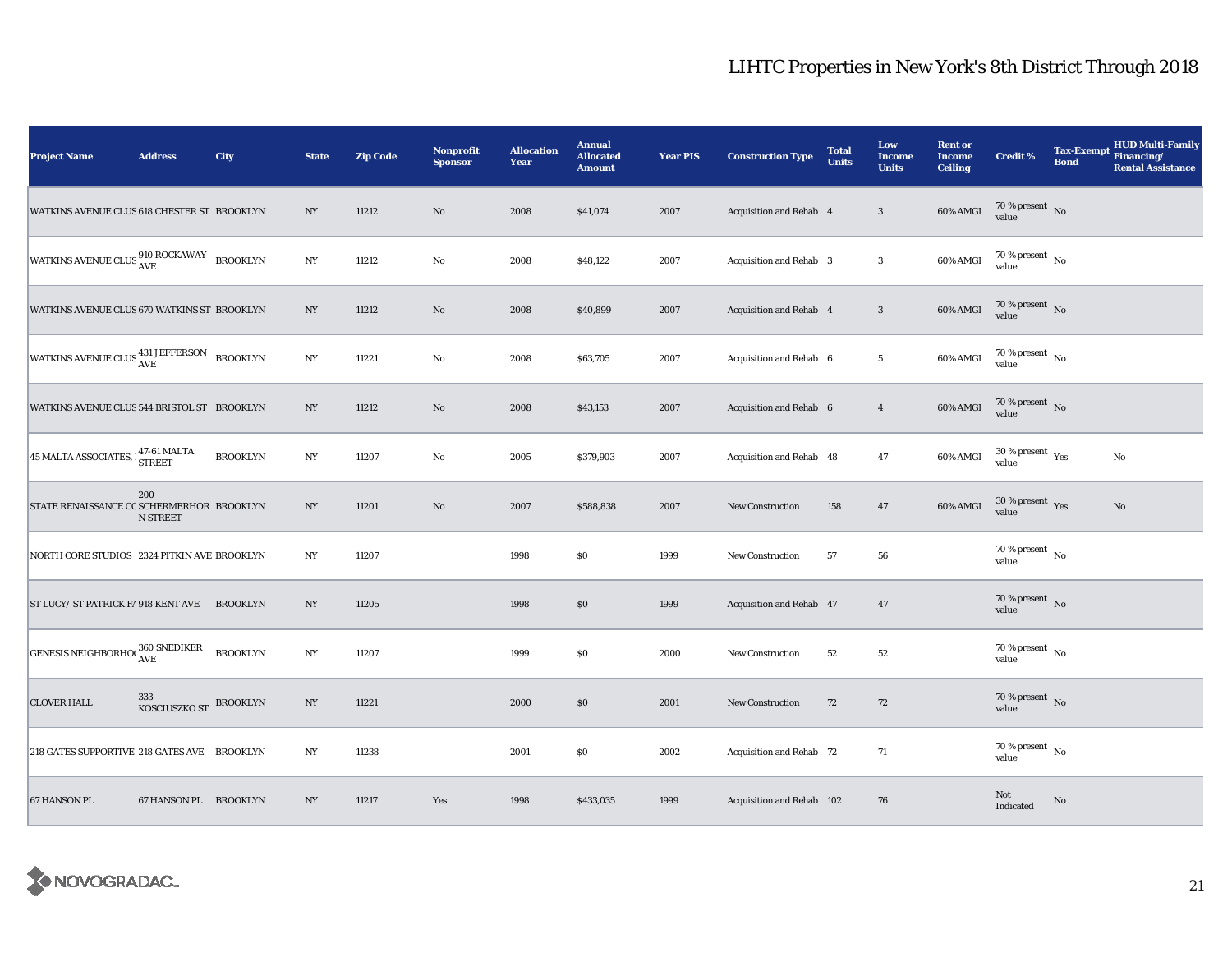| <b>Project Name</b>                                                   | <b>Address</b>         | City            | <b>State</b>     | <b>Zip Code</b> | Nonprofit<br><b>Sponsor</b> | <b>Allocation</b><br>Year | <b>Annual</b><br><b>Allocated</b><br><b>Amount</b> | <b>Year PIS</b> | <b>Construction Type</b>  | <b>Total</b><br><b>Units</b> | Low<br><b>Income</b><br><b>Units</b> | <b>Rent or</b><br><b>Income</b><br><b>Ceiling</b> | <b>Credit %</b>                             | <b>Tax-Exempt</b><br><b>Bond</b> | <b>HUD Multi-Family</b><br>Financing/<br><b>Rental Assistance</b> |
|-----------------------------------------------------------------------|------------------------|-----------------|------------------|-----------------|-----------------------------|---------------------------|----------------------------------------------------|-----------------|---------------------------|------------------------------|--------------------------------------|---------------------------------------------------|---------------------------------------------|----------------------------------|-------------------------------------------------------------------|
| WATKINS AVENUE CLUS 618 CHESTER ST BROOKLYN                           |                        |                 | NY               | 11212           | $\rm No$                    | 2008                      | \$41,074                                           | 2007            | Acquisition and Rehab 4   |                              | $\sqrt{3}$                           | 60% AMGI                                          | $70\,\%$ present $\,$ No value              |                                  |                                                                   |
| WATKINS AVENUE CLUS $\frac{\text{910 ROCKAWAY}}{\text{AVE}}$ BROOKLYN |                        |                 | NY               | 11212           | No                          | 2008                      | \$48,122                                           | 2007            | Acquisition and Rehab 3   |                              | $\boldsymbol{3}$                     | 60% AMGI                                          | $70$ % present $\,$ No $\,$<br>value        |                                  |                                                                   |
| WATKINS AVENUE CLUS 670 WATKINS ST BROOKLYN                           |                        |                 | NY               | 11212           | $\rm No$                    | 2008                      | \$40,899                                           | 2007            | Acquisition and Rehab 4   |                              | $\overline{\mathbf{3}}$              | 60% AMGI                                          | $70\,\%$ present $\,$ No value              |                                  |                                                                   |
| WATKINS AVENUE CLUS AVE BROOKLYN                                      |                        |                 | NY               | 11221           | $\rm No$                    | 2008                      | \$63,705                                           | 2007            | Acquisition and Rehab 6   |                              | $\overline{5}$                       | 60% AMGI                                          | $70$ % present $\,$ No $\,$<br>value        |                                  |                                                                   |
| WATKINS AVENUE CLUS 544 BRISTOL ST BROOKLYN                           |                        |                 | NY               | 11212           | $\rm No$                    | 2008                      | \$43,153                                           | 2007            | Acquisition and Rehab 6   |                              | $\overline{4}$                       | 60% AMGI                                          | 70 % present $\,$ No $\,$<br>value          |                                  |                                                                   |
| $45$ MALTA ASSOCIATES, $\frac{47-61}{\text{STREET}}$                  |                        | <b>BROOKLYN</b> | $_{\mathrm{NY}}$ | 11207           | $\rm No$                    | 2005                      | \$379,903                                          | 2007            | Acquisition and Rehab 48  |                              | 47                                   | 60% AMGI                                          | 30 % present $\rm \gamma_{\rm es}$<br>value |                                  | No                                                                |
| STATE RENAISSANCE CC SCHERMERHOR BROOKLYN                             | 200<br><b>N STREET</b> |                 | $_{\mathrm{NY}}$ | 11201           | $\rm No$                    | 2007                      | \$588,838                                          | 2007            | <b>New Construction</b>   | 158                          | 47                                   | 60% AMGI                                          | $30\,\%$ present $\,$ Yes value             |                                  | $\mathbf{No}$                                                     |
| NORTH CORE STUDIOS 2324 PITKIN AVE BROOKLYN                           |                        |                 | N <sub>Y</sub>   | 11207           |                             | 1998                      | \$0                                                | 1999            | <b>New Construction</b>   | 57                           | 56                                   |                                                   | $70\,\%$ present $\,$ No value              |                                  |                                                                   |
| ST LUCY/ ST PATRICK FA 918 KENT AVE BROOKLYN                          |                        |                 | NY               | 11205           |                             | 1998                      | \$0                                                | 1999            | Acquisition and Rehab 47  |                              | 47                                   |                                                   | 70 % present $\bar{N}$<br>value             |                                  |                                                                   |
| <b>GENESIS NEIGHBORHO(</b> $\frac{360 \text{ SNEDIKER}}{\text{AVE}}$  |                        | <b>BROOKLYN</b> | NY               | 11207           |                             | 1999                      | \$0                                                | 2000            | New Construction          | 52                           | 52                                   |                                                   | $70$ % present $\,$ No $\,$<br>value        |                                  |                                                                   |
| <b>CLOVER HALL</b>                                                    | 333<br>KOSCIUSZKO ST   | <b>BROOKLYN</b> | NY               | 11221           |                             | 2000                      | $\$0$                                              | 2001            | <b>New Construction</b>   | 72                           | 72                                   |                                                   | 70 % present $\hbox{~No}$<br>value          |                                  |                                                                   |
| 218 GATES SUPPORTIVE 218 GATES AVE BROOKLYN                           |                        |                 | N <sub>Y</sub>   | 11238           |                             | 2001                      | \$0                                                | 2002            | Acquisition and Rehab 72  |                              | 71                                   |                                                   | 70 % present $\hbox{~No}$<br>value          |                                  |                                                                   |
| 67 HANSON PL                                                          | 67 HANSON PL BROOKLYN  |                 | NY               | 11217           | Yes                         | 1998                      | \$433,035                                          | 1999            | Acquisition and Rehab 102 |                              | 76                                   |                                                   | Not<br>Indicated                            | No                               |                                                                   |

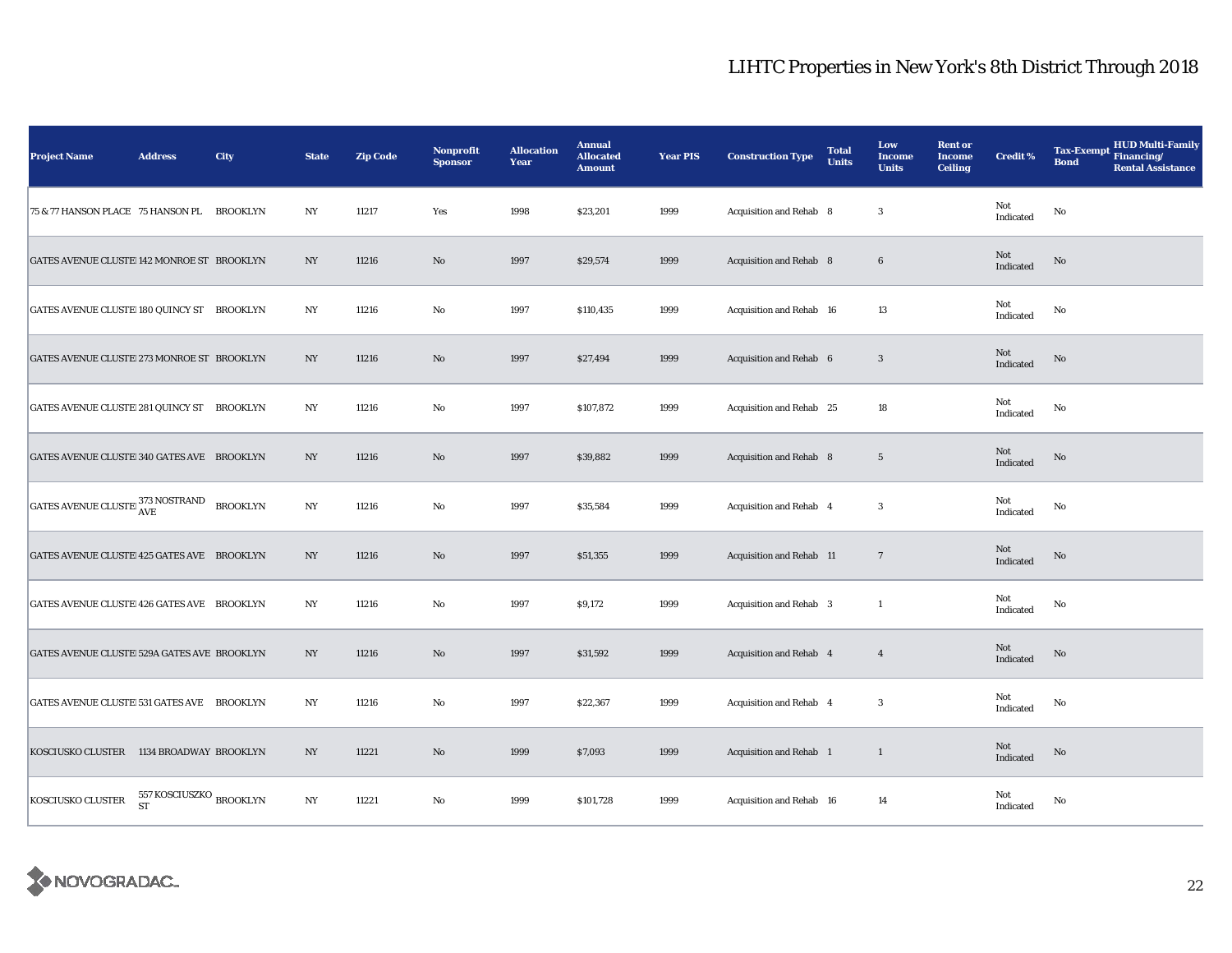| <b>Project Name</b>                         | <b>Address</b>                                | City            | <b>State</b>     | <b>Zip Code</b> | <b>Nonprofit</b><br><b>Sponsor</b> | <b>Allocation</b><br>Year | <b>Annual</b><br><b>Allocated</b><br><b>Amount</b> | <b>Year PIS</b> | <b>Construction Type</b>       | <b>Total</b><br><b>Units</b> | Low<br><b>Income</b><br><b>Units</b> | <b>Rent or</b><br><b>Income</b><br><b>Ceiling</b> | <b>Credit %</b>  | <b>HUD Multi-Family</b><br><b>Tax-Exempt</b><br>Financing/<br><b>Bond</b><br><b>Rental Assistance</b> |
|---------------------------------------------|-----------------------------------------------|-----------------|------------------|-----------------|------------------------------------|---------------------------|----------------------------------------------------|-----------------|--------------------------------|------------------------------|--------------------------------------|---------------------------------------------------|------------------|-------------------------------------------------------------------------------------------------------|
| 75 & 77 HANSON PLACE 75 HANSON PL           |                                               | <b>BROOKLYN</b> | NY               | 11217           | Yes                                | 1998                      | \$23,201                                           | 1999            | Acquisition and Rehab 8        |                              | 3                                    |                                                   | Not<br>Indicated | No                                                                                                    |
| GATES AVENUE CLUSTE 142 MONROE ST BROOKLYN  |                                               |                 | NY               | 11216           | $\mathbf{No}$                      | 1997                      | \$29,574                                           | 1999            | Acquisition and Rehab 8        |                              | $6\phantom{.0}$                      |                                                   | Not<br>Indicated | No                                                                                                    |
| GATES AVENUE CLUSTE 180 QUINCY ST BROOKLYN  |                                               |                 | NY               | 11216           | No                                 | 1997                      | \$110,435                                          | 1999            | Acquisition and Rehab 16       |                              | 13                                   |                                                   | Not<br>Indicated | No                                                                                                    |
| GATES AVENUE CLUSTE 273 MONROE ST BROOKLYN  |                                               |                 | NY               | 11216           | $\mathbf{No}$                      | 1997                      | \$27,494                                           | 1999            | Acquisition and Rehab 6        |                              | $\mathbf{3}$                         |                                                   | Not<br>Indicated | No                                                                                                    |
| GATES AVENUE CLUSTE 281 QUINCY ST BROOKLYN  |                                               |                 | NY               | 11216           | $\mathbf{No}$                      | 1997                      | \$107,872                                          | 1999            | Acquisition and Rehab 25       |                              | 18                                   |                                                   | Not<br>Indicated | No                                                                                                    |
| GATES AVENUE CLUSTE 340 GATES AVE BROOKLYN  |                                               |                 | NY               | 11216           | $\mathbf{N}\mathbf{o}$             | 1997                      | \$39,882                                           | 1999            | Acquisition and Rehab 8        |                              | $5\phantom{.0}$                      |                                                   | Not<br>Indicated | No                                                                                                    |
| GATES AVENUE CLUSTE 373 NOSTRAND            |                                               | <b>BROOKLYN</b> | $_{\mathrm{NY}}$ | 11216           | $\rm No$                           | 1997                      | \$35,584                                           | 1999            | Acquisition and Rehab 4        |                              | 3                                    |                                                   | Not<br>Indicated | No                                                                                                    |
| GATES AVENUE CLUSTE 425 GATES AVE BROOKLYN  |                                               |                 | NY               | 11216           | $\mathbf{N}\mathbf{o}$             | 1997                      | \$51,355                                           | 1999            | Acquisition and Rehab 11       |                              | $7\phantom{.0}$                      |                                                   | Not<br>Indicated | No                                                                                                    |
| GATES AVENUE CLUSTE 426 GATES AVE BROOKLYN  |                                               |                 | NY               | 11216           | No                                 | 1997                      | \$9,172                                            | 1999            | Acquisition and Rehab 3        |                              | $\mathbf{1}$                         |                                                   | Not<br>Indicated | No                                                                                                    |
| GATES AVENUE CLUSTE 529A GATES AVE BROOKLYN |                                               |                 | NY               | 11216           | $\mathbf{N}\mathbf{o}$             | 1997                      | \$31,592                                           | 1999            | <b>Acquisition and Rehab 4</b> |                              | $\overline{4}$                       |                                                   | Not<br>Indicated | No                                                                                                    |
| GATES AVENUE CLUSTE 531 GATES AVE BROOKLYN  |                                               |                 | NY               | 11216           | $\rm No$                           | 1997                      | \$22,367                                           | 1999            | Acquisition and Rehab 4        |                              | 3                                    |                                                   | Not<br>Indicated | No                                                                                                    |
| KOSCIUSKO CLUSTER 1134 BROADWAY BROOKLYN    |                                               |                 | NY               | 11221           | $\mathbf{No}$                      | 1999                      | \$7,093                                            | 1999            | Acquisition and Rehab 1        |                              | $\mathbf{1}$                         |                                                   | Not<br>Indicated | $\mathbf{No}$                                                                                         |
| KOSCIUSKO CLUSTER                           | 557 KOSCIUSZKO $_{\rm BROOKLYN}$<br><b>ST</b> |                 | $_{\mathrm{NY}}$ | 11221           | No                                 | 1999                      | \$101,728                                          | 1999            | Acquisition and Rehab 16       |                              | 14                                   |                                                   | Not<br>Indicated | No                                                                                                    |

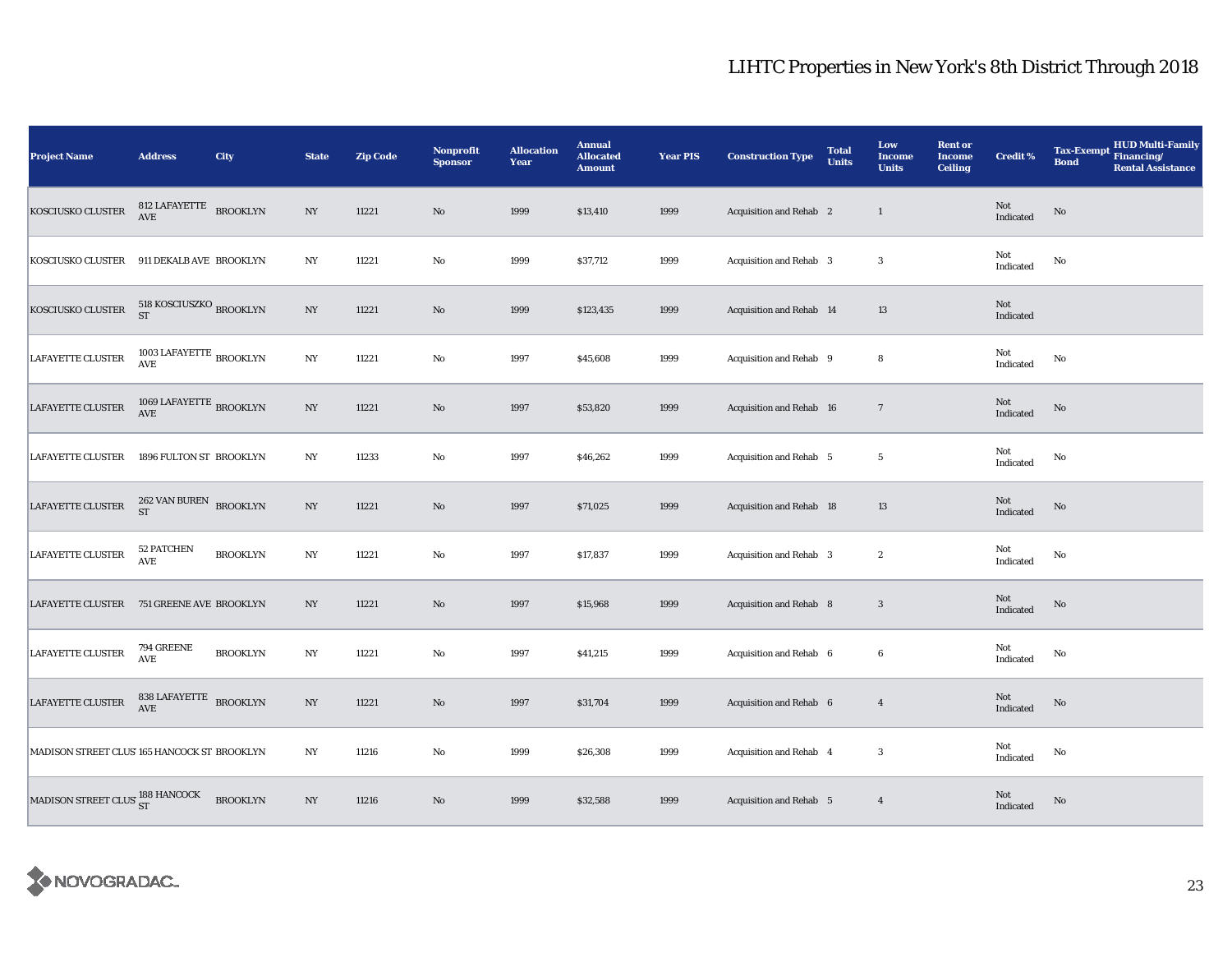| <b>Project Name</b>                          | <b>Address</b>                                                       | City            | <b>State</b>     | <b>Zip Code</b> | Nonprofit<br><b>Sponsor</b> | <b>Allocation</b><br>Year | <b>Annual</b><br><b>Allocated</b><br><b>Amount</b> | <b>Year PIS</b> | <b>Construction Type</b>       | <b>Total</b><br><b>Units</b> | Low<br><b>Income</b><br><b>Units</b> | <b>Rent or</b><br><b>Income</b><br><b>Ceiling</b> | <b>Credit %</b>                            | HUD Multi-Family<br><b>Tax-Exempt</b><br>Financing/<br><b>Bond</b><br><b>Rental Assistance</b> |
|----------------------------------------------|----------------------------------------------------------------------|-----------------|------------------|-----------------|-----------------------------|---------------------------|----------------------------------------------------|-----------------|--------------------------------|------------------------------|--------------------------------------|---------------------------------------------------|--------------------------------------------|------------------------------------------------------------------------------------------------|
| KOSCIUSKO CLUSTER                            | 812 LAFAYETTE BROOKLYN<br>$\operatorname{AVE}$                       |                 | $_{\mathrm{NY}}$ | 11221           | $\rm No$                    | 1999                      | \$13,410                                           | 1999            | <b>Acquisition and Rehab</b> 2 |                              | $\mathbf{1}$                         |                                                   | Not<br>Indicated                           | No                                                                                             |
| KOSCIUSKO CLUSTER                            | 911 DEKALB AVE BROOKLYN                                              |                 | $_{\mathrm{NY}}$ | 11221           | $\rm No$                    | 1999                      | \$37,712                                           | 1999            | Acquisition and Rehab 3        |                              | $\boldsymbol{3}$                     |                                                   | Not<br>Indicated                           | $\rm No$                                                                                       |
| KOSCIUSKO CLUSTER                            | 518 KOSCIUSZKO $_{\rm BROOKLYN}$<br><b>ST</b>                        |                 | NY               | 11221           | $\rm No$                    | 1999                      | \$123,435                                          | 1999            | Acquisition and Rehab 14       |                              | 13                                   |                                                   | Not<br>Indicated                           |                                                                                                |
| LAFAYETTE CLUSTER                            | 1003 LAFAYETTE $_{\rm BROOKLYN}$<br>$\mathbf{A}\mathbf{V}\mathbf{E}$ |                 | $_{\mathrm{NY}}$ | 11221           | $\rm No$                    | 1997                      | \$45,608                                           | 1999            | Acquisition and Rehab 9        |                              | 8                                    |                                                   | Not<br>Indicated                           | No                                                                                             |
| LAFAYETTE CLUSTER                            | 1069 LAFAYETTE $_{\rm BROOKLYN}$<br>AVE                              |                 | $_{\mathrm{NY}}$ | 11221           | $\rm No$                    | 1997                      | \$53,820                                           | 1999            | Acquisition and Rehab 16       |                              | $7\phantom{.0}$                      |                                                   | Not<br>Indicated                           | No                                                                                             |
| <b>LAFAYETTE CLUSTER</b>                     | 1896 FULTON ST BROOKLYN                                              |                 | NY               | 11233           | $\mathbf {No}$              | 1997                      | \$46,262                                           | 1999            | Acquisition and Rehab 5        |                              | $5\phantom{.0}$                      |                                                   | Not<br>Indicated                           | $\mathbf{No}$                                                                                  |
| LAFAYETTE CLUSTER                            | $262$ VAN BUREN $_{\rm BROOKLYN}$<br><b>ST</b>                       |                 | $_{\mathrm{NY}}$ | 11221           | $\rm No$                    | 1997                      | \$71,025                                           | 1999            | Acquisition and Rehab 18       |                              | $13\,$                               |                                                   | Not<br>Indicated                           | $\mathbf{No}$                                                                                  |
| LAFAYETTE CLUSTER                            | 52 PATCHEN<br>$\operatorname{AVE}$                                   | <b>BROOKLYN</b> | $_{\mathrm{NY}}$ | 11221           | No                          | 1997                      | \$17,837                                           | 1999            | Acquisition and Rehab 3        |                              | $\boldsymbol{2}$                     |                                                   | Not<br>Indicated                           | No                                                                                             |
| LAFAYETTE CLUSTER 751 GREENE AVE BROOKLYN    |                                                                      |                 | NY               | 11221           | $\rm No$                    | 1997                      | \$15,968                                           | 1999            | Acquisition and Rehab 8        |                              | $\mathbf{3}$                         |                                                   | $\operatorname{\mathsf{Not}}$<br>Indicated | $\mathbf{No}$                                                                                  |
| <b>LAFAYETTE CLUSTER</b>                     | 794 GREENE<br>$\mathbf{AVE}$                                         | <b>BROOKLYN</b> | NY               | 11221           | No                          | 1997                      | \$41,215                                           | 1999            | Acquisition and Rehab 6        |                              | $\boldsymbol{6}$                     |                                                   | Not<br>Indicated                           | $\mathbf{No}$                                                                                  |
| <b>LAFAYETTE CLUSTER</b>                     | 838 LAFAYETTE<br><b>AVE</b>                                          | <b>BROOKLYN</b> | NY               | 11221           | $\rm No$                    | 1997                      | \$31,704                                           | 1999            | Acquisition and Rehab 6        |                              | $\overline{4}$                       |                                                   | Not<br>Indicated                           | No                                                                                             |
| MADISON STREET CLUS' 165 HANCOCK ST BROOKLYN |                                                                      |                 | $_{\mathrm{NY}}$ | 11216           | $\mathbf {No}$              | 1999                      | \$26,308                                           | 1999            | Acquisition and Rehab 4        |                              | $\boldsymbol{3}$                     |                                                   | Not<br>Indicated                           | No                                                                                             |
| MADISON STREET CLUS' ST                      |                                                                      | <b>BROOKLYN</b> | $_{\mathrm{NY}}$ | 11216           | $\rm No$                    | 1999                      | \$32,588                                           | 1999            | Acquisition and Rehab 5        |                              | $\overline{4}$                       |                                                   | Not<br>Indicated                           | No                                                                                             |

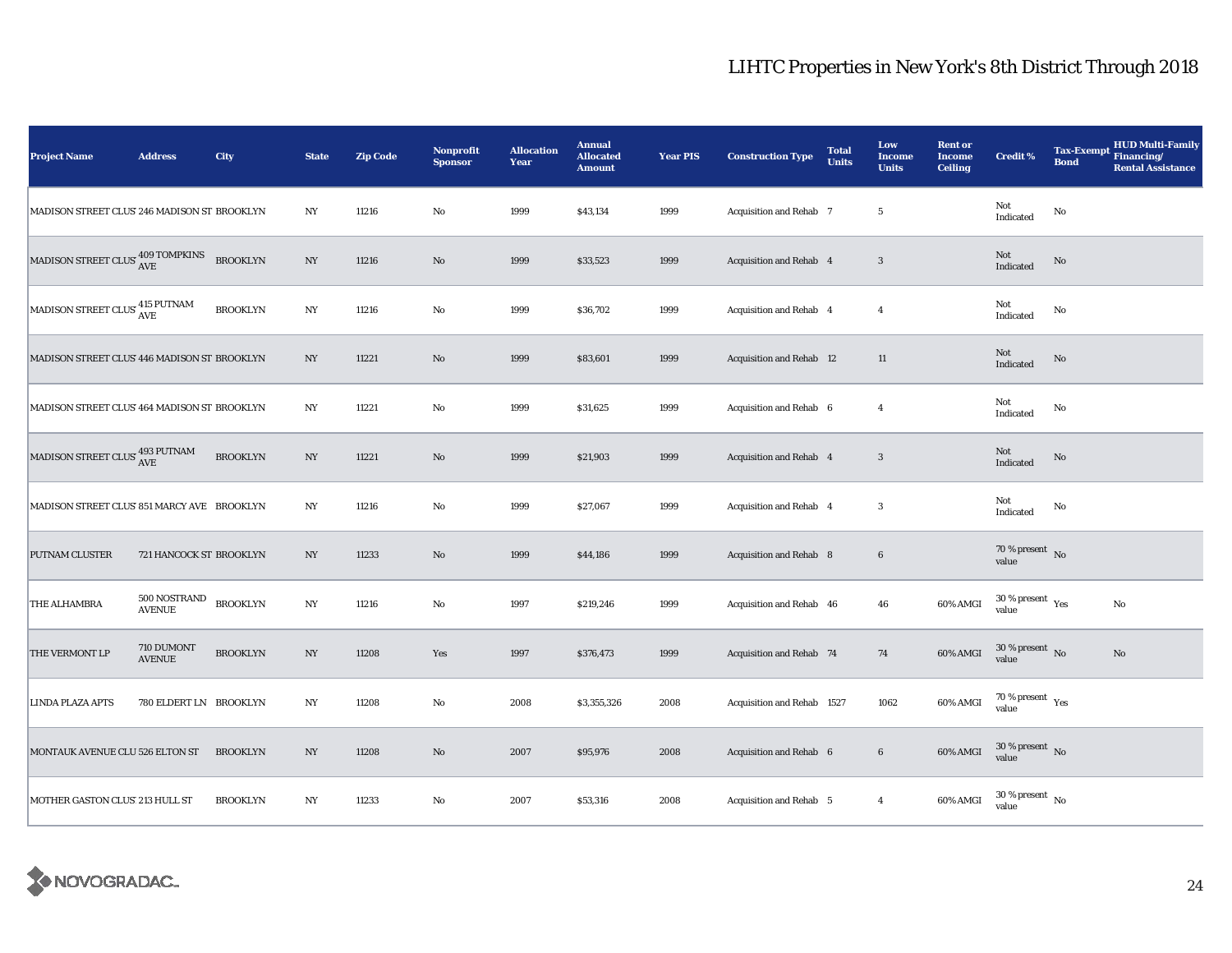| <b>Project Name</b>                          | <b>Address</b>                | City            | <b>State</b>     | <b>Zip Code</b> | <b>Nonprofit</b><br><b>Sponsor</b> | <b>Allocation</b><br>Year | <b>Annual</b><br><b>Allocated</b><br><b>Amount</b> | <b>Year PIS</b> | <b>Construction Type</b>       | <b>Total</b><br><b>Units</b> | Low<br><b>Income</b><br><b>Units</b> | <b>Rent or</b><br><b>Income</b><br><b>Ceiling</b> | <b>Credit %</b>                             | <b>Tax-Exempt</b><br><b>Bond</b> | <b>HUD Multi-Family</b><br>Financing/<br><b>Rental Assistance</b> |
|----------------------------------------------|-------------------------------|-----------------|------------------|-----------------|------------------------------------|---------------------------|----------------------------------------------------|-----------------|--------------------------------|------------------------------|--------------------------------------|---------------------------------------------------|---------------------------------------------|----------------------------------|-------------------------------------------------------------------|
| MADISON STREET CLUS' 246 MADISON ST BROOKLYN |                               |                 | $_{\mathrm{NY}}$ | 11216           | No                                 | 1999                      | \$43,134                                           | 1999            | Acquisition and Rehab 7        |                              | $5\phantom{.0}$                      |                                                   | Not<br>Indicated                            | No                               |                                                                   |
| MADISON STREET CLUS 409 TOMPKINS             |                               | <b>BROOKLYN</b> | NY               | 11216           | No                                 | 1999                      | \$33,523                                           | 1999            | <b>Acquisition and Rehab 4</b> |                              | $\overline{\mathbf{3}}$              |                                                   | Not<br>Indicated                            | No                               |                                                                   |
| MADISON STREET CLUS $^{415}_{\rm{AVE}}$      |                               | <b>BROOKLYN</b> | $_{\mathrm{NY}}$ | 11216           | $\mathbf{No}$                      | 1999                      | \$36,702                                           | 1999            | Acquisition and Rehab 4        |                              | $\overline{4}$                       |                                                   | Not<br>Indicated                            | $\mathbf{No}$                    |                                                                   |
| MADISON STREET CLUS' 446 MADISON ST BROOKLYN |                               |                 | NY               | 11221           | $\rm No$                           | 1999                      | \$83,601                                           | 1999            | Acquisition and Rehab 12       |                              | 11                                   |                                                   | Not<br>Indicated                            | No                               |                                                                   |
| MADISON STREET CLUS' 464 MADISON ST BROOKLYN |                               |                 | NY               | 11221           | No                                 | 1999                      | \$31,625                                           | 1999            | Acquisition and Rehab 6        |                              | $\overline{4}$                       |                                                   | Not<br>Indicated                            | No                               |                                                                   |
| MADISON STREET CLUS' 493 PUTNAM              |                               | <b>BROOKLYN</b> | $_{\mathrm{NY}}$ | 11221           | $\rm No$                           | 1999                      | \$21,903                                           | 1999            | Acquisition and Rehab 4        |                              | 3                                    |                                                   | Not<br>Indicated                            | $\rm No$                         |                                                                   |
| MADISON STREET CLUS' 851 MARCY AVE BROOKLYN  |                               |                 | NY               | 11216           | $\rm No$                           | 1999                      | \$27,067                                           | 1999            | Acquisition and Rehab 4        |                              | 3                                    |                                                   | Not<br>Indicated                            | No                               |                                                                   |
| <b>PUTNAM CLUSTER</b>                        | 721 HANCOCK ST BROOKLYN       |                 | $_{\mathrm{NY}}$ | 11233           | $\rm No$                           | 1999                      | \$44,186                                           | 1999            | Acquisition and Rehab 8        |                              | $\bf 6$                              |                                                   | $70\,\%$ present $\,$ No value              |                                  |                                                                   |
| THE ALHAMBRA                                 | 500 NOSTRAND<br><b>AVENUE</b> | <b>BROOKLYN</b> | $_{\mathrm{NY}}$ | 11216           | $\mathbf{No}$                      | 1997                      | \$219,246                                          | 1999            | Acquisition and Rehab 46       |                              | 46                                   | 60% AMGI                                          | 30 % present $\rm \gamma_{\rm es}$<br>value |                                  | No                                                                |
| THE VERMONT LP                               | 710 DUMONT<br><b>AVENUE</b>   | <b>BROOKLYN</b> | $_{\mathrm{NY}}$ | 11208           | Yes                                | 1997                      | \$376,473                                          | 1999            | Acquisition and Rehab 74       |                              | 74                                   | 60% AMGI                                          | $30$ % present $\,$ No $\,$<br>value        |                                  | $\mathbf{N}\mathbf{o}$                                            |
| LINDA PLAZA APTS                             | 780 ELDERT LN BROOKLYN        |                 | $_{\mathrm{NY}}$ | 11208           | $\rm No$                           | 2008                      | \$3,355,326                                        | 2008            | Acquisition and Rehab 1527     |                              | 1062                                 | 60% AMGI                                          | 70 % present $\rm\thinspace_{Yes}$<br>value |                                  |                                                                   |
| MONTAUK AVENUE CLU 526 ELTON ST              |                               | <b>BROOKLYN</b> | $_{\mathrm{NY}}$ | 11208           | $\rm No$                           | 2007                      | \$95,976                                           | 2008            | Acquisition and Rehab 6        |                              | $\bf 6$                              | 60% AMGI                                          | $30\,\%$ present $\,$ No $\,$<br>value      |                                  |                                                                   |
| MOTHER GASTON CLUS' 213 HULL ST              |                               | <b>BROOKLYN</b> | $_{\mathrm{NY}}$ | 11233           | $\mathbf{No}$                      | 2007                      | \$53,316                                           | 2008            | Acquisition and Rehab 5        |                              | $\overline{4}$                       | 60% AMGI                                          | $30\,\%$ present $\,$ No $\,$<br>value      |                                  |                                                                   |

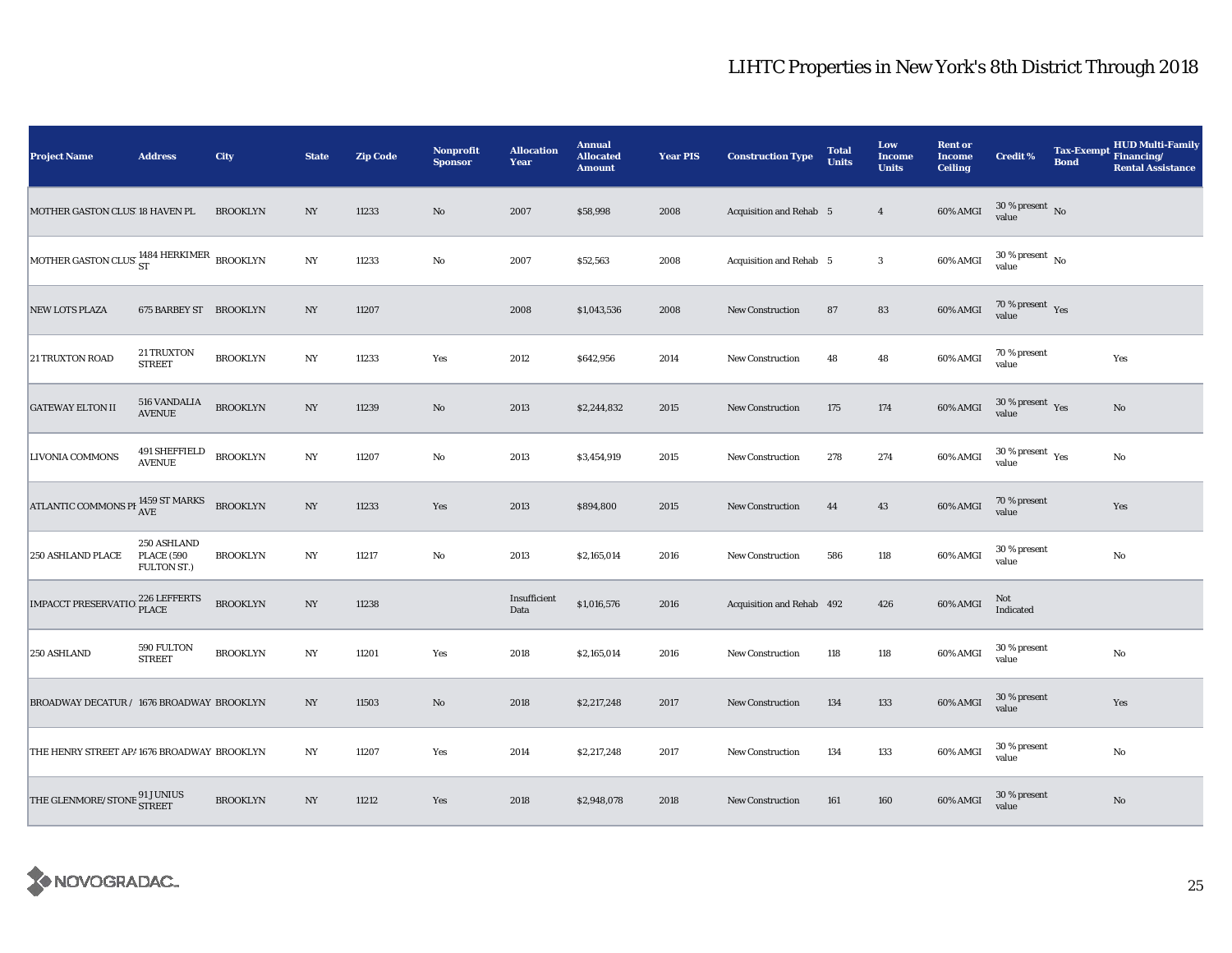| <b>Project Name</b>                                       | <b>Address</b>                                  | City            | <b>State</b>     | <b>Zip Code</b> | Nonprofit<br><b>Sponsor</b> | <b>Allocation</b><br>Year | <b>Annual</b><br><b>Allocated</b><br><b>Amount</b> | <b>Year PIS</b> | <b>Construction Type</b>       | <b>Total</b><br><b>Units</b> | Low<br><b>Income</b><br><b>Units</b> | <b>Rent or</b><br><b>Income</b><br><b>Ceiling</b> | <b>Credit %</b>                             | <b>Tax-Exempt</b><br><b>Bond</b> | <b>HUD Multi-Family</b><br>Financing/<br><b>Rental Assistance</b> |
|-----------------------------------------------------------|-------------------------------------------------|-----------------|------------------|-----------------|-----------------------------|---------------------------|----------------------------------------------------|-----------------|--------------------------------|------------------------------|--------------------------------------|---------------------------------------------------|---------------------------------------------|----------------------------------|-------------------------------------------------------------------|
| MOTHER GASTON CLUS' 18 HAVEN PL                           |                                                 | <b>BROOKLYN</b> | N <sub>Y</sub>   | 11233           | No                          | 2007                      | \$58,998                                           | 2008            | <b>Acquisition and Rehab</b> 5 |                              | $\overline{4}$                       | 60% AMGI                                          | $30\,\%$ present $\,$ No value              |                                  |                                                                   |
| MOTHER GASTON CLUS' $^{1484}_{\rm\,ST}$ HERKIMER BROOKLYN |                                                 |                 | NY               | 11233           | No                          | 2007                      | \$52,563                                           | 2008            | <b>Acquisition and Rehab 5</b> |                              | $\boldsymbol{3}$                     | 60% AMGI                                          | $30\,\%$ present $\,$ No $\,$<br>value      |                                  |                                                                   |
| <b>NEW LOTS PLAZA</b>                                     | 675 BARBEY ST BROOKLYN                          |                 | NY               | 11207           |                             | 2008                      | \$1,043,536                                        | 2008            | <b>New Construction</b>        | 87                           | 83                                   | 60% AMGI                                          | $70\,\%$ present $\,$ Yes value             |                                  |                                                                   |
| <b>21 TRUXTON ROAD</b>                                    | 21 TRUXTON<br><b>STREET</b>                     | <b>BROOKLYN</b> | NY               | 11233           | Yes                         | 2012                      | \$642,956                                          | 2014            | New Construction               | 48                           | 48                                   | 60% AMGI                                          | 70 % present<br>value                       |                                  | Yes                                                               |
| <b>GATEWAY ELTON II</b>                                   | <b>516 VANDALIA</b><br><b>AVENUE</b>            | <b>BROOKLYN</b> | NY               | 11239           | No                          | 2013                      | \$2,244,832                                        | 2015            | <b>New Construction</b>        | 175                          | 174                                  | 60% AMGI                                          | $30\,\%$ present $\,$ $\rm Yes$<br>value    |                                  | No                                                                |
| <b>LIVONIA COMMONS</b>                                    | 491 SHEFFIELD<br>AVENUE                         | <b>BROOKLYN</b> | $_{\mathrm{NY}}$ | 11207           | $\rm No$                    | 2013                      | \$3,454,919                                        | 2015            | New Construction               | 278                          | 274                                  | 60% AMGI                                          | 30 % present $\rm \gamma_{\rm es}$<br>value |                                  | No                                                                |
| ATLANTIC COMMONS PH 1459 ST MARKS                         |                                                 | <b>BROOKLYN</b> | $_{\mathrm{NY}}$ | 11233           | Yes                         | 2013                      | \$894,800                                          | 2015            | <b>New Construction</b>        | 44                           | 43                                   | 60% AMGI                                          | 70 % present<br>value                       |                                  | Yes                                                               |
| 250 ASHLAND PLACE                                         | 250 ASHLAND<br><b>PLACE (590</b><br>FULTON ST.) | <b>BROOKLYN</b> | $_{\mathrm{NY}}$ | 11217           | $\rm No$                    | 2013                      | \$2,165,014                                        | 2016            | <b>New Construction</b>        | 586                          | 118                                  | 60% AMGI                                          | 30 % present<br>value                       |                                  | $\rm No$                                                          |
| IMPACCT PRESERVATIO 226 LEFFERTS                          |                                                 | <b>BROOKLYN</b> | $_{\mathrm{NY}}$ | 11238           |                             | Insufficient<br>Data      | \$1,016,576                                        | 2016            | Acquisition and Rehab 492      |                              | 426                                  | 60% AMGI                                          | Not<br>Indicated                            |                                  |                                                                   |
| 250 ASHLAND                                               | 590 FULTON<br><b>STREET</b>                     | <b>BROOKLYN</b> | NY               | 11201           | Yes                         | 2018                      | \$2,165,014                                        | 2016            | New Construction               | 118                          | 118                                  | 60% AMGI                                          | 30 % present<br>value                       |                                  | No                                                                |
| BROADWAY DECATUR / 1676 BROADWAY BROOKLYN                 |                                                 |                 | NY               | 11503           | $\rm No$                    | 2018                      | \$2,217,248                                        | 2017            | <b>New Construction</b>        | 134                          | 133                                  | 60% AMGI                                          | 30 % present<br>value                       |                                  | Yes                                                               |
| THE HENRY STREET AP/1676 BROADWAY BROOKLYN                |                                                 |                 | NY               | 11207           | Yes                         | 2014                      | \$2,217,248                                        | 2017            | <b>New Construction</b>        | 134                          | 133                                  | 60% AMGI                                          | 30 % present<br>value                       |                                  | No                                                                |
| THE GLENMORE/STONE 91 JUNIUS<br>STREET                    |                                                 | <b>BROOKLYN</b> | $_{\mathrm{NY}}$ | 11212           | Yes                         | 2018                      | \$2,948,078                                        | 2018            | New Construction               | 161                          | 160                                  | 60% AMGI                                          | 30 % present<br>value                       |                                  | $\rm No$                                                          |

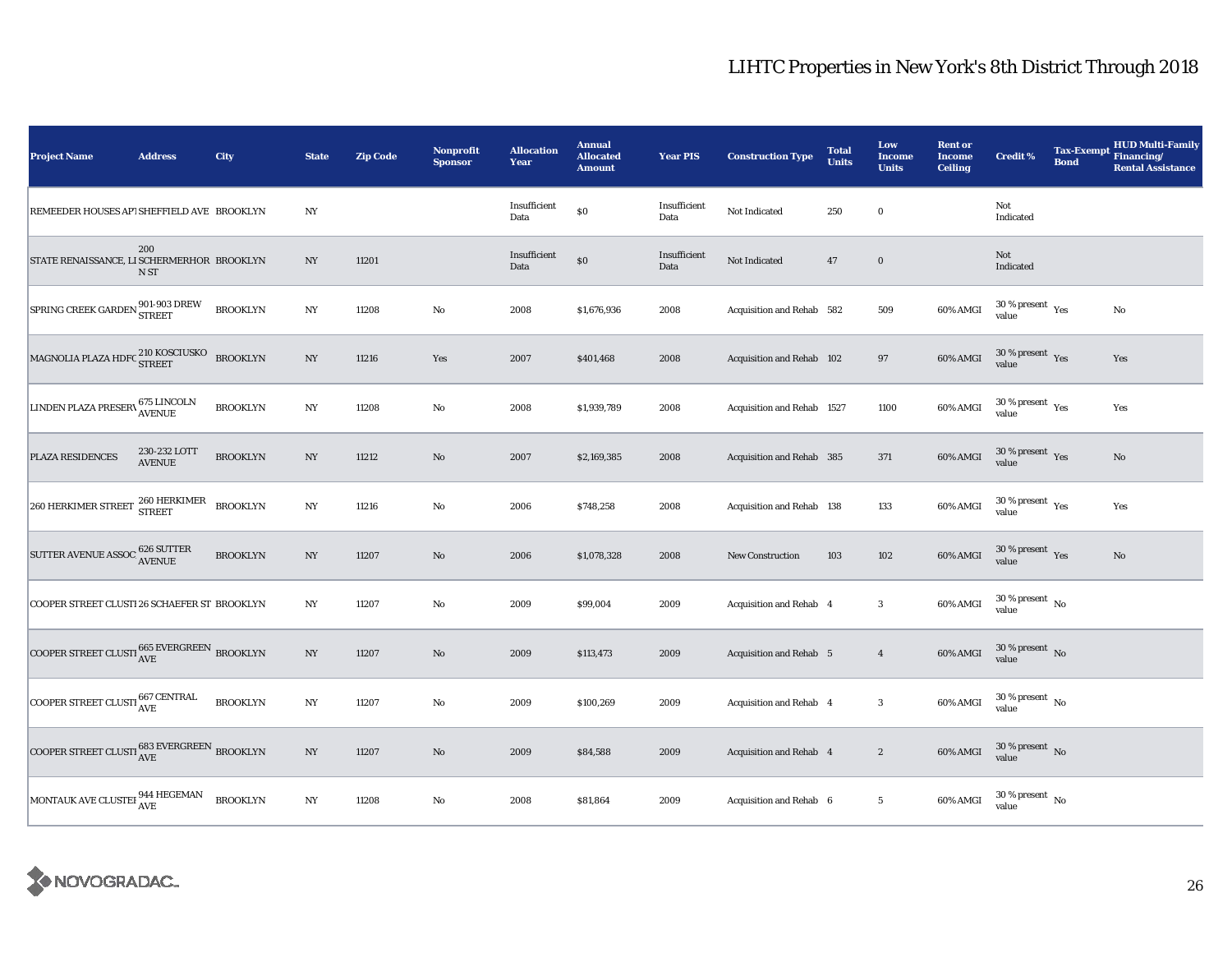| <b>Project Name</b>                                                  | <b>Address</b>                | <b>City</b>     | <b>State</b>     | <b>Zip Code</b> | Nonprofit<br><b>Sponsor</b> | <b>Allocation</b><br>Year | <b>Annual</b><br><b>Allocated</b><br><b>Amount</b> | <b>Year PIS</b>      | <b>Construction Type</b>       | <b>Total</b><br><b>Units</b> | Low<br><b>Income</b><br><b>Units</b> | <b>Rent or</b><br><b>Income</b><br><b>Ceiling</b> | <b>Credit %</b>                              | Tax-Exempt Financing/<br><b>Bond</b> | <b>HUD Multi-Family</b><br><b>Rental Assistance</b> |
|----------------------------------------------------------------------|-------------------------------|-----------------|------------------|-----------------|-----------------------------|---------------------------|----------------------------------------------------|----------------------|--------------------------------|------------------------------|--------------------------------------|---------------------------------------------------|----------------------------------------------|--------------------------------------|-----------------------------------------------------|
| REMEEDER HOUSES AP1 SHEFFIELD AVE BROOKLYN                           |                               |                 | $_{\mathrm{NY}}$ |                 |                             | Insufficient<br>Data      | \$0                                                | Insufficient<br>Data | Not Indicated                  | 250                          | $\bf{0}$                             |                                                   | Not<br>Indicated                             |                                      |                                                     |
| STATE RENAISSANCE, LI SCHERMERHOR BROOKLYN                           | 200<br>N ST                   |                 | NY               | 11201           |                             | Insufficient<br>Data      | \$0                                                | Insufficient<br>Data | Not Indicated                  | $47\,$                       | $\mathbf 0$                          |                                                   | Not<br>Indicated                             |                                      |                                                     |
| SPRING CREEK GARDEN 901-903 DREW                                     |                               | <b>BROOKLYN</b> | NY               | 11208           | $\mathbf{No}$               | 2008                      | \$1,676,936                                        | 2008                 | Acquisition and Rehab 582      |                              | 509                                  | 60% AMGI                                          | $30$ % present $\rm\thinspace\,Yes$<br>value |                                      | No                                                  |
| MAGNOLIA PLAZA HDFC 210 KOSCIUSKO                                    |                               | <b>BROOKLYN</b> | NY               | 11216           | Yes                         | 2007                      | \$401,468                                          | 2008                 | Acquisition and Rehab 102      |                              | 97                                   | 60% AMGI                                          | $30$ % present $\,$ $\rm Yes$<br>value       |                                      | Yes                                                 |
| LINDEN PLAZA PRESERV 675 LINCOLN                                     |                               | <b>BROOKLYN</b> | $_{\mathrm{NY}}$ | 11208           | $\mathbf{No}$               | 2008                      | \$1,939,789                                        | 2008                 | Acquisition and Rehab 1527     |                              | 1100                                 | 60% AMGI                                          | $30$ % present $\rm\thinspace\,Yes$<br>value |                                      | Yes                                                 |
| PLAZA RESIDENCES                                                     | 230-232 LOTT<br><b>AVENUE</b> | <b>BROOKLYN</b> | $_{\mathrm{NY}}$ | 11212           | $\rm No$                    | 2007                      | \$2,169,385                                        | 2008                 | Acquisition and Rehab 385      |                              | $371\,$                              | 60% AMGI                                          | $30\,\%$ present $\,$ Yes value              |                                      | $\mathbf{N}\mathbf{o}$                              |
| $260$ HERKIMER STREET $\frac{260}{\text{STREET}}$                    |                               | <b>BROOKLYN</b> | $_{\mathrm{NY}}$ | 11216           | $_{\rm No}$                 | 2006                      | \$748,258                                          | 2008                 | Acquisition and Rehab 138      |                              | 133                                  | 60% AMGI                                          | $30\,\%$ present $\,$ Yes value              |                                      | Yes                                                 |
| <b>SUTTER AVENUE ASSOC</b>                                           | , 626 SUTTER<br>^ AVENUE      | <b>BROOKLYN</b> | $_{\mathrm{NY}}$ | 11207           | $\rm No$                    | 2006                      | \$1,078,328                                        | 2008                 | <b>New Construction</b>        | 103                          | $102\,$                              | 60% AMGI                                          | $30\,\%$ present $\,$ Yes value              |                                      | No                                                  |
| COOPER STREET CLUSTI 26 SCHAEFER ST BROOKLYN                         |                               |                 | $_{\mathrm{NY}}$ | 11207           | $\mathbf{No}$               | 2009                      | \$99,004                                           | 2009                 | Acquisition and Rehab 4        |                              | $\bf{3}$                             | 60% AMGI                                          | $30$ % present $\,$ No $\,$<br>value         |                                      |                                                     |
| COOPER STREET CLUSTI $_{\mbox{AVE}}^{665\text{ EVERGREEN}}$ BROOKLYN |                               |                 | NY               | 11207           | $\rm No$                    | 2009                      | \$113,473                                          | 2009                 | <b>Acquisition and Rehab</b> 5 |                              | $\overline{4}$                       | 60% AMGI                                          | $30\,\%$ present $\,$ No value               |                                      |                                                     |
| COOPER STREET CLUSTI 667 CENTRAL                                     |                               | <b>BROOKLYN</b> | NY               | 11207           | $\mathbf{No}$               | 2009                      | \$100,269                                          | 2009                 | Acquisition and Rehab 4        |                              | $\mathbf{3}$                         | 60% AMGI                                          | $30$ % present $\,$ No $\,$<br>value         |                                      |                                                     |
| COOPER STREET CLUSTI $_{\rm AVE}^{683\rm\,EVERGREEN}$ BROOKLYN       |                               |                 | $_{\mathrm{NY}}$ | 11207           | $\rm No$                    | 2009                      | \$84,588                                           | 2009                 | Acquisition and Rehab 4        |                              | $\boldsymbol{2}$                     | 60% AMGI                                          | $30\,\%$ present $\,$ No value               |                                      |                                                     |
| MONTAUK AVE CLUSTEI $_{\mbox{AVE}}^{944\mbox{ HEGEMAN}}$             |                               | <b>BROOKLYN</b> | $_{\mathrm{NY}}$ | 11208           | $\mathbf{No}$               | 2008                      | \$81,864                                           | 2009                 | Acquisition and Rehab 6        |                              | $5\phantom{.0}$                      | 60% AMGI                                          | $30$ % present $\,$ No $\,$<br>value         |                                      |                                                     |

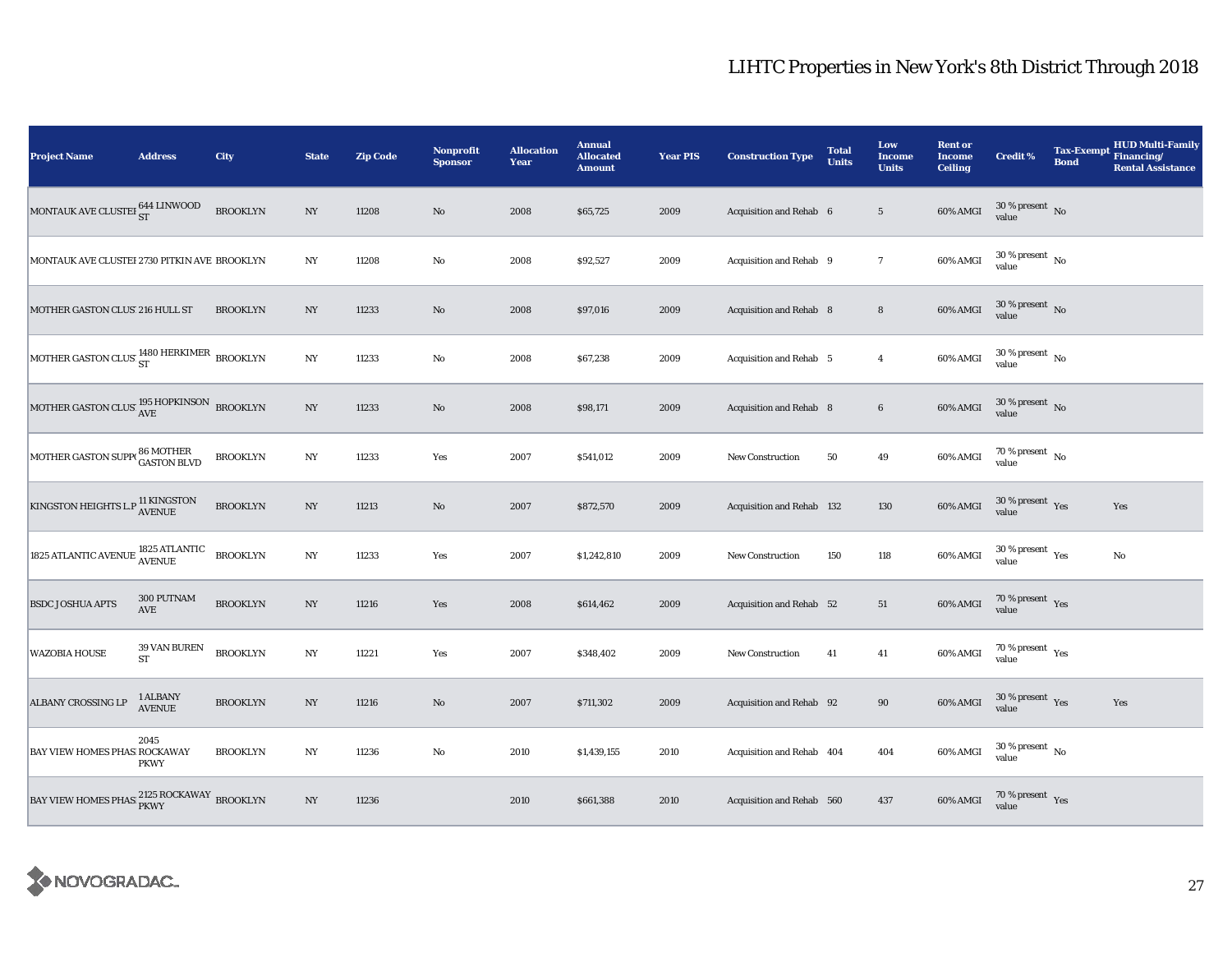| <b>Project Name</b>                                                | <b>Address</b>            | City            | <b>State</b>     | <b>Zip Code</b> | Nonprofit<br><b>Sponsor</b> | <b>Allocation</b><br>Year | <b>Annual</b><br><b>Allocated</b><br><b>Amount</b> | <b>Year PIS</b> | <b>Construction Type</b>  | <b>Total</b><br><b>Units</b> | Low<br><b>Income</b><br><b>Units</b> | <b>Rent or</b><br><b>Income</b><br><b>Ceiling</b> | <b>Credit %</b>                          | <b>Tax-Exempt</b><br><b>Bond</b> | <b>HUD Multi-Family</b><br>Financing/<br><b>Rental Assistance</b> |
|--------------------------------------------------------------------|---------------------------|-----------------|------------------|-----------------|-----------------------------|---------------------------|----------------------------------------------------|-----------------|---------------------------|------------------------------|--------------------------------------|---------------------------------------------------|------------------------------------------|----------------------------------|-------------------------------------------------------------------|
| MONTAUK AVE CLUSTEI $^{644\, \rm LINWOOD}_{\rm ST}$                |                           | <b>BROOKLYN</b> | $_{\mathrm{NY}}$ | 11208           | $\rm No$                    | 2008                      | \$65,725                                           | 2009            | Acquisition and Rehab 6   |                              | $5\phantom{.0}$                      | 60% AMGI                                          | $30\,\%$ present $\,$ No value           |                                  |                                                                   |
| MONTAUK AVE CLUSTEI 2730 PITKIN AVE BROOKLYN                       |                           |                 | $_{\mathrm{NY}}$ | 11208           | $\rm No$                    | 2008                      | \$92,527                                           | 2009            | Acquisition and Rehab 9   |                              | $\overline{7}$                       | 60% AMGI                                          | $30\,\%$ present $\,$ No $\,$<br>value   |                                  |                                                                   |
| MOTHER GASTON CLUS' 216 HULL ST                                    |                           | <b>BROOKLYN</b> | NY               | 11233           | $\rm No$                    | 2008                      | \$97,016                                           | 2009            | Acquisition and Rehab 8   |                              | $\bf8$                               | 60% AMGI                                          | $30\,\%$ present $\,$ No value           |                                  |                                                                   |
| MOTHER GASTON CLUS' ST<br>ST<br>NOTHER GASTON CLUS' ST             |                           |                 | NY               | 11233           | $\rm No$                    | 2008                      | \$67,238                                           | 2009            | Acquisition and Rehab 5   |                              | $\overline{4}$                       | 60% AMGI                                          | $30$ % present $\,$ No $\,$<br>value     |                                  |                                                                   |
| MOTHER GASTON CLUS' $^{195}_{\rm AVE}$ HOPKINSON BROOKLYN          |                           |                 | $_{\mathrm{NY}}$ | 11233           | $\rm No$                    | 2008                      | \$98,171                                           | 2009            | Acquisition and Rehab 8   |                              | $\bf 6$                              | 60% AMGI                                          | $30\,\%$ present $\,$ No value           |                                  |                                                                   |
| MOTHER GASTON SUPP(86 MOTHER<br>GASTON BLVD                        |                           | <b>BROOKLYN</b> | $_{\mathrm{NY}}$ | 11233           | Yes                         | 2007                      | \$541,012                                          | 2009            | New Construction          | 50                           | $\bf 49$                             | 60% AMGI                                          | $70\,\%$ present $\,$ No value           |                                  |                                                                   |
| KINGSTON HEIGHTS L.P $_{\rm AVENUE}^{11}$ KINGSTON                 |                           | <b>BROOKLYN</b> | $_{\mathrm{NY}}$ | 11213           | $\rm No$                    | 2007                      | \$872,570                                          | 2009            | Acquisition and Rehab 132 |                              | 130                                  | 60% AMGI                                          | $30\,\%$ present $\,$ Yes value          |                                  | Yes                                                               |
| 1825 ATLANTIC AVENUE $\frac{1825 \text{ ATLANTIC}}{\text{AVENUE}}$ |                           | <b>BROOKLYN</b> | $_{\mathrm{NY}}$ | 11233           | Yes                         | 2007                      | \$1,242,810                                        | 2009            | <b>New Construction</b>   | 150                          | 118                                  | 60% AMGI                                          | $30\,\%$ present $\,$ Yes value          |                                  | No                                                                |
| <b>BSDC JOSHUA APTS</b>                                            | 300 PUTNAM<br>AVE         | <b>BROOKLYN</b> | NY               | 11216           | Yes                         | 2008                      | \$614,462                                          | 2009            | Acquisition and Rehab 52  |                              | $51\,$                               | 60% AMGI                                          | $70\,\%$ present $\,$ Yes value          |                                  |                                                                   |
| <b>WAZOBIA HOUSE</b>                                               | 39 VAN BUREN<br><b>ST</b> | <b>BROOKLYN</b> | NY               | 11221           | Yes                         | 2007                      | \$348,402                                          | 2009            | New Construction          | 41                           | 41                                   | 60% AMGI                                          | $70\,\%$ present $\,$ Yes value          |                                  |                                                                   |
| ALBANY CROSSING LP                                                 | 1 ALBANY<br><b>AVENUE</b> | <b>BROOKLYN</b> | $_{\mathrm{NY}}$ | 11216           | No                          | 2007                      | \$711,302                                          | 2009            | Acquisition and Rehab 92  |                              | 90                                   | 60% AMGI                                          | $30\,\%$ present $\,$ $\rm Yes$<br>value |                                  | Yes                                                               |
| BAY VIEW HOMES PHAS ROCKAWAY                                       | 2045<br><b>PKWY</b>       | <b>BROOKLYN</b> | $_{\mathrm{NY}}$ | 11236           | $\rm No$                    | 2010                      | \$1,439,155                                        | 2010            | Acquisition and Rehab 404 |                              | 404                                  | 60% AMGI                                          | $30\,\%$ present $\,$ No value           |                                  |                                                                   |
| BAY VIEW HOMES PHAS 2125 ROCKAWAY BROOKLYN                         |                           |                 | $_{\mathrm{NY}}$ | 11236           |                             | 2010                      | \$661,388                                          | 2010            | Acquisition and Rehab 560 |                              | 437                                  | 60% AMGI                                          | $70\,\%$ present $\;\;$ Yes value        |                                  |                                                                   |

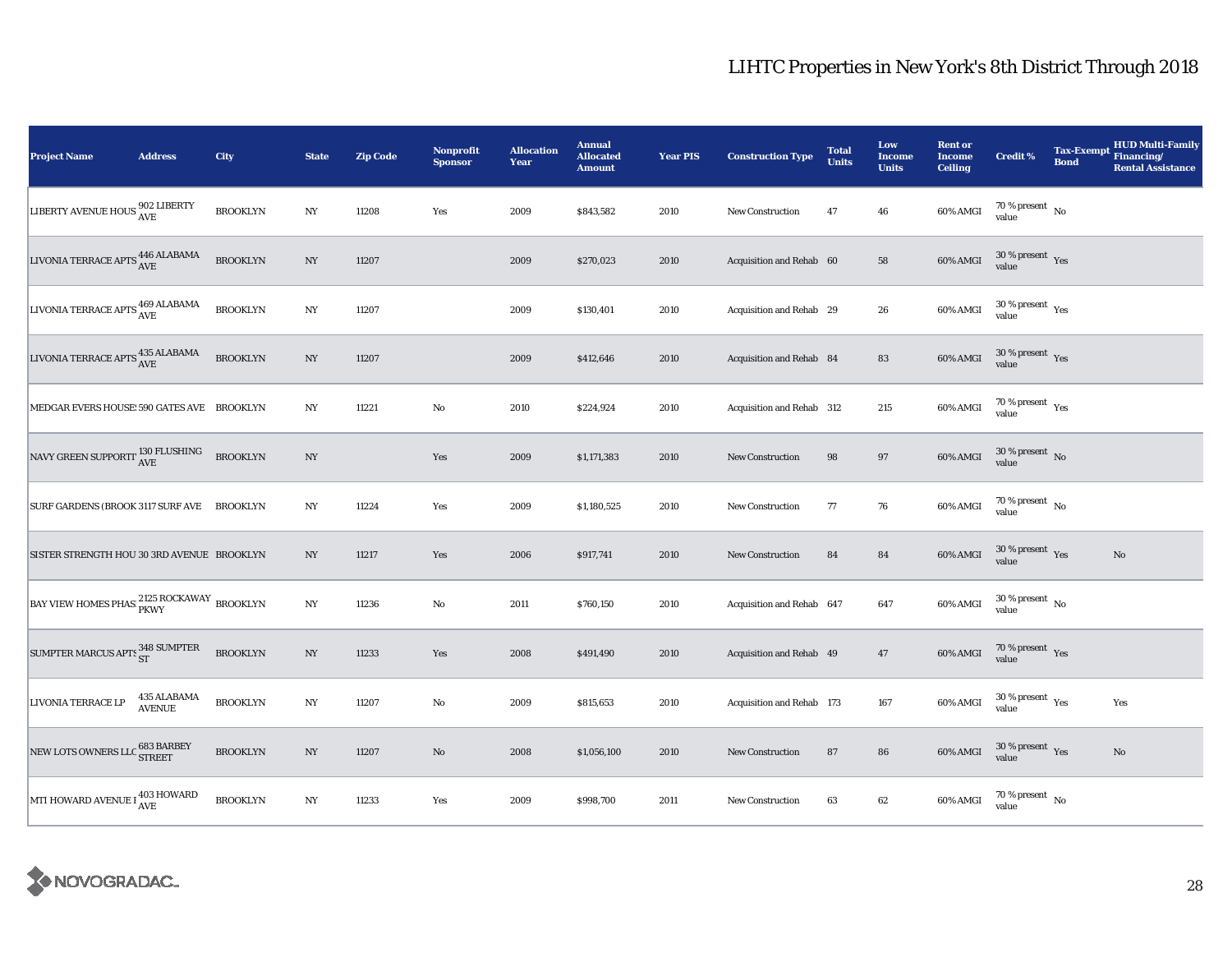| <b>Project Name</b>                                  | <b>Address</b>               | City            | <b>State</b>     | <b>Zip Code</b> | Nonprofit<br><b>Sponsor</b> | <b>Allocation</b><br>Year | <b>Annual</b><br><b>Allocated</b><br><b>Amount</b> | <b>Year PIS</b> | <b>Construction Type</b>  | <b>Total</b><br><b>Units</b> | Low<br><b>Income</b><br><b>Units</b> | <b>Rent or</b><br><b>Income</b><br><b>Ceiling</b> | <b>Credit %</b>                              | <b>Tax-Exempt</b><br><b>Bond</b> | <b>HUD Multi-Family</b><br>Financing/<br><b>Rental Assistance</b> |
|------------------------------------------------------|------------------------------|-----------------|------------------|-----------------|-----------------------------|---------------------------|----------------------------------------------------|-----------------|---------------------------|------------------------------|--------------------------------------|---------------------------------------------------|----------------------------------------------|----------------------------------|-------------------------------------------------------------------|
| LIBERTY AVENUE HOUS 302 LIBERTY                      |                              | <b>BROOKLYN</b> | NY               | 11208           | Yes                         | 2009                      | \$843,582                                          | 2010            | <b>New Construction</b>   | 47                           | 46                                   | 60% AMGI                                          | $70\,\%$ present $\,$ No value               |                                  |                                                                   |
| LIVONIA TERRACE APTS $_{\rm AVE}^{446\;\rm ALABAMA}$ |                              | <b>BROOKLYN</b> | NY               | 11207           |                             | 2009                      | \$270,023                                          | 2010            | Acquisition and Rehab 60  |                              | 58                                   | 60% AMGI                                          | $30$ % present $\,$ $\rm Yes$<br>value       |                                  |                                                                   |
| LIVONIA TERRACE APTS 469 ALABAMA                     |                              | <b>BROOKLYN</b> | NY               | 11207           |                             | 2009                      | \$130,401                                          | 2010            | Acquisition and Rehab 29  |                              | 26                                   | 60% AMGI                                          | $30$ % present $\rm\thinspace\,Yes$<br>value |                                  |                                                                   |
| LIVONIA TERRACE APTS $_{\rm AVE}^{435\;\rm ALABAMA}$ |                              | <b>BROOKLYN</b> | $_{\mathrm{NY}}$ | 11207           |                             | 2009                      | \$412,646                                          | 2010            | Acquisition and Rehab 84  |                              | ${\bf 83}$                           | 60% AMGI                                          | $30\,\%$ present $\,$ Yes value              |                                  |                                                                   |
| MEDGAR EVERS HOUSE: 590 GATES AVE BROOKLYN           |                              |                 | $_{\mathrm{NY}}$ | 11221           | $\rm No$                    | 2010                      | \$224,924                                          | 2010            | Acquisition and Rehab 312 |                              | 215                                  | 60% AMGI                                          | $70\,\%$ present $\,$ Yes value              |                                  |                                                                   |
| NAVY GREEN SUPPORTI <sup>130</sup> FLUSHING          |                              | <b>BROOKLYN</b> | $_{\mathrm{NY}}$ |                 | Yes                         | 2009                      | \$1,171,383                                        | 2010            | <b>New Construction</b>   | 98                           | $\bf{97}$                            | 60% AMGI                                          | $30\,\%$ present $\,$ No value               |                                  |                                                                   |
| SURF GARDENS (BROOK 3117 SURF AVE BROOKLYN           |                              |                 | $_{\mathrm{NY}}$ | 11224           | Yes                         | 2009                      | \$1,180,525                                        | 2010            | New Construction          | 77                           | 76                                   | 60% AMGI                                          | $70\,\%$ present $\,$ No value               |                                  |                                                                   |
| SISTER STRENGTH HOU 30 3RD AVENUE BROOKLYN           |                              |                 | NY               | 11217           | Yes                         | 2006                      | \$917,741                                          | 2010            | <b>New Construction</b>   | 84                           | ${\bf 84}$                           | 60% AMGI                                          | $30$ % present $\,$ $\rm Yes$<br>value       |                                  | $\rm No$                                                          |
| BAY VIEW HOMES PHAS 2125 ROCKAWAY BROOKLYN           |                              |                 | NY               | 11236           | $\rm No$                    | 2011                      | \$760,150                                          | 2010            | Acquisition and Rehab 647 |                              | 647                                  | 60% AMGI                                          | $30$ % present $\,$ No $\,$<br>value         |                                  |                                                                   |
| SUMPTER MARCUS APTS 348 SUMPTER                      |                              | <b>BROOKLYN</b> | $_{\mathrm{NY}}$ | 11233           | Yes                         | 2008                      | \$491,490                                          | 2010            | Acquisition and Rehab 49  |                              | 47                                   | 60% AMGI                                          | $70\,\%$ present $\,$ Yes value              |                                  |                                                                   |
| LIVONIA TERRACE LP                                   | 435 ALABAMA<br><b>AVENUE</b> | <b>BROOKLYN</b> | $_{\mathrm{NY}}$ | 11207           | $\rm No$                    | 2009                      | \$815,653                                          | 2010            | Acquisition and Rehab 173 |                              | 167                                  | 60% AMGI                                          | $30\,\%$ present $\,$ Yes value              |                                  | Yes                                                               |
| NEW LOTS OWNERS LLC 683 BARBEY                       |                              | <b>BROOKLYN</b> | $_{\mathrm{NY}}$ | 11207           | $\rm No$                    | 2008                      | \$1,056,100                                        | 2010            | New Construction          | 87                           | 86                                   | 60% AMGI                                          | $30\,\%$ present $\,$ Yes value              |                                  | $\mathbf{No}$                                                     |
| MTI HOWARD AVENUE I <sup>403</sup> HOWARD            |                              | <b>BROOKLYN</b> | $_{\mathrm{NY}}$ | 11233           | Yes                         | 2009                      | \$998,700                                          | 2011            | <b>New Construction</b>   | 63                           | $62\,$                               | 60% AMGI                                          | $70\,\%$ present $\,$ No value               |                                  |                                                                   |

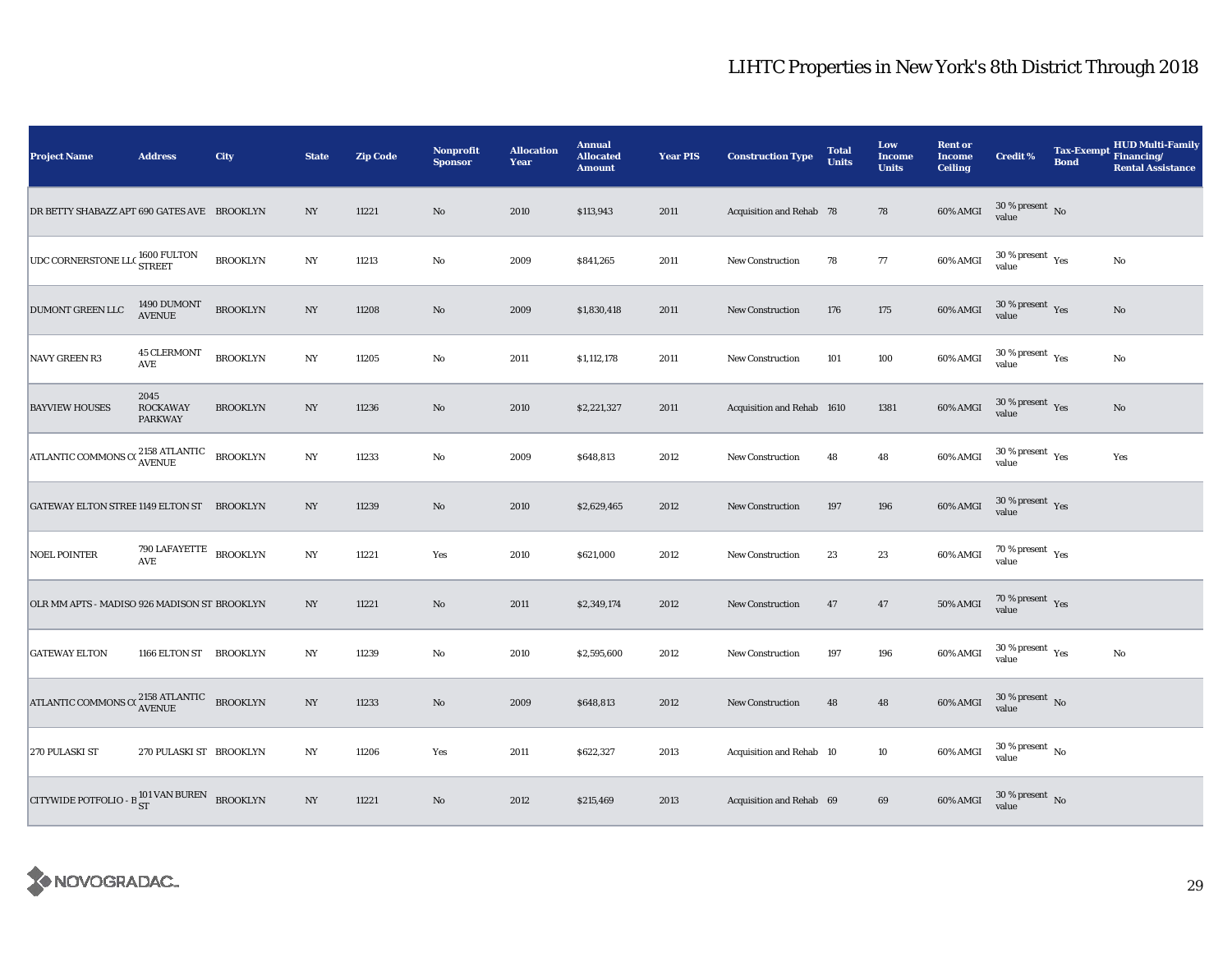| <b>Project Name</b>                                                                                  | <b>Address</b>                                 | City            | <b>State</b>     | <b>Zip Code</b> | Nonprofit<br><b>Sponsor</b> | <b>Allocation</b><br>Year | <b>Annual</b><br><b>Allocated</b><br><b>Amount</b> | <b>Year PIS</b> | <b>Construction Type</b>   | <b>Total</b><br><b>Units</b> | Low<br><b>Income</b><br><b>Units</b> | <b>Rent or</b><br><b>Income</b><br><b>Ceiling</b> | <b>Credit %</b>                             | <b>Tax-Exempt</b><br><b>Bond</b> | <b>HUD Multi-Family</b><br>Financing/<br><b>Rental Assistance</b> |
|------------------------------------------------------------------------------------------------------|------------------------------------------------|-----------------|------------------|-----------------|-----------------------------|---------------------------|----------------------------------------------------|-----------------|----------------------------|------------------------------|--------------------------------------|---------------------------------------------------|---------------------------------------------|----------------------------------|-------------------------------------------------------------------|
| DR BETTY SHABAZZ APT 690 GATES AVE BROOKLYN                                                          |                                                |                 | NY               | 11221           | $\mathbf{No}$               | 2010                      | \$113,943                                          | 2011            | Acquisition and Rehab 78   |                              | 78                                   | 60% AMGI                                          | $30\,\%$ present $\,$ No value              |                                  |                                                                   |
| $\boxed{\text{UDC CORNERSTONE LLC}} \begin{matrix} 1600 \text{ FULTON} \\ \text{STREF} \end{matrix}$ |                                                | <b>BROOKLYN</b> | $_{\mathrm{NY}}$ | 11213           | No                          | 2009                      | \$841,265                                          | 2011            | <b>New Construction</b>    | 78                           | 77                                   | 60% AMGI                                          | $30$ % present $\,$ $\rm Yes$<br>value      |                                  | No                                                                |
| DUMONT GREEN LLC                                                                                     | 1490 DUMONT<br>AVENUE                          | <b>BROOKLYN</b> | NY               | 11208           | $\rm No$                    | 2009                      | \$1,830,418                                        | 2011            | New Construction           | 176                          | 175                                  | 60% AMGI                                          | $30\,\%$ present $\,$ Yes value             |                                  | No                                                                |
| <b>NAVY GREEN R3</b>                                                                                 | <b>45 CLERMONT</b><br><b>AVE</b>               | <b>BROOKLYN</b> | NY               | 11205           | $\mathbf{No}$               | 2011                      | \$1,112,178                                        | 2011            | <b>New Construction</b>    | 101                          | 100                                  | 60% AMGI                                          | $30\,\%$ present $\,$ $\rm Yes$<br>value    |                                  | No                                                                |
| <b>BAYVIEW HOUSES</b>                                                                                | 2045<br><b>ROCKAWAY</b><br><b>PARKWAY</b>      | <b>BROOKLYN</b> | $_{\mathrm{NY}}$ | 11236           | $\rm No$                    | 2010                      | \$2,221,327                                        | 2011            | Acquisition and Rehab 1610 |                              | 1381                                 | 60% AMGI                                          | $30\,\%$ present $\,$ Yes value             |                                  | $\mathbf{N}\mathbf{o}$                                            |
| ATLANTIC COMMONS C( $\frac{2158 \text{ ATLANTIC}}{\text{AVENUE}}$ BROOKLYN                           |                                                |                 | $_{\mathrm{NY}}$ | 11233           | $\rm No$                    | 2009                      | \$648,813                                          | 2012            | <b>New Construction</b>    | 48                           | 48                                   | 60% AMGI                                          | $30\,\%$ present $\,$ Yes value             |                                  | Yes                                                               |
| GATEWAY ELTON STREE 1149 ELTON ST BROOKLYN                                                           |                                                |                 | $_{\mathrm{NY}}$ | 11239           | $\mathbf{No}$               | 2010                      | \$2,629,465                                        | 2012            | <b>New Construction</b>    | 197                          | 196                                  | 60% AMGI                                          | $30\,\%$ present $\,$ Yes value             |                                  |                                                                   |
| <b>NOEL POINTER</b>                                                                                  | 790 LAFAYETTE BROOKLYN<br>$\operatorname{AVE}$ |                 | $_{\mathrm{NY}}$ | 11221           | Yes                         | 2010                      | \$621,000                                          | 2012            | <b>New Construction</b>    | 23                           | 23                                   | 60% AMGI                                          | $70\,\%$ present $\;\;\chi_{\rm e s}$ value |                                  |                                                                   |
| OLR MM APTS - MADISO 926 MADISON ST BROOKLYN                                                         |                                                |                 | NY               | 11221           | $\mathbf{N}\mathbf{o}$      | 2011                      | \$2,349,174                                        | 2012            | New Construction           | 47                           | 47                                   | 50% AMGI                                          | $70\,\%$ present $\;\;$ Yes value           |                                  |                                                                   |
| <b>GATEWAY ELTON</b>                                                                                 | 1166 ELTON ST BROOKLYN                         |                 | NY               | 11239           | No                          | 2010                      | \$2,595,600                                        | 2012            | New Construction           | 197                          | 196                                  | 60% AMGI                                          | $30\,\%$ present $\,$ $\rm Yes$<br>value    |                                  | No                                                                |
| ATLANTIC COMMONS CONTRACTE BROOKLYN                                                                  |                                                |                 | NY               | 11233           | No                          | 2009                      | \$648,813                                          | 2012            | <b>New Construction</b>    | 48                           | 48                                   | 60% AMGI                                          | $30$ % present $\,$ No $\,$<br>value        |                                  |                                                                   |
| 270 PULASKI ST                                                                                       | 270 PULASKI ST BROOKLYN                        |                 | $_{\mathrm{NY}}$ | 11206           | Yes                         | 2011                      | \$622,327                                          | 2013            | Acquisition and Rehab 10   |                              | 10                                   | 60% AMGI                                          | $30$ % present $\,$ No $\,$<br>value        |                                  |                                                                   |
| CITYWIDE POTFOLIO - B ST NAN BUREN BROOKLYN                                                          |                                                |                 | $_{\mathrm{NY}}$ | 11221           | $\rm No$                    | 2012                      | \$215,469                                          | 2013            | Acquisition and Rehab 69   |                              | 69                                   | 60% AMGI                                          | $30\,\%$ present $\,$ No value              |                                  |                                                                   |